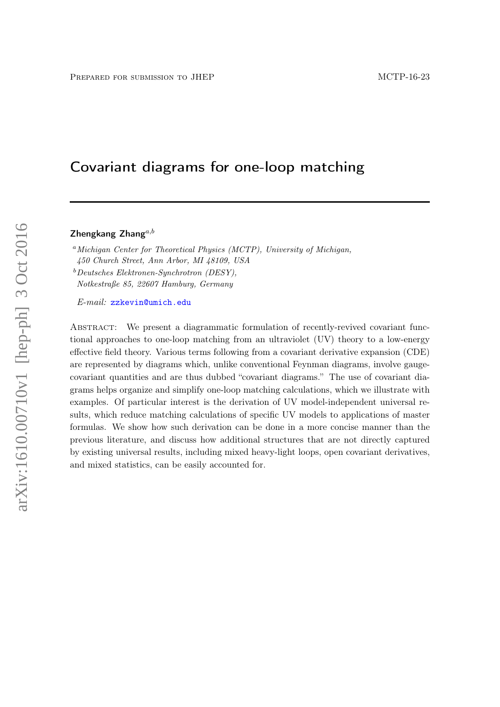# Covariant diagrams for one-loop matching

Zhengkang Zhang $a,b$ 

<sup>a</sup>Michigan Center for Theoretical Physics (MCTP), University of Michigan, 450 Church Street, Ann Arbor, MI 48109, USA  $b$ Deutsches Elektronen-Synchrotron (DESY), Notkestraße 85, 22607 Hamburg, Germany

E-mail: [zzkevin@umich.edu](mailto:zzkevin@umich.edu)

ABSTRACT: We present a diagrammatic formulation of recently-revived covariant functional approaches to one-loop matching from an ultraviolet (UV) theory to a low-energy effective field theory. Various terms following from a covariant derivative expansion (CDE) are represented by diagrams which, unlike conventional Feynman diagrams, involve gaugecovariant quantities and are thus dubbed "covariant diagrams." The use of covariant diagrams helps organize and simplify one-loop matching calculations, which we illustrate with examples. Of particular interest is the derivation of UV model-independent universal results, which reduce matching calculations of specific UV models to applications of master formulas. We show how such derivation can be done in a more concise manner than the previous literature, and discuss how additional structures that are not directly captured by existing universal results, including mixed heavy-light loops, open covariant derivatives, and mixed statistics, can be easily accounted for.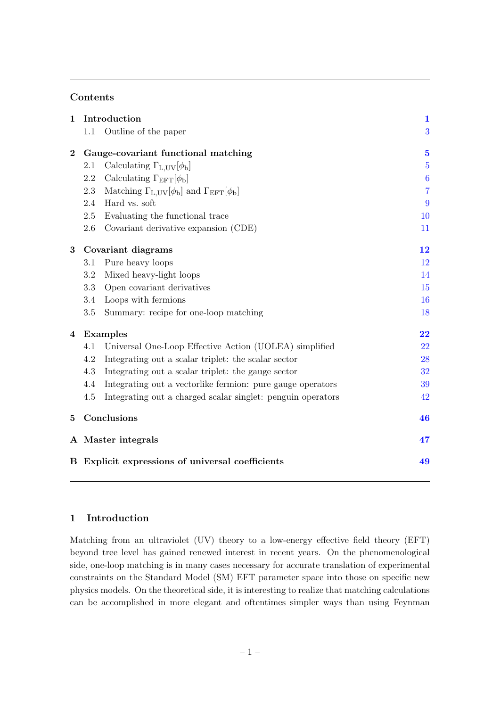# Contents

| $\mathbf{1}$                                     |     | Introduction                                                | $\mathbf{1}$     |
|--------------------------------------------------|-----|-------------------------------------------------------------|------------------|
|                                                  | 1.1 | Outline of the paper                                        | 3                |
| $\bf{2}$                                         |     | Gauge-covariant functional matching                         | $\mathbf{5}$     |
|                                                  | 2.1 | Calculating $\Gamma_{L,UV}[\phi_b]$                         | $\overline{5}$   |
|                                                  | 2.2 | Calculating $\Gamma_{\text{EFT}}[\phi_{\text{b}}]$          | $\boldsymbol{6}$ |
|                                                  | 2.3 | Matching $\Gamma_{L,UV}[\phi_b]$ and $\Gamma_{EFT}[\phi_b]$ | $\overline{7}$   |
|                                                  | 2.4 | Hard vs. soft                                               | 9                |
|                                                  | 2.5 | Evaluating the functional trace                             | 10               |
|                                                  | 2.6 | Covariant derivative expansion (CDE)                        | 11               |
| 3                                                |     | Covariant diagrams                                          | 12               |
|                                                  | 3.1 | Pure heavy loops                                            | 12               |
|                                                  | 3.2 | Mixed heavy-light loops                                     | 14               |
|                                                  | 3.3 | Open covariant derivatives                                  | 15               |
|                                                  | 3.4 | Loops with fermions                                         | 16               |
|                                                  | 3.5 | Summary: recipe for one-loop matching                       | 18               |
| 4                                                |     | Examples                                                    | 22               |
|                                                  | 4.1 | Universal One-Loop Effective Action (UOLEA) simplified      | 22               |
|                                                  | 4.2 | Integrating out a scalar triplet: the scalar sector         | 28               |
|                                                  | 4.3 | Integrating out a scalar triplet: the gauge sector          | 32               |
|                                                  | 4.4 | Integrating out a vectorlike fermion: pure gauge operators  | 39               |
|                                                  | 4.5 | Integrating out a charged scalar singlet: penguin operators | 42               |
| 5                                                |     | Conclusions                                                 | 46               |
|                                                  |     | A Master integrals                                          | 47               |
| B Explicit expressions of universal coefficients |     |                                                             | 49               |

# <span id="page-1-0"></span>1 Introduction

Matching from an ultraviolet (UV) theory to a low-energy effective field theory (EFT) beyond tree level has gained renewed interest in recent years. On the phenomenological side, one-loop matching is in many cases necessary for accurate translation of experimental constraints on the Standard Model (SM) EFT parameter space into those on specific new physics models. On the theoretical side, it is interesting to realize that matching calculations can be accomplished in more elegant and oftentimes simpler ways than using Feynman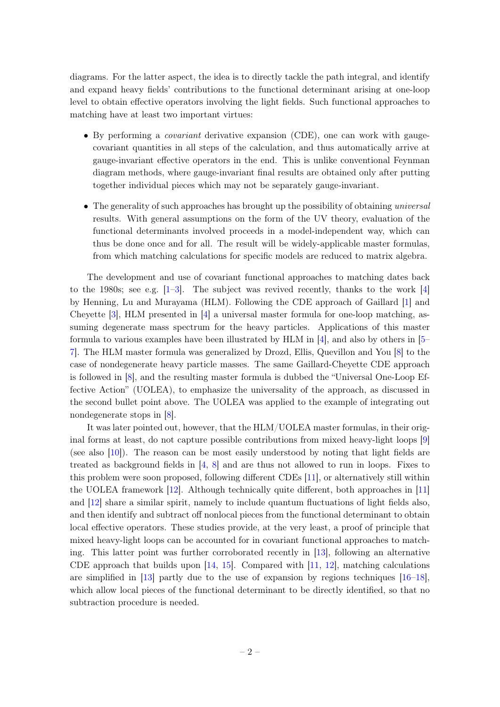diagrams. For the latter aspect, the idea is to directly tackle the path integral, and identify and expand heavy fields' contributions to the functional determinant arising at one-loop level to obtain effective operators involving the light fields. Such functional approaches to matching have at least two important virtues:

- By performing a covariant derivative expansion (CDE), one can work with gaugecovariant quantities in all steps of the calculation, and thus automatically arrive at gauge-invariant effective operators in the end. This is unlike conventional Feynman diagram methods, where gauge-invariant final results are obtained only after putting together individual pieces which may not be separately gauge-invariant.
- The generality of such approaches has brought up the possibility of obtaining universal results. With general assumptions on the form of the UV theory, evaluation of the functional determinants involved proceeds in a model-independent way, which can thus be done once and for all. The result will be widely-applicable master formulas, from which matching calculations for specific models are reduced to matrix algebra.

The development and use of covariant functional approaches to matching dates back to the 1980s; see e.g.  $[1-3]$  $[1-3]$ . The subject was revived recently, thanks to the work  $[4]$ by Henning, Lu and Murayama (HLM). Following the CDE approach of Gaillard [\[1\]](#page-51-0) and Cheyette [\[3\]](#page-51-1), HLM presented in [\[4\]](#page-51-2) a universal master formula for one-loop matching, assuming degenerate mass spectrum for the heavy particles. Applications of this master formula to various examples have been illustrated by HLM in  $[4]$ , and also by others in  $[5-$ [7\]](#page-52-0). The HLM master formula was generalized by Drozd, Ellis, Quevillon and You [\[8\]](#page-52-1) to the case of nondegenerate heavy particle masses. The same Gaillard-Cheyette CDE approach is followed in [\[8\]](#page-52-1), and the resulting master formula is dubbed the "Universal One-Loop Effective Action" (UOLEA), to emphasize the universality of the approach, as discussed in the second bullet point above. The UOLEA was applied to the example of integrating out nondegenerate stops in [\[8\]](#page-52-1).

It was later pointed out, however, that the HLM/UOLEA master formulas, in their original forms at least, do not capture possible contributions from mixed heavy-light loops [\[9\]](#page-52-2) (see also [\[10\]](#page-52-3)). The reason can be most easily understood by noting that light fields are treated as background fields in  $[4, 8]$  $[4, 8]$  $[4, 8]$  and are thus not allowed to run in loops. Fixes to this problem were soon proposed, following different CDEs [\[11\]](#page-52-4), or alternatively still within the UOLEA framework [\[12\]](#page-52-5). Although technically quite different, both approaches in [\[11\]](#page-52-4) and [\[12\]](#page-52-5) share a similar spirit, namely to include quantum fluctuations of light fields also, and then identify and subtract off nonlocal pieces from the functional determinant to obtain local effective operators. These studies provide, at the very least, a proof of principle that mixed heavy-light loops can be accounted for in covariant functional approaches to matching. This latter point was further corroborated recently in [\[13\]](#page-52-6), following an alternative CDE approach that builds upon  $[14, 15]$  $[14, 15]$  $[14, 15]$ . Compared with  $[11, 12]$  $[11, 12]$  $[11, 12]$ , matching calculations are simplified in  $[13]$  partly due to the use of expansion by regions techniques  $[16-18]$  $[16-18]$ , which allow local pieces of the functional determinant to be directly identified, so that no subtraction procedure is needed.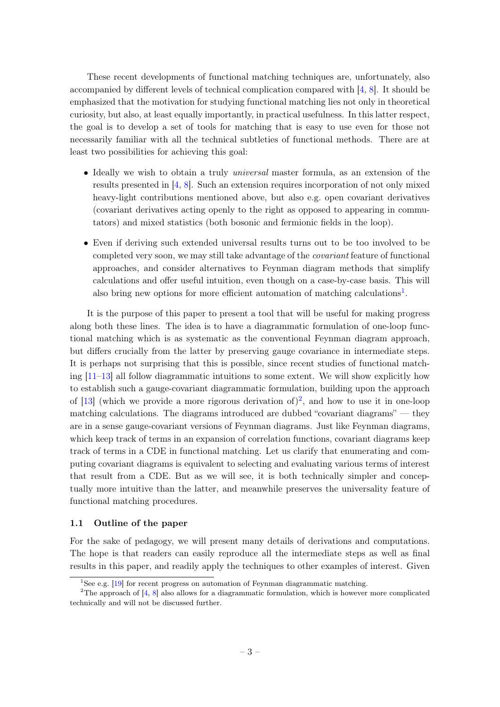These recent developments of functional matching techniques are, unfortunately, also accompanied by different levels of technical complication compared with [\[4,](#page-51-2) [8\]](#page-52-1). It should be emphasized that the motivation for studying functional matching lies not only in theoretical curiosity, but also, at least equally importantly, in practical usefulness. In this latter respect, the goal is to develop a set of tools for matching that is easy to use even for those not necessarily familiar with all the technical subtleties of functional methods. There are at least two possibilities for achieving this goal:

- Ideally we wish to obtain a truly *universal* master formula, as an extension of the results presented in [\[4,](#page-51-2) [8\]](#page-52-1). Such an extension requires incorporation of not only mixed heavy-light contributions mentioned above, but also e.g. open covariant derivatives (covariant derivatives acting openly to the right as opposed to appearing in commutators) and mixed statistics (both bosonic and fermionic fields in the loop).
- Even if deriving such extended universal results turns out to be too involved to be completed very soon, we may still take advantage of the covariant feature of functional approaches, and consider alternatives to Feynman diagram methods that simplify calculations and offer useful intuition, even though on a case-by-case basis. This will also bring new options for more efficient automation of matching calculations<sup>[1](#page-3-1)</sup>.

It is the purpose of this paper to present a tool that will be useful for making progress along both these lines. The idea is to have a diagrammatic formulation of one-loop functional matching which is as systematic as the conventional Feynman diagram approach, but differs crucially from the latter by preserving gauge covariance in intermediate steps. It is perhaps not surprising that this is possible, since recent studies of functional matching  $[11-13]$  $[11-13]$  all follow diagrammatic intuitions to some extent. We will show explicitly how to establish such a gauge-covariant diagrammatic formulation, building upon the approach of [\[13\]](#page-52-6) (which we provide a more rigorous derivation of)<sup>[2](#page-3-2)</sup>, and how to use it in one-loop matching calculations. The diagrams introduced are dubbed "covariant diagrams" — they are in a sense gauge-covariant versions of Feynman diagrams. Just like Feynman diagrams, which keep track of terms in an expansion of correlation functions, covariant diagrams keep track of terms in a CDE in functional matching. Let us clarify that enumerating and computing covariant diagrams is equivalent to selecting and evaluating various terms of interest that result from a CDE. But as we will see, it is both technically simpler and conceptually more intuitive than the latter, and meanwhile preserves the universality feature of functional matching procedures.

#### <span id="page-3-0"></span>1.1 Outline of the paper

For the sake of pedagogy, we will present many details of derivations and computations. The hope is that readers can easily reproduce all the intermediate steps as well as final results in this paper, and readily apply the techniques to other examples of interest. Given

<span id="page-3-2"></span><span id="page-3-1"></span><sup>&</sup>lt;sup>1</sup>See e.g.  $[19]$  for recent progress on automation of Feynman diagrammatic matching.

<sup>&</sup>lt;sup>2</sup>The approach of  $[4, 8]$  $[4, 8]$  $[4, 8]$  also allows for a diagrammatic formulation, which is however more complicated technically and will not be discussed further.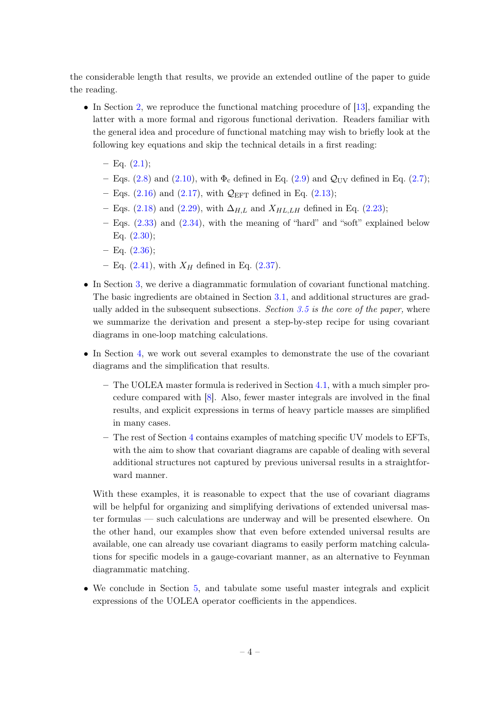the considerable length that results, we provide an extended outline of the paper to guide the reading.

- In Section [2,](#page-5-0) we reproduce the functional matching procedure of [\[13\]](#page-52-6), expanding the latter with a more formal and rigorous functional derivation. Readers familiar with the general idea and procedure of functional matching may wish to briefly look at the following key equations and skip the technical details in a first reading:
	- $-$  Eq.  $(2.1);$  $(2.1);$
	- Eqs. [\(2.8\)](#page-6-1) and [\(2.10\)](#page-6-2), with  $\Phi_c$  defined in Eq. [\(2.9\)](#page-6-3) and  $\mathcal{Q}_{UV}$  defined in Eq. [\(2.7\)](#page-6-4);
	- Eqs. [\(2.16\)](#page-7-1) and [\(2.17\)](#page-7-1), with  $\mathcal{Q}_{\text{EFT}}$  defined in Eq. [\(2.13\)](#page-6-5);
	- Eqs. [\(2.18\)](#page-7-2) and [\(2.29\)](#page-9-1), with  $\Delta_{H,L}$  and  $X_{H L, L H}$  defined in Eq. [\(2.23\)](#page-8-0);
	- $-$  Eqs.  $(2.33)$  and  $(2.34)$ , with the meaning of "hard" and "soft" explained below Eq.  $(2.30);$  $(2.30);$
	- $-$  Eq.  $(2.36)$ ;
	- Eq. [\(2.41\)](#page-12-2), with  $X_H$  defined in Eq. [\(2.37\)](#page-11-2).
- In Section [3,](#page-12-0) we derive a diagrammatic formulation of covariant functional matching. The basic ingredients are obtained in Section [3.1,](#page-12-1) and additional structures are grad-ually added in the subsequent subsections. Section [3.5](#page-18-0) is the core of the paper, where we summarize the derivation and present a step-by-step recipe for using covariant diagrams in one-loop matching calculations.
- In Section [4,](#page-22-0) we work out several examples to demonstrate the use of the covariant diagrams and the simplification that results.
	- The UOLEA master formula is rederived in Section [4.1,](#page-22-1) with a much simpler procedure compared with [\[8\]](#page-52-1). Also, fewer master integrals are involved in the final results, and explicit expressions in terms of heavy particle masses are simplified in many cases.
	- The rest of Section [4](#page-22-0) contains examples of matching specific UV models to EFTs, with the aim to show that covariant diagrams are capable of dealing with several additional structures not captured by previous universal results in a straightforward manner.

With these examples, it is reasonable to expect that the use of covariant diagrams will be helpful for organizing and simplifying derivations of extended universal master formulas — such calculations are underway and will be presented elsewhere. On the other hand, our examples show that even before extended universal results are available, one can already use covariant diagrams to easily perform matching calculations for specific models in a gauge-covariant manner, as an alternative to Feynman diagrammatic matching.

• We conclude in Section [5,](#page-46-0) and tabulate some useful master integrals and explicit expressions of the UOLEA operator coefficients in the appendices.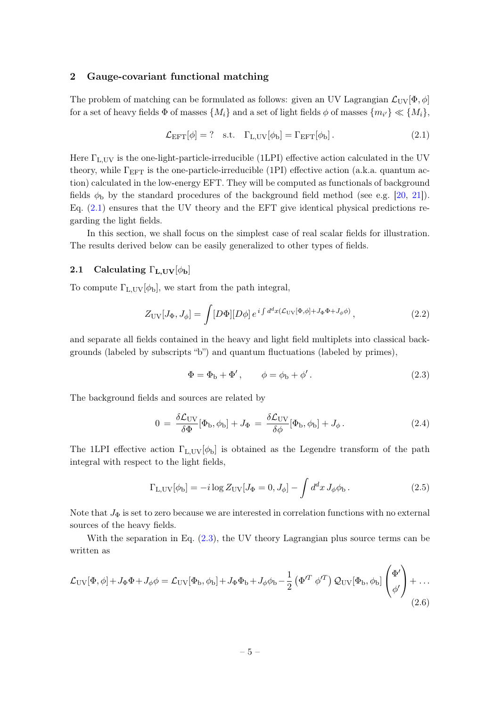#### <span id="page-5-0"></span>2 Gauge-covariant functional matching

The problem of matching can be formulated as follows: given an UV Lagrangian  $\mathcal{L}_{UV}[\Phi, \phi]$ for a set of heavy fields  $\Phi$  of masses  $\{M_i\}$  and a set of light fields  $\phi$  of masses  $\{m_{i'}\}\ll \{M_i\},$ 

<span id="page-5-2"></span>
$$
\mathcal{L}_{\text{EFT}}[\phi] = ? \quad \text{s.t.} \quad \Gamma_{\text{L,UV}}[\phi_{\text{b}}] = \Gamma_{\text{EFT}}[\phi_{\text{b}}]. \tag{2.1}
$$

Here  $\Gamma_{\text{L,UV}}$  is the one-light-particle-irreducible (1LPI) effective action calculated in the UV theory, while  $\Gamma_{\text{EFT}}$  is the one-particle-irreducible (1PI) effective action (a.k.a. quantum action) calculated in the low-energy EFT. They will be computed as functionals of background fields  $\phi_{\rm b}$  by the standard procedures of the background field method (see e.g. [\[20,](#page-52-12) [21\]](#page-52-13)). Eq. [\(2.1\)](#page-5-2) ensures that the UV theory and the EFT give identical physical predictions regarding the light fields.

In this section, we shall focus on the simplest case of real scalar fields for illustration. The results derived below can be easily generalized to other types of fields.

## <span id="page-5-1"></span>2.1 Calculating  $\Gamma_{\text{L,UV}}[\phi_{\text{b}}]$

To compute  $\Gamma_{\text{L},\text{UV}}[\phi_{\text{b}}]$ , we start from the path integral,

$$
Z_{\rm UV}[J_{\Phi},J_{\phi}] = \int [D\Phi][D\phi] e^{i \int d^d x (\mathcal{L}_{\rm UV}[\Phi,\phi] + J_{\Phi}\Phi + J_{\phi}\phi)}, \qquad (2.2)
$$

and separate all fields contained in the heavy and light field multiplets into classical backgrounds (labeled by subscripts "b") and quantum fluctuations (labeled by primes),

<span id="page-5-3"></span>
$$
\Phi = \Phi_{\rm b} + \Phi', \qquad \phi = \phi_{\rm b} + \phi'.
$$
\n(2.3)

The background fields and sources are related by

<span id="page-5-5"></span>
$$
0 = \frac{\delta \mathcal{L}_{\rm UV}}{\delta \Phi} [\Phi_{\rm b}, \phi_{\rm b}] + J_{\Phi} = \frac{\delta \mathcal{L}_{\rm UV}}{\delta \phi} [\Phi_{\rm b}, \phi_{\rm b}] + J_{\phi}.
$$
 (2.4)

The 1LPI effective action  $\Gamma_{\text{L,UV}}[\phi_{\text{b}}]$  is obtained as the Legendre transform of the path integral with respect to the light fields,

$$
\Gamma_{\text{L,UV}}[\phi_{\text{b}}] = -i \log Z_{\text{UV}}[J_{\Phi} = 0, J_{\phi}] - \int d^d x J_{\phi} \phi_{\text{b}}.
$$
\n(2.5)

Note that  $J_{\Phi}$  is set to zero because we are interested in correlation functions with no external sources of the heavy fields.

With the separation in Eq.  $(2.3)$ , the UV theory Lagrangian plus source terms can be written as

<span id="page-5-4"></span>
$$
\mathcal{L}_{\rm UV}[\Phi,\phi] + J_{\Phi}\Phi + J_{\phi}\phi = \mathcal{L}_{\rm UV}[\Phi_{\rm b},\phi_{\rm b}] + J_{\Phi}\Phi_{\rm b} + J_{\phi}\phi_{\rm b} - \frac{1}{2} \left(\Phi'^T \phi'^T\right) \mathcal{Q}_{\rm UV}[\Phi_{\rm b},\phi_{\rm b}] \begin{pmatrix} \Phi'\\ \phi' \end{pmatrix} + \dots
$$
\n(2.6)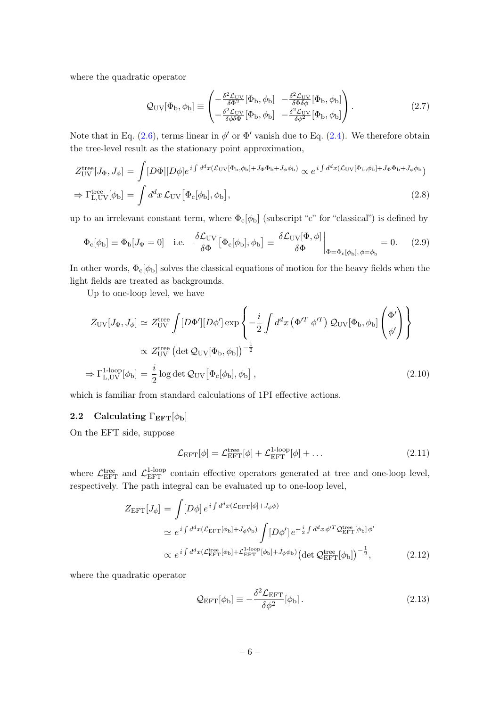where the quadratic operator

<span id="page-6-4"></span>
$$
Q_{\rm UV}[\Phi_{\rm b}, \phi_{\rm b}] \equiv \begin{pmatrix} -\frac{\delta^2 \mathcal{L}_{\rm UV}}{\delta \Phi^2} [\Phi_{\rm b}, \phi_{\rm b}] & -\frac{\delta^2 \mathcal{L}_{\rm UV}}{\delta \Phi \delta \phi} [\Phi_{\rm b}, \phi_{\rm b}] \\ -\frac{\delta^2 \mathcal{L}_{\rm UV}}{\delta \phi \delta \Phi} [\Phi_{\rm b}, \phi_{\rm b}] & -\frac{\delta^2 \mathcal{L}_{\rm UV}}{\delta \phi^2} [\Phi_{\rm b}, \phi_{\rm b}] \end{pmatrix} . \tag{2.7}
$$

Note that in Eq. [\(2.6\)](#page-5-4), terms linear in  $\phi'$  or  $\Phi'$  vanish due to Eq. [\(2.4\)](#page-5-5). We therefore obtain the tree-level result as the stationary point approximation,

<span id="page-6-1"></span>
$$
Z_{\rm UV}^{\rm tree}[J_{\Phi}, J_{\phi}] = \int [D\Phi][D\phi] e^{i \int d^d x (\mathcal{L}_{\rm UV}[\Phi_{\rm b}, \phi_{\rm b}] + J_{\Phi}\Phi_{\rm b} + J_{\phi}\phi_{\rm b})} \propto e^{i \int d^d x (\mathcal{L}_{\rm UV}[\Phi_{\rm b}, \phi_{\rm b}] + J_{\Phi}\Phi_{\rm b} + J_{\phi}\phi_{\rm b})}
$$
  
\n
$$
\Rightarrow \Gamma_{\rm L, UV}^{\rm tree}[\phi_{\rm b}] = \int d^d x \, \mathcal{L}_{\rm UV}[\Phi_{\rm c}[\phi_{\rm b}], \phi_{\rm b}], \qquad (2.8)
$$

up to an irrelevant constant term, where  $\Phi_c[\phi_b]$  (subscript "c" for "classical") is defined by

<span id="page-6-3"></span>
$$
\Phi_{\rm c}[\phi_{\rm b}] \equiv \Phi_{\rm b}[J_{\Phi} = 0] \quad \text{i.e.} \quad \frac{\delta \mathcal{L}_{\rm UV}}{\delta \Phi} [\Phi_{\rm c}[\phi_{\rm b}], \phi_{\rm b}] \equiv \frac{\delta \mathcal{L}_{\rm UV}[\Phi, \phi]}{\delta \Phi} \bigg|_{\Phi = \Phi_{\rm c}[\phi_{\rm b}], \phi = \phi_{\rm b}} = 0. \tag{2.9}
$$

In other words,  $\Phi_c[\phi_b]$  solves the classical equations of motion for the heavy fields when the light fields are treated as backgrounds.

Up to one-loop level, we have

<span id="page-6-2"></span>
$$
Z_{\rm UV}[J_{\Phi}, J_{\phi}] \simeq Z_{\rm UV}^{\rm tree} \int [D\Phi'][D\phi'] \exp\left\{-\frac{i}{2} \int d^d x \left(\Phi'^T \phi'^T\right) \mathcal{Q}_{\rm UV}[\Phi_{\rm b}, \phi_{\rm b}] \begin{pmatrix} \Phi'\\ \phi' \end{pmatrix}\right\}
$$
  

$$
\propto Z_{\rm UV}^{\rm tree} \left(\det \mathcal{Q}_{\rm UV}[\Phi_{\rm b}, \phi_{\rm b}]\right)^{-\frac{1}{2}}
$$
  

$$
\Rightarrow \Gamma_{\rm L, UV}^{\rm 1-loop}[\phi_{\rm b}] = \frac{i}{2} \log \det \mathcal{Q}_{\rm UV}[\Phi_{\rm c}[\phi_{\rm b}], \phi_{\rm b}], \qquad (2.10)
$$

which is familiar from standard calculations of 1PI effective actions.

## <span id="page-6-0"></span>2.2 Calculating  $\Gamma_{\text{EFT}}[\phi_{\text{b}}]$

On the EFT side, suppose

$$
\mathcal{L}_{\text{EFT}}[\phi] = \mathcal{L}_{\text{EFT}}^{\text{tree}}[\phi] + \mathcal{L}_{\text{EFT}}^{\text{1-loop}}[\phi] + \dots \tag{2.11}
$$

where  $\mathcal{L}_{\text{EFT}}^{\text{tree}}$  and  $\mathcal{L}_{\text{EFT}}^{\text{1-loop}}$  contain effective operators generated at tree and one-loop level, respectively. The path integral can be evaluated up to one-loop level,

$$
Z_{\text{EFT}}[J_{\phi}] = \int [D\phi] e^{i \int d^d x (\mathcal{L}_{\text{EFT}}[\phi] + J_{\phi}\phi)}
$$
  
\n
$$
\simeq e^{i \int d^d x (\mathcal{L}_{\text{EFT}}[\phi_b] + J_{\phi}\phi_b)} \int [D\phi'] e^{-\frac{i}{2} \int d^d x \phi'^T \mathcal{Q}_{\text{EFT}}^{\text{tree}}[\phi_b] \phi'}
$$
  
\n
$$
\propto e^{i \int d^d x (\mathcal{L}_{\text{EFT}}^{\text{tree}}[\phi_b] + \mathcal{L}_{\text{EFT}}^{\text{1-loop}}[\phi_b] + J_{\phi}\phi_b)} (\det \mathcal{Q}_{\text{EFT}}^{\text{tree}}[\phi_b])^{-\frac{1}{2}},
$$
\n(2.12)

where the quadratic operator

<span id="page-6-5"></span>
$$
\mathcal{Q}_{\rm EFT}[\phi_{\rm b}] \equiv -\frac{\delta^2 \mathcal{L}_{\rm EFT}}{\delta \phi^2} [\phi_{\rm b}]. \tag{2.13}
$$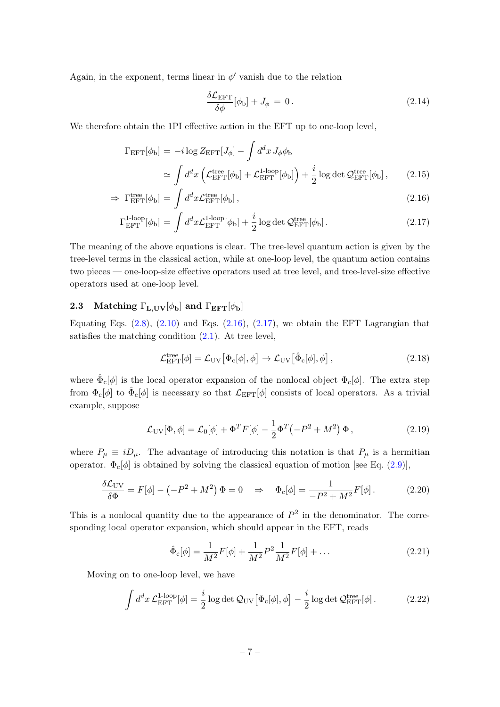Again, in the exponent, terms linear in  $\phi'$  vanish due to the relation

$$
\frac{\delta \mathcal{L}_{\text{EFT}}}{\delta \phi} [\phi_{\text{b}}] + J_{\phi} = 0. \qquad (2.14)
$$

We therefore obtain the 1PI effective action in the EFT up to one-loop level,

<span id="page-7-1"></span>
$$
\Gamma_{\text{EFT}}[\phi_{\text{b}}] = -i \log Z_{\text{EFT}}[J_{\phi}] - \int d^d x J_{\phi} \phi_{\text{b}}
$$
  

$$
\simeq \int d^d x \left( \mathcal{L}_{\text{EFT}}^{\text{tree}}[\phi_{\text{b}}] + \mathcal{L}_{\text{EFT}}^{1-\text{loop}}[\phi_{\text{b}}] \right) + \frac{i}{2} \log \det \mathcal{Q}_{\text{EFT}}^{\text{tree}}[\phi_{\text{b}}], \qquad (2.15)
$$

$$
\Rightarrow \Gamma_{\text{EFT}}^{\text{tree}}[\phi_{\text{b}}] = \int d^d x \mathcal{L}_{\text{EFT}}^{\text{tree}}[\phi_{\text{b}}], \tag{2.16}
$$

$$
\Gamma_{\rm EFT}^{\rm 1-loop}[\phi_{\rm b}] = \int d^d x \mathcal{L}_{\rm EFT}^{\rm 1-loop}[\phi_{\rm b}] + \frac{i}{2} \log \det \mathcal{Q}_{\rm EFT}^{\rm tree}[\phi_{\rm b}]. \tag{2.17}
$$

The meaning of the above equations is clear. The tree-level quantum action is given by the tree-level terms in the classical action, while at one-loop level, the quantum action contains two pieces — one-loop-size effective operators used at tree level, and tree-level-size effective operators used at one-loop level.

## <span id="page-7-0"></span>2.3 Matching  $\Gamma_{\text{L,UV}}[\phi_{\text{b}}]$  and  $\Gamma_{\text{EFT}}[\phi_{\text{b}}]$

Equating Eqs.  $(2.8)$ ,  $(2.10)$  and Eqs.  $(2.16)$ ,  $(2.17)$ , we obtain the EFT Lagrangian that satisfies the matching condition  $(2.1)$ . At tree level,

<span id="page-7-2"></span>
$$
\mathcal{L}_{\text{EFT}}^{\text{tree}}[\phi] = \mathcal{L}_{\text{UV}}[\Phi_c[\phi], \phi] \rightarrow \mathcal{L}_{\text{UV}}[\hat{\Phi}_c[\phi], \phi], \qquad (2.18)
$$

where  $\hat{\Phi}_{c}[\phi]$  is the local operator expansion of the nonlocal object  $\Phi_{c}[\phi]$ . The extra step from  $\Phi_c[\phi]$  to  $\hat{\Phi}_c[\phi]$  is necessary so that  $\mathcal{L}_{\text{EFT}}[\phi]$  consists of local operators. As a trivial example, suppose

$$
\mathcal{L}_{\rm UV}[\Phi,\phi] = \mathcal{L}_0[\phi] + \Phi^T F[\phi] - \frac{1}{2} \Phi^T \left( -P^2 + M^2 \right) \Phi \,, \tag{2.19}
$$

where  $P_{\mu} \equiv i D_{\mu}$ . The advantage of introducing this notation is that  $P_{\mu}$  is a hermitian operator.  $\Phi_c[\phi]$  is obtained by solving the classical equation of motion [see Eq. [\(2.9\)](#page-6-3)],

$$
\frac{\delta \mathcal{L}_{\rm UV}}{\delta \Phi} = F[\phi] - \left(-P^2 + M^2\right) \Phi = 0 \quad \Rightarrow \quad \Phi_{\rm c}[\phi] = \frac{1}{-P^2 + M^2} F[\phi]. \tag{2.20}
$$

This is a nonlocal quantity due to the appearance of  $P<sup>2</sup>$  in the denominator. The corresponding local operator expansion, which should appear in the EFT, reads

$$
\hat{\Phi}_{\rm c}[\phi] = \frac{1}{M^2} F[\phi] + \frac{1}{M^2} P^2 \frac{1}{M^2} F[\phi] + \dots \tag{2.21}
$$

Moving on to one-loop level, we have

<span id="page-7-3"></span>
$$
\int d^d x \mathcal{L}_{\text{EFT}}^{\text{1-loop}}[\phi] = \frac{i}{2} \log \det \mathcal{Q}_{\text{UV}}[\Phi_c[\phi], \phi] - \frac{i}{2} \log \det \mathcal{Q}_{\text{EFT}}^{\text{tree}}[\phi]. \tag{2.22}
$$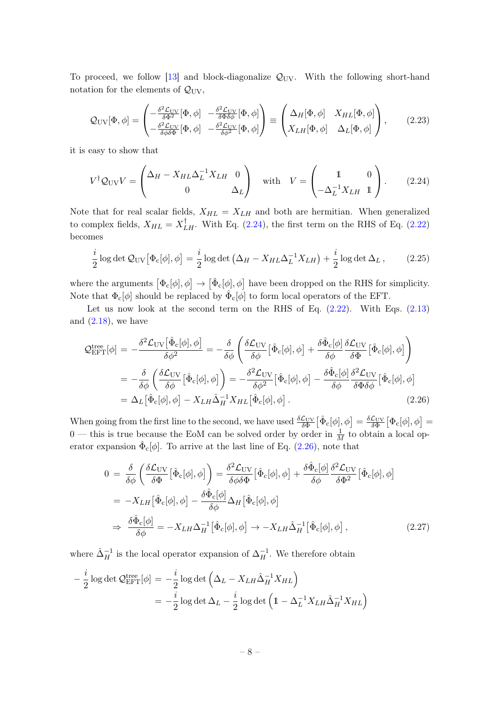To proceed, we follow [\[13\]](#page-52-6) and block-diagonalize  $\mathcal{Q}_{UV}$ . With the following short-hand notation for the elements of  $\mathcal{Q}_{\rm UV}$ ,

<span id="page-8-0"></span>
$$
Q_{\rm UV}[\Phi,\phi] = \begin{pmatrix} -\frac{\delta^2 \mathcal{L}_{\rm UV}}{\delta \Phi^2} [\Phi,\phi] & -\frac{\delta^2 \mathcal{L}_{\rm UV}}{\delta \Phi \delta \phi} [\Phi,\phi] \\ -\frac{\delta^2 \mathcal{L}_{\rm UV}}{\delta \phi \delta \Phi} [\Phi,\phi] & -\frac{\delta^2 \mathcal{L}_{\rm UV}}{\delta \phi^2} [\Phi,\phi] \end{pmatrix} \equiv \begin{pmatrix} \Delta_H[\Phi,\phi] & X_{HL}[\Phi,\phi] \\ X_{LH}[\Phi,\phi] & \Delta_L[\Phi,\phi] \end{pmatrix}, \quad (2.23)
$$

it is easy to show that

<span id="page-8-1"></span>
$$
V^{\dagger} Q_{\rm UV} V = \begin{pmatrix} \Delta_H - X_{HL} \Delta_L^{-1} X_{LH} & 0 \\ 0 & \Delta_L \end{pmatrix} \quad \text{with} \quad V = \begin{pmatrix} 1 & 0 \\ -\Delta_L^{-1} X_{LH} & 1 \end{pmatrix}.
$$
 (2.24)

Note that for real scalar fields,  $X_{HL} = X_{LH}$  and both are hermitian. When generalized to complex fields,  $X_{HL} = X_{LH}^{\dagger}$ . With Eq. [\(2.24\)](#page-8-1), the first term on the RHS of Eq. [\(2.22\)](#page-7-3) becomes

<span id="page-8-3"></span>
$$
\frac{i}{2}\log\det\mathcal{Q}_{\rm UV}[\Phi_{\rm c}[\phi],\phi] = \frac{i}{2}\log\det\left(\Delta_H - X_{HL}\Delta_L^{-1}X_{LH}\right) + \frac{i}{2}\log\det\Delta_L\,,\tag{2.25}
$$

where the arguments  $[\Phi_c[\phi], \phi] \to [\hat{\Phi}_c[\phi], \phi]$  have been dropped on the RHS for simplicity. Note that  $\Phi_{\rm c}[\phi]$  should be replaced by  $\hat{\Phi}_{\rm c}[\phi]$  to form local operators of the EFT.

Let us now look at the second term on the RHS of Eq.  $(2.22)$ . With Eqs.  $(2.13)$ and  $(2.18)$ , we have

<span id="page-8-2"></span>
$$
\mathcal{Q}_{\text{EFT}}^{\text{tree}}[\phi] = -\frac{\delta^2 \mathcal{L}_{\text{UV}}[\hat{\Phi}_{\text{c}}[\phi], \phi]}{\delta \phi^2} = -\frac{\delta}{\delta \phi} \left( \frac{\delta \mathcal{L}_{\text{UV}}}{\delta \phi} [\hat{\Phi}_{\text{c}}[\phi], \phi] + \frac{\delta \hat{\Phi}_{\text{c}}[\phi]}{\delta \phi} \frac{\delta \mathcal{L}_{\text{UV}}}{\delta \Phi} [\hat{\Phi}_{\text{c}}[\phi], \phi] \right)
$$
  
\n
$$
= -\frac{\delta}{\delta \phi} \left( \frac{\delta \mathcal{L}_{\text{UV}}}{\delta \phi} [\hat{\Phi}_{\text{c}}[\phi], \phi] \right) = -\frac{\delta^2 \mathcal{L}_{\text{UV}}}{\delta \phi^2} [\hat{\Phi}_{\text{c}}[\phi], \phi] - \frac{\delta \hat{\Phi}_{\text{c}}[\phi]}{\delta \phi} \frac{\delta^2 \mathcal{L}_{\text{UV}}}{\delta \Phi \delta \phi} [\hat{\Phi}_{\text{c}}[\phi], \phi]
$$
  
\n
$$
= \Delta_L [\hat{\Phi}_{\text{c}}[\phi], \phi] - X_{LH} \hat{\Delta}_H^{-1} X_{HL} [\hat{\Phi}_{\text{c}}[\phi], \phi]. \tag{2.26}
$$

When going from the first line to the second, we have used  $\frac{\delta \mathcal{L}_{\text{UV}}}{\delta \Phi} [\hat{\Phi}_c[\phi], \phi] = \frac{\delta \mathcal{L}_{\text{UV}}}{\delta \Phi} [\Phi_c[\phi], \phi] =$  $0$  — this is true because the EoM can be solved order by order in  $\frac{1}{M}$  to obtain a local operator expansion  $\hat{\Phi}_{c}[\phi]$ . To arrive at the last line of Eq. [\(2.26\)](#page-8-2), note that

$$
0 = \frac{\delta}{\delta\phi} \left( \frac{\delta \mathcal{L}_{\text{UV}}}{\delta \Phi} [\hat{\Phi}_{\text{c}}[\phi], \phi] \right) = \frac{\delta^2 \mathcal{L}_{\text{UV}}}{\delta\phi \delta \Phi} [\hat{\Phi}_{\text{c}}[\phi], \phi] + \frac{\delta \hat{\Phi}_{\text{c}}[\phi]}{\delta\phi} \frac{\delta^2 \mathcal{L}_{\text{UV}}}{\delta \Phi^2} [\hat{\Phi}_{\text{c}}[\phi], \phi]
$$
  
\n
$$
= -X_{LH} [\hat{\Phi}_{\text{c}}[\phi], \phi] - \frac{\delta \hat{\Phi}_{\text{c}}[\phi]}{\delta\phi} \Delta_H [\hat{\Phi}_{\text{c}}[\phi], \phi]
$$
  
\n
$$
\Rightarrow \frac{\delta \hat{\Phi}_{\text{c}}[\phi]}{\delta\phi} = -X_{LH} \Delta_H^{-1} [\hat{\Phi}_{\text{c}}[\phi], \phi] \rightarrow -X_{LH} \hat{\Delta}_H^{-1} [\hat{\Phi}_{\text{c}}[\phi], \phi], \qquad (2.27)
$$

where  $\hat{\Delta}_H^{-1}$  is the local operator expansion of  $\Delta_H^{-1}$ . We therefore obtain

$$
-\frac{i}{2}\log \det \mathcal{Q}_{\text{EFT}}^{\text{tree}}[\phi] = -\frac{i}{2}\log \det \left(\Delta_L - X_{LH}\hat{\Delta}_H^{-1}X_{HL}\right)
$$
  
=  $-\frac{i}{2}\log \det \Delta_L - \frac{i}{2}\log \det \left(1 - \Delta_L^{-1}X_{LH}\hat{\Delta}_H^{-1}X_{HL}\right)$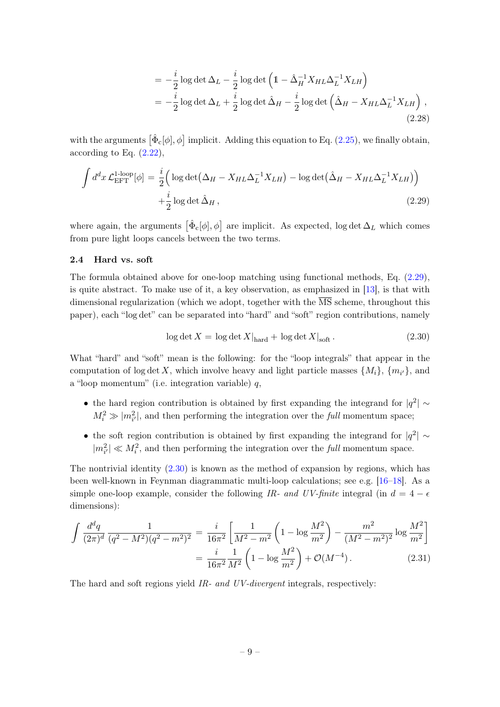$$
= -\frac{i}{2}\log \det \Delta_L - \frac{i}{2}\log \det \left(1 - \hat{\Delta}_H^{-1} X_{HL} \Delta_L^{-1} X_{LH}\right)
$$
  
= 
$$
-\frac{i}{2}\log \det \Delta_L + \frac{i}{2}\log \det \hat{\Delta}_H - \frac{i}{2}\log \det \left(\hat{\Delta}_H - X_{HL} \Delta_L^{-1} X_{LH}\right),
$$
(2.28)

with the arguments  $\left[ \hat{\Phi}_{c}[\phi], \phi \right]$  implicit. Adding this equation to Eq. [\(2.25\)](#page-8-3), we finally obtain, according to Eq.  $(2.22)$ ,

<span id="page-9-1"></span>
$$
\int d^d x \mathcal{L}_{\text{EFT}}^{\text{1-loop}}[\phi] = \frac{i}{2} \Big( \log \det \Big( \Delta_H - X_{HL} \Delta_L^{-1} X_{LH} \Big) - \log \det \Big( \hat{\Delta}_H - X_{HL} \Delta_L^{-1} X_{LH} \Big) \Big) + \frac{i}{2} \log \det \hat{\Delta}_H ,
$$
\n(2.29)

where again, the arguments  $\left[ \hat{\Phi}_{c}[\phi], \phi \right]$  are implicit. As expected, log det  $\Delta_L$  which comes from pure light loops cancels between the two terms.

## <span id="page-9-0"></span>2.4 Hard vs. soft

The formula obtained above for one-loop matching using functional methods, Eq. [\(2.29\)](#page-9-1), is quite abstract. To make use of it, a key observation, as emphasized in [\[13\]](#page-52-6), is that with dimensional regularization (which we adopt, together with the  $\overline{\text{MS}}$  scheme, throughout this paper), each "log det" can be separated into "hard" and "soft" region contributions, namely

<span id="page-9-2"></span>
$$
\log \det X = \log \det X|_{\text{hard}} + \log \det X|_{\text{soft}}.
$$
\n(2.30)

What "hard" and "soft" mean is the following: for the "loop integrals" that appear in the computation of log det X, which involve heavy and light particle masses  $\{M_i\}$ ,  $\{m_{i'}\}$ , and a "loop momentum" (i.e. integration variable) q,

- the hard region contribution is obtained by first expanding the integrand for  $|q^2| \sim$  $M_i^2 \gg |m_{i'}^2|$ , and then performing the integration over the *full* momentum space;
- the soft region contribution is obtained by first expanding the integrand for  $|q^2| \sim$  $|m_{i'}^2| \ll M_i^2$ , and then performing the integration over the *full* momentum space.

The nontrivial identity  $(2.30)$  is known as the method of expansion by regions, which has been well-known in Feynman diagrammatic multi-loop calculations; see e.g. [\[16–](#page-52-9)[18\]](#page-52-10). As a simple one-loop example, consider the following IR- and UV-finite integral (in  $d = 4 - \epsilon$ ) dimensions):

$$
\int \frac{d^d q}{(2\pi)^d} \frac{1}{(q^2 - M^2)(q^2 - m^2)^2} = \frac{i}{16\pi^2} \left[ \frac{1}{M^2 - m^2} \left( 1 - \log \frac{M^2}{m^2} \right) - \frac{m^2}{(M^2 - m^2)^2} \log \frac{M^2}{m^2} \right]
$$

$$
= \frac{i}{16\pi^2} \frac{1}{M^2} \left( 1 - \log \frac{M^2}{m^2} \right) + \mathcal{O}(M^{-4}). \tag{2.31}
$$

The hard and soft regions yield IR- and UV-divergent integrals, respectively: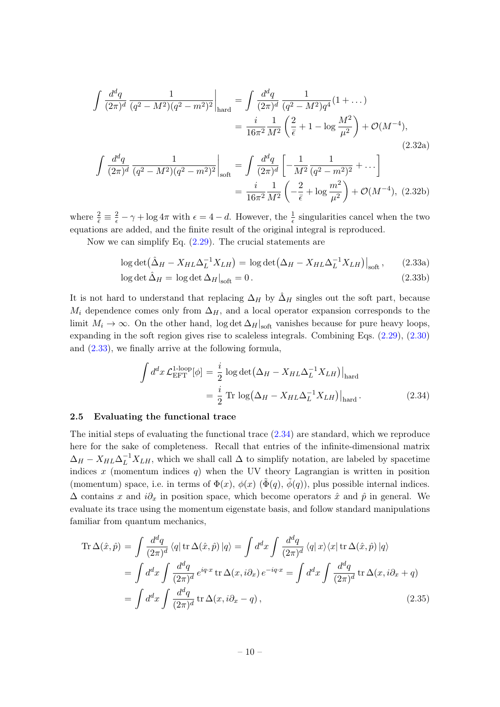$$
\int \frac{d^d q}{(2\pi)^d} \frac{1}{(q^2 - M^2)(q^2 - m^2)^2} \Big|_{\text{hard}} = \int \frac{d^d q}{(2\pi)^d} \frac{1}{(q^2 - M^2)q^4} (1 + ...)
$$

$$
= \frac{i}{16\pi^2} \frac{1}{M^2} \left(\frac{2}{\bar{\epsilon}} + 1 - \log \frac{M^2}{\mu^2}\right) + \mathcal{O}(M^{-4}),
$$

$$
\int \frac{d^d q}{(2\pi)^d} \frac{1}{(q^2 - M^2)(q^2 - m^2)^2} \Big|_{\text{soft}} = \int \frac{d^d q}{(2\pi)^d} \left[ -\frac{1}{M^2} \frac{1}{(q^2 - m^2)^2} + ... \right]
$$

$$
= \frac{i}{16\pi^2} \frac{1}{M^2} \left( -\frac{2}{\bar{\epsilon}} + \log \frac{m^2}{\mu^2} \right) + \mathcal{O}(M^{-4}), \quad (2.32b)
$$

where  $\frac{2}{\epsilon} \equiv \frac{2}{\epsilon} - \gamma + \log 4\pi$  with  $\epsilon = 4 - d$ . However, the  $\frac{1}{\epsilon}$  singularities cancel when the two equations are added, and the finite result of the original integral is reproduced.

Now we can simplify Eq.  $(2.29)$ . The crucial statements are

$$
\log \det(\hat{\Delta}_H - X_{HL}\Delta_L^{-1}X_{LH}) = \log \det(\Delta_H - X_{HL}\Delta_L^{-1}X_{LH})\big|_{\text{soft}},\qquad(2.33a)
$$

<span id="page-10-1"></span>
$$
\log \det \hat{\Delta}_H = \log \det \Delta_H \big|_{\text{soft}} = 0. \tag{2.33b}
$$

It is not hard to understand that replacing  $\Delta_H$  by  $\hat{\Delta}_H$  singles out the soft part, because  $M_i$  dependence comes only from  $\Delta_H$ , and a local operator expansion corresponds to the limit  $M_i \to \infty$ . On the other hand, log det  $\Delta_H|_{\text{soft}}$  vanishes because for pure heavy loops, expanding in the soft region gives rise to scaleless integrals. Combining Eqs. [\(2.29\)](#page-9-1), [\(2.30\)](#page-9-2) and [\(2.33\)](#page-10-1), we finally arrive at the following formula,

<span id="page-10-2"></span>
$$
\int d^d x \mathcal{L}_{\text{EFT}}^{1\text{-loop}}[\phi] = \frac{i}{2} \log \det (\Delta_H - X_{HL} \Delta_L^{-1} X_{LH})\Big|_{\text{hard}}
$$

$$
= \frac{i}{2} \text{Tr} \log (\Delta_H - X_{HL} \Delta_L^{-1} X_{LH})\Big|_{\text{hard}}.
$$
(2.34)

#### <span id="page-10-0"></span>2.5 Evaluating the functional trace

The initial steps of evaluating the functional trace [\(2.34\)](#page-10-2) are standard, which we reproduce here for the sake of completeness. Recall that entries of the infinite-dimensional matrix  $\Delta_H - X_{HL} \Delta_L^{-1} X_{LH}$ , which we shall call  $\Delta$  to simplify notation, are labeled by spacetime indices x (momentum indices  $q$ ) when the UV theory Lagrangian is written in position (momentum) space, i.e. in terms of  $\Phi(x)$ ,  $\phi(x)$  ( $\tilde{\Phi}(q)$ ,  $\phi(q)$ ), plus possible internal indices.  $\Delta$  contains x and  $i\partial_x$  in position space, which become operators  $\hat{x}$  and  $\hat{p}$  in general. We evaluate its trace using the momentum eigenstate basis, and follow standard manipulations familiar from quantum mechanics,

$$
\operatorname{Tr}\Delta(\hat{x},\hat{p}) = \int \frac{d^d q}{(2\pi)^d} \langle q | \operatorname{tr}\Delta(\hat{x},\hat{p}) | q \rangle = \int d^d x \int \frac{d^d q}{(2\pi)^d} \langle q | x \rangle \langle x | \operatorname{tr}\Delta(\hat{x},\hat{p}) | q \rangle
$$
  
\n
$$
= \int d^d x \int \frac{d^d q}{(2\pi)^d} e^{iq \cdot x} \operatorname{tr}\Delta(x,i\partial_x) e^{-iq \cdot x} = \int d^d x \int \frac{d^d q}{(2\pi)^d} \operatorname{tr}\Delta(x,i\partial_x + q)
$$
  
\n
$$
= \int d^d x \int \frac{d^d q}{(2\pi)^d} \operatorname{tr}\Delta(x,i\partial_x - q), \qquad (2.35)
$$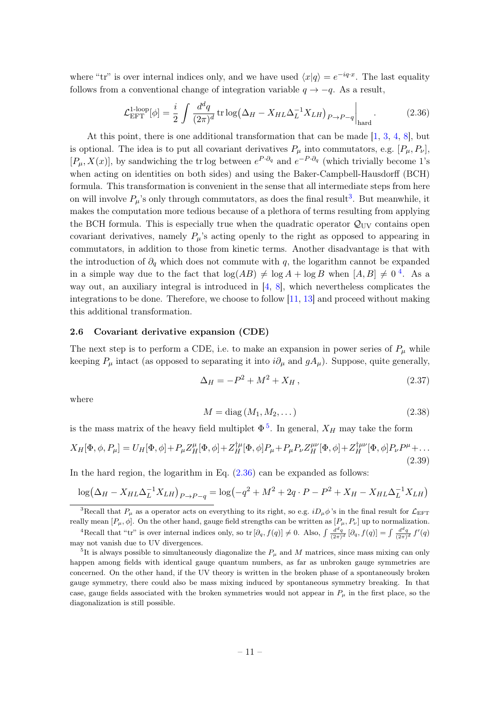where "tr" is over internal indices only, and we have used  $\langle x|q \rangle = e^{-iq \cdot x}$ . The last equality follows from a conventional change of integration variable  $q \rightarrow -q$ . As a result,

<span id="page-11-1"></span>
$$
\mathcal{L}_{\text{EFT}}^{1\text{-loop}}[\phi] = \frac{i}{2} \int \frac{d^d q}{(2\pi)^d} \operatorname{tr} \log \left( \Delta_H - X_{HL} \Delta_L^{-1} X_{LH} \right)_{P \to P - q} \bigg|_{\text{hard}}.
$$
 (2.36)

At this point, there is one additional transformation that can be made [\[1,](#page-51-0) [3,](#page-51-1) [4,](#page-51-2) [8\]](#page-52-1), but is optional. The idea is to put all covariant derivatives  $P_{\mu}$  into commutators, e.g.  $[P_{\mu}, P_{\nu}]$ ,  $[P_\mu, X(x)]$ , by sandwiching the tr log between  $e^{P \cdot \partial_q}$  and  $e^{-P \cdot \partial_q}$  (which trivially become 1's when acting on identities on both sides) and using the Baker-Campbell-Hausdorff (BCH) formula. This transformation is convenient in the sense that all intermediate steps from here on will involve  $P_\mu$ 's only through commutators, as does the final result<sup>[3](#page-11-3)</sup>. But meanwhile, it makes the computation more tedious because of a plethora of terms resulting from applying the BCH formula. This is especially true when the quadratic operator  $\mathcal{Q}_{\text{UV}}$  contains open covariant derivatives, namely  $P_\mu$ 's acting openly to the right as opposed to appearing in commutators, in addition to those from kinetic terms. Another disadvantage is that with the introduction of  $\partial_q$  which does not commute with q, the logarithm cannot be expanded in a simple way due to the fact that  $\log(AB) \neq \log A + \log B$  when  $[A, B] \neq 0^4$  $[A, B] \neq 0^4$ . As a way out, an auxiliary integral is introduced in [\[4,](#page-51-2) [8\]](#page-52-1), which nevertheless complicates the integrations to be done. Therefore, we choose to follow [\[11,](#page-52-4) [13\]](#page-52-6) and proceed without making this additional transformation.

#### <span id="page-11-0"></span>2.6 Covariant derivative expansion (CDE)

The next step is to perform a CDE, i.e. to make an expansion in power series of  $P_\mu$  while keeping  $P_\mu$  intact (as opposed to separating it into  $i\partial_\mu$  and  $gA_\mu$ ). Suppose, quite generally,

<span id="page-11-2"></span>
$$
\Delta_H = -P^2 + M^2 + X_H, \qquad (2.37)
$$

where

$$
M = \text{diag}(M_1, M_2, \dots) \tag{2.38}
$$

is the mass matrix of the heavy field multiplet  $\Phi^5$  $\Phi^5$ . In general,  $X_H$  may take the form

<span id="page-11-6"></span>
$$
X_H[\Phi, \phi, P_\mu] = U_H[\Phi, \phi] + P_\mu Z_H^{\mu}[\Phi, \phi] + Z_H^{\dagger \mu}[\Phi, \phi] P_\mu + P_\mu P_\nu Z_H^{\mu \nu}[\Phi, \phi] + Z_H^{\dagger \mu \nu}[\Phi, \phi] P_\nu P^\mu + \dots
$$
\n(2.39)

In the hard region, the logarithm in Eq.  $(2.36)$  can be expanded as follows:

$$
\log(\Delta_H - X_{HL}\Delta_L^{-1}X_{LH})_{P \to P-q} = \log(-q^2 + M^2 + 2q \cdot P - P^2 + X_H - X_{HL}\Delta_L^{-1}X_{LH})
$$

<span id="page-11-3"></span><sup>&</sup>lt;sup>3</sup>Recall that  $P_\mu$  as a operator acts on everything to its right, so e.g.  $iD_\mu\phi$ 's in the final result for  $\mathcal{L}_{EFT}$ really mean  $[P_\mu, \phi]$ . On the other hand, gauge field strengths can be written as  $[P_\mu, P_\nu]$  up to normalization.

<span id="page-11-4"></span><sup>&</sup>lt;sup>4</sup>Recall that "tr" is over internal indices only, so  $\text{tr}\left[\partial_q, f(q)\right] \neq 0$ . Also,  $\int \frac{d^dq}{(2\pi)^d} [\partial_q, f(q)] = \int \frac{d^dq}{(2\pi)^d} f'(q)$ may not vanish due to UV divergences.

<span id="page-11-5"></span><sup>&</sup>lt;sup>5</sup>It is always possible to simultaneously diagonalize the  $P_{\mu}$  and M matrices, since mass mixing can only happen among fields with identical gauge quantum numbers, as far as unbroken gauge symmetries are concerned. On the other hand, if the UV theory is written in the broken phase of a spontaneously broken gauge symmetry, there could also be mass mixing induced by spontaneous symmetry breaking. In that case, gauge fields associated with the broken symmetries would not appear in  $P_\mu$  in the first place, so the diagonalization is still possible.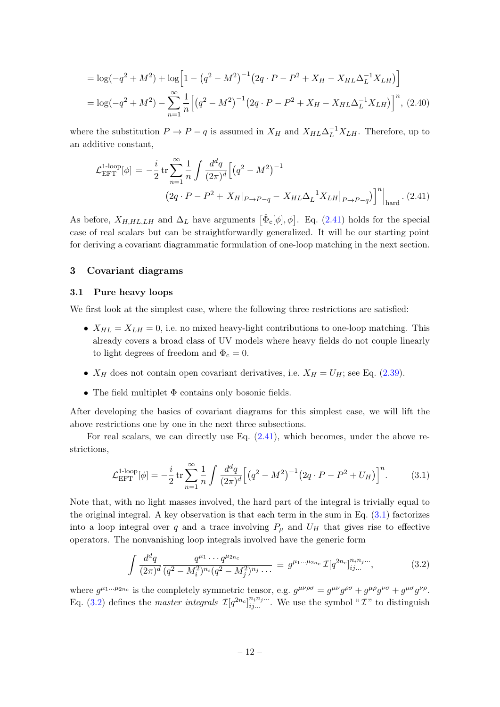$$
= \log(-q^2 + M^2) + \log\left[1 - \left(q^2 - M^2\right)^{-1}\left(2q \cdot P - P^2 + X_H - X_{HL}\Delta_L^{-1}X_{LH}\right)\right]
$$
  
=  $\log(-q^2 + M^2) - \sum_{n=1}^{\infty} \frac{1}{n} \left[ \left(q^2 - M^2\right)^{-1}\left(2q \cdot P - P^2 + X_H - X_{HL}\Delta_L^{-1}X_{LH}\right) \right]^n$ , (2.40)

where the substitution  $P \to P - q$  is assumed in  $X_H$  and  $X_{HL} \Delta_L^{-1} X_{L}$ . Therefore, up to an additive constant,

<span id="page-12-2"></span>
$$
\mathcal{L}_{\text{EFT}}^{\text{1-loop}}[\phi] = -\frac{i}{2} \operatorname{tr} \sum_{n=1}^{\infty} \frac{1}{n} \int \frac{d^d q}{(2\pi)^d} \Big[ \big(q^2 - M^2\big)^{-1} \Big]
$$
  

$$
\left(2q \cdot P - P^2 + X_H|_{P \to P - q} - X_{HL} \Delta_L^{-1} X_{LH}|_{P \to P - q}\right)^n \Big|_{\text{hard}} . (2.41)
$$

As before,  $X_{H,HL,LH}$  and  $\Delta_L$  have arguments  $\left[\hat{\Phi}_c[\phi], \phi\right]$ . Eq. [\(2.41\)](#page-12-2) holds for the special case of real scalars but can be straightforwardly generalized. It will be our starting point for deriving a covariant diagrammatic formulation of one-loop matching in the next section.

## <span id="page-12-0"></span>3 Covariant diagrams

## <span id="page-12-1"></span>3.1 Pure heavy loops

We first look at the simplest case, where the following three restrictions are satisfied:

- $X_{HL} = X_{LH} = 0$ , i.e. no mixed heavy-light contributions to one-loop matching. This already covers a broad class of UV models where heavy fields do not couple linearly to light degrees of freedom and  $\Phi_c = 0$ .
- $X_H$  does not contain open covariant derivatives, i.e.  $X_H = U_H$ ; see Eq. [\(2.39\)](#page-11-6).
- The field multiplet  $Φ$  contains only bosonic fields.

After developing the basics of covariant diagrams for this simplest case, we will lift the above restrictions one by one in the next three subsections.

For real scalars, we can directly use Eq. [\(2.41\)](#page-12-2), which becomes, under the above restrictions,

<span id="page-12-3"></span>
$$
\mathcal{L}_{\rm EFT}^{\rm 1-loop}[\phi] = -\frac{i}{2} \operatorname{tr} \sum_{n=1}^{\infty} \frac{1}{n} \int \frac{d^d q}{(2\pi)^d} \Big[ \big( q^2 - M^2 \big)^{-1} \big( 2q \cdot P - P^2 + U_H \big) \Big]^n. \tag{3.1}
$$

Note that, with no light masses involved, the hard part of the integral is trivially equal to the original integral. A key observation is that each term in the sum in Eq.  $(3.1)$  factorizes into a loop integral over q and a trace involving  $P_\mu$  and  $U_H$  that gives rise to effective operators. The nonvanishing loop integrals involved have the generic form

<span id="page-12-4"></span>
$$
\int \frac{d^d q}{(2\pi)^d} \frac{q^{\mu_1} \cdots q^{\mu_{2n_c}}}{(q^2 - M_i^2)^{n_i} (q^2 - M_j^2)^{n_j} \cdots} \equiv g^{\mu_1 \cdots \mu_{2n_c}} \mathcal{I}[q^{2n_c}]_{ij\ldots}^{n_i n_j \ldots},
$$
(3.2)

where  $g^{\mu_1...\mu_{2n_c}}$  is the completely symmetric tensor, e.g.  $g^{\mu\nu\rho\sigma} = g^{\mu\nu}g^{\rho\sigma} + g^{\mu\rho}g^{\nu\sigma} + g^{\mu\sigma}g^{\nu\rho}$ . Eq. [\(3.2\)](#page-12-4) defines the *master integrals*  $\mathcal{I}[q^{2n_c}]_{ij...}^{n_i n_j...}$ . We use the symbol " $\mathcal{I}$ " to distinguish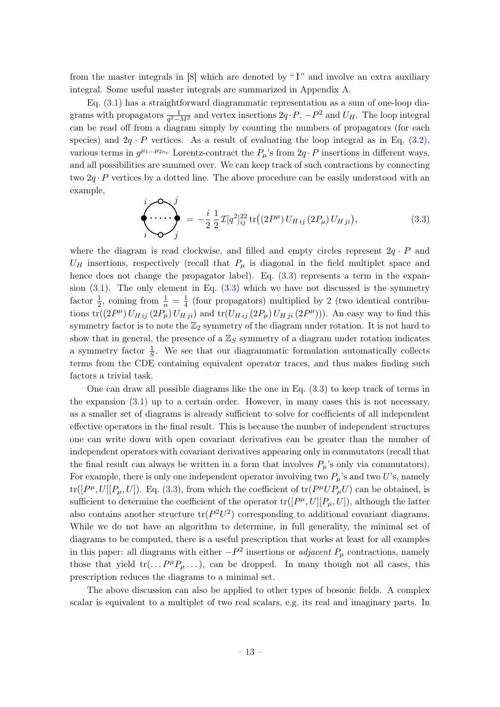from the master integrals in [\[8\]](#page-52-1) which are denoted by " I" and involve an extra auxiliary integral. Some useful master integrals are summarized in Appendix [A.](#page-47-0)

Eq. [\(3.1\)](#page-12-3) has a straightforward diagrammatic representation as a sum of one-loop diagrams with propagators  $\frac{1}{q^2 - M^2}$  and vertex insertions  $2q \cdot P$ ,  $-P^2$  and  $U_H$ . The loop integral can be read off from a diagram simply by counting the numbers of propagators (for each species) and  $2q \cdot P$  vertices. As a result of evaluating the loop integral as in Eq. [\(3.2\)](#page-12-4), various terms in  $g^{\mu_1...\mu_{2n_c}}$  Lorentz-contract the  $P_\mu$ 's from  $2q \cdot P$  insertions in different ways, and all possibilities are summed over. We can keep track of such contractions by connecting two  $2q \cdot P$  vertices by a dotted line. The above procedure can be easily understood with an example,

<span id="page-13-0"></span>
$$
\begin{pmatrix}\ni & \hat{j} & \hat{k} \\
\hat{k} & \hat{k} & \hat{k} \\
\hat{k} & \hat{k} & \hat{k}\n\end{pmatrix} = -\frac{i}{2} \frac{1}{2} \mathcal{I}[q^2]_{ij}^{22} \text{tr}\left((2P^{\mu}) U_{H\,ij} (2P_{\mu}) U_{H\,ji}\right),\tag{3.3}
$$

where the diagram is read clockwise, and filled and empty circles represent  $2q \cdot P$  and  $U_H$  insertions, respectively (recall that  $P_\mu$  is diagonal in the field multiplet space and hence does not change the propagator label). Eq.  $(3.3)$  represents a term in the expansion  $(3.1)$ . The only element in Eq.  $(3.3)$  which we have not discussed is the symmetry factor  $\frac{1}{2}$ , coming from  $\frac{1}{n} = \frac{1}{4}$  $\frac{1}{4}$  (four propagators) multiplied by 2 (two identical contributions  $tr((2P^{\mu}) U_{H ij} (2P_{\mu}) U_{H ji})$  and  $tr(U_{H ij} (2P_{\mu}) U_{H ji} (2P^{\mu}))$ ). An easy way to find this symmetry factor is to note the  $\mathbb{Z}_2$  symmetry of the diagram under rotation. It is not hard to show that in general, the presence of a  $\mathbb{Z}_S$  symmetry of a diagram under rotation indicates a symmetry factor  $\frac{1}{S}$ . We see that our diagrammatic formulation automatically collects terms from the CDE containing equivalent operator traces, and thus makes finding such factors a trivial task.

One can draw all possible diagrams like the one in Eq.  $(3.3)$  to keep track of terms in the expansion  $(3.1)$  up to a certain order. However, in many cases this is not necessary, as a smaller set of diagrams is already sufficient to solve for coefficients of all independent effective operators in the final result. This is because the number of independent structures one can write down with open covariant derivatives can be greater than the number of independent operators with covariant derivatives appearing only in commutators (recall that the final result can always be written in a form that involves  $P_\mu$ 's only via commutators). For example, there is only one independent operator involving two  $P_\mu$ 's and two U's, namely  $tr([P^{\mu}, U][P_{\mu}, U])$ . Eq. [\(3.3\)](#page-13-0), from which the coefficient of  $tr(P^{\mu}UP_{\mu}U)$  can be obtained, is sufficient to determine the coefficient of the operator  $\text{tr}([P^{\mu},U][P_{\mu},U])$ , although the latter also contains another structure  $tr(P^2U^2)$  corresponding to additional covariant diagrams. While we do not have an algorithm to determine, in full generality, the minimal set of diagrams to be computed, there is a useful prescription that works at least for all examples in this paper: all diagrams with either  $-P^2$  insertions or *adjacent*  $P_\mu$  contractions, namely those that yield  $tr(...P^{\mu}P_{\mu}...)$ , can be dropped. In many though not all cases, this prescription reduces the diagrams to a minimal set.

The above discussion can also be applied to other types of bosonic fields. A complex scalar is equivalent to a multiplet of two real scalars, e.g. its real and imaginary parts. In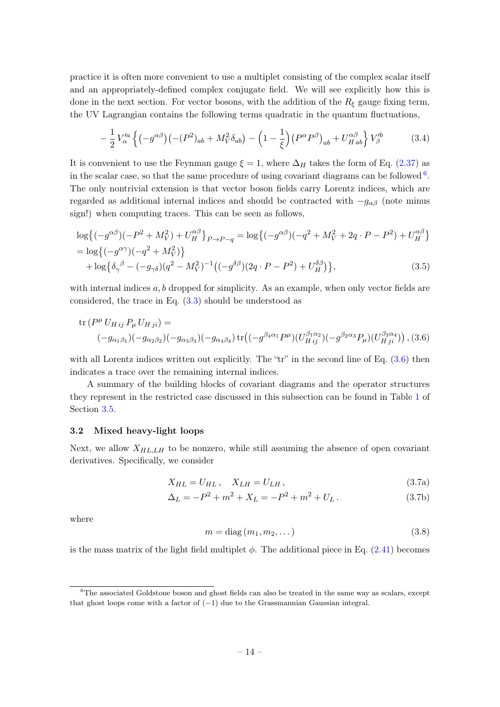practice it is often more convenient to use a multiplet consisting of the complex scalar itself and an appropriately-defined complex conjugate field. We will see explicitly how this is done in the next section. For vector bosons, with the addition of the  $R_{\xi}$  gauge fixing term, the UV Lagrangian contains the following terms quadratic in the quantum fluctuations,

$$
-\frac{1}{2}V_{\alpha}^{\prime a}\left\{(-g^{\alpha\beta})\left(-(P^2)_{ab} + M_V^2 \delta_{ab}\right) - \left(1 - \frac{1}{\xi}\right)\left(P^{\alpha}P^{\beta}\right)_{ab} + U_{Hab}^{\alpha\beta}\right\}V_{\beta}^{\prime b} \tag{3.4}
$$

It is convenient to use the Feynman gauge  $\xi = 1$ , where  $\Delta_H$  takes the form of Eq. [\(2.37\)](#page-11-2) as in the scalar case, so that the same procedure of using covariant diagrams can be followed  $6$ . The only nontrivial extension is that vector boson fields carry Lorentz indices, which are regarded as additional internal indices and should be contracted with  $-g_{\alpha\beta}$  (note minus sign!) when computing traces. This can be seen as follows,

$$
\log\{(-g^{\alpha\beta})(-P^2 + M_V^2) + U_H^{\alpha\beta}\}_{P \to P-q} = \log\{(-g^{\alpha\beta})(-q^2 + M_V^2 + 2q \cdot P - P^2) + U_H^{\alpha\beta}\}\
$$
  
= 
$$
\log\{(-g^{\alpha\gamma})(-q^2 + M_V^2)\}\
$$
  
+ 
$$
\log\{\delta_\gamma{}^\beta - (-g_{\gamma\delta})(q^2 - M_V^2)^{-1}((-g^{\delta\beta})(2q \cdot P - P^2) + U_H^{\delta\beta})\},
$$
 (3.5)

with internal indices  $a, b$  dropped for simplicity. As an example, when only vector fields are considered, the trace in Eq. [\(3.3\)](#page-13-0) should be understood as

<span id="page-14-2"></span>
$$
\text{tr}\,(P^{\mu}\,U_{H\,ij}\,P_{\mu}\,U_{H\,ji}) =
$$
\n
$$
(-g_{\alpha_1\beta_1})(-g_{\alpha_2\beta_2})(-g_{\alpha_3\beta_3})(-g_{\alpha_4\beta_4})\,\text{tr}\left((-g^{\beta_4\alpha_1}P^{\mu})(U_{H\,ij}^{\beta_1\alpha_2})(-g^{\beta_2\alpha_3}P_{\mu})(U_{H\,ji}^{\beta_3\alpha_4})\right), (3.6)
$$

with all Lorentz indices written out explicitly. The "tr" in the second line of Eq.  $(3.6)$  then indicates a trace over the remaining internal indices.

A summary of the building blocks of covariant diagrams and the operator structures they represent in the restricted case discussed in this subsection can be found in Table [1](#page-19-0) of Section [3.5.](#page-18-0)

#### <span id="page-14-0"></span>3.2 Mixed heavy-light loops

Next, we allow  $X_{H L, L H}$  to be nonzero, while still assuming the absence of open covariant derivatives. Specifically, we consider

$$
X_{HL} = U_{HL}, \quad X_{LH} = U_{LH}, \tag{3.7a}
$$

$$
\Delta_L = -P^2 + m^2 + X_L = -P^2 + m^2 + U_L.
$$
\n(3.7b)

where

$$
m = \text{diag}(m_1, m_2, \dots) \tag{3.8}
$$

is the mass matrix of the light field multiplet  $\phi$ . The additional piece in Eq. [\(2.41\)](#page-12-2) becomes

<span id="page-14-1"></span> ${}^{6}$ The associated Goldstone boson and ghost fields can also be treated in the same way as scalars, except that ghost loops come with a factor of  $(-1)$  due to the Grassmannian Gaussian integral.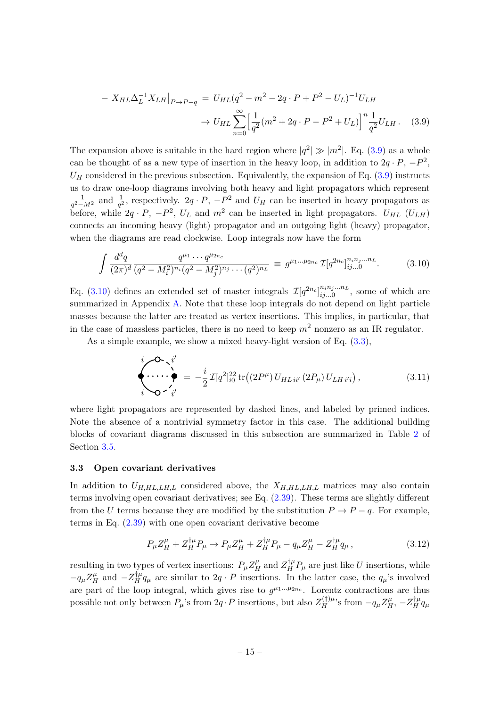<span id="page-15-1"></span>
$$
- X_{HL} \Delta_L^{-1} X_{LH} |_{P \to P-q} = U_{HL} (q^2 - m^2 - 2q \cdot P + P^2 - U_L)^{-1} U_{LH}
$$
  

$$
\to U_{HL} \sum_{n=0}^{\infty} \left[ \frac{1}{q^2} (m^2 + 2q \cdot P - P^2 + U_L) \right]^n \frac{1}{q^2} U_{LH}.
$$
 (3.9)

The expansion above is suitable in the hard region where  $|q^2| \gg |m^2|$ . Eq. [\(3.9\)](#page-15-1) as a whole can be thought of as a new type of insertion in the heavy loop, in addition to  $2q \cdot P$ ,  $-P^2$ ,  $U_H$  considered in the previous subsection. Equivalently, the expansion of Eq.  $(3.9)$  instructs us to draw one-loop diagrams involving both heavy and light propagators which represent 1  $\frac{1}{q^2 - M^2}$  and  $\frac{1}{q^2}$ , respectively.  $2q \cdot P$ ,  $-P^2$  and  $U_H$  can be inserted in heavy propagators as before, while  $2q \cdot P$ ,  $-P^2$ ,  $U_L$  and  $m^2$  can be inserted in light propagators.  $U_{HL}$  ( $U_{LH}$ ) connects an incoming heavy (light) propagator and an outgoing light (heavy) propagator, when the diagrams are read clockwise. Loop integrals now have the form

<span id="page-15-2"></span>
$$
\int \frac{d^d q}{(2\pi)^d} \frac{q^{\mu_1} \cdots q^{\mu_{2n_c}}}{(q^2 - M_i^2)^{n_i} (q^2 - M_j^2)^{n_j} \cdots (q^2)^{n_L}} \equiv g^{\mu_1 \ldots \mu_{2n_c}} \mathcal{I}[q^{2n_c}]_{ij\ldots 0}^{n_i n_j \ldots n_L}.
$$
 (3.10)

Eq. [\(3.10\)](#page-15-2) defines an extended set of master integrals  $\mathcal{I}[q^{2n_c}]_{ii=0}^{n_i n_j...n_L}$  $\sum_{ij...0}^{n_i n_j...n_L}$ , some of which are summarized in Appendix [A.](#page-47-0) Note that these loop integrals do not depend on light particle masses because the latter are treated as vertex insertions. This implies, in particular, that in the case of massless particles, there is no need to keep  $m^2$  nonzero as an IR regulator.

As a simple example, we show a mixed heavy-light version of Eq.  $(3.3)$ ,

$$
\begin{aligned}\n\stackrel{i}{\longleftrightarrow} \stackrel{\bullet}{\longleftrightarrow} \stackrel{i'}{\longleftrightarrow} &= -\frac{i}{2} \mathcal{I}[q^2]_{i0}^{22} \operatorname{tr}\left((2P^{\mu}) U_{HL}{}^{i'}(2P_{\mu}) U_{L}{}^{i'}\right), \\
\stackrel{i}{\longleftrightarrow} \stackrel{i'}{\longleftrightarrow} \stackrel{i'}{\longleftrightarrow} & \end{aligned} \tag{3.11}
$$

where light propagators are represented by dashed lines, and labeled by primed indices. Note the absence of a nontrivial symmetry factor in this case. The additional building blocks of covariant diagrams discussed in this subsection are summarized in Table [2](#page-20-0) of Section [3.5.](#page-18-0)

### <span id="page-15-0"></span>3.3 Open covariant derivatives

In addition to  $U_{H,HL,LH,L}$  considered above, the  $X_{H,HL,LH,L}$  matrices may also contain terms involving open covariant derivatives; see Eq. [\(2.39\)](#page-11-6). These terms are slightly different from the U terms because they are modified by the substitution  $P \to P - q$ . For example, terms in Eq. [\(2.39\)](#page-11-6) with one open covariant derivative become

<span id="page-15-3"></span>
$$
P_{\mu}Z_{H}^{\mu} + Z_{H}^{\dagger \mu}P_{\mu} \to P_{\mu}Z_{H}^{\mu} + Z_{H}^{\dagger \mu}P_{\mu} - q_{\mu}Z_{H}^{\mu} - Z_{H}^{\dagger \mu}q_{\mu}, \qquad (3.12)
$$

resulting in two types of vertex insertions:  $P_{\mu}Z_{H}^{\mu}$  and  $Z_{H}^{\dagger\mu}P_{\mu}$  are just like U insertions, while  $-q_{\mu}Z_{H}^{\mu}$  and  $-Z_{H}^{\dagger\mu}q_{\mu}$  are similar to  $2q \cdot P$  insertions. In the latter case, the  $q_{\mu}$ 's involved are part of the loop integral, which gives rise to  $g^{\mu_1...\mu_{2n_c}}$ . Lorentz contractions are thus possible not only between  $P_\mu$ 's from  $2q \cdot P$  insertions, but also  $Z_H^{(\dagger)\mu}$ 's from  $-q_\mu Z_H^{\mu}$ ,  $-Z_H^{\dagger\mu}q_\mu$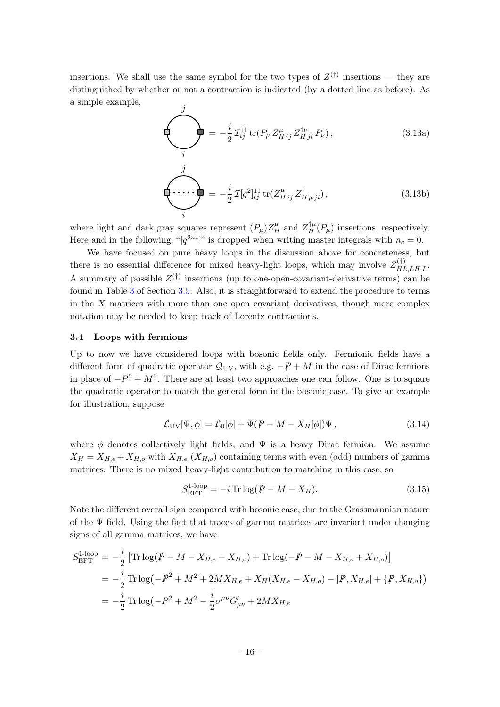insertions. We shall use the same symbol for the two types of  $Z^{(\dagger)}$  insertions — they are distinguished by whether or not a contraction is indicated (by a dotted line as before). As a simple example, j

$$
\sum_{i}^{\prime} = -\frac{i}{2} \mathcal{I}_{ij}^{11} \text{tr}(P_{\mu} Z_{H\,ij}^{\mu} Z_{H\,ji}^{\dagger \nu} P_{\nu}), \qquad (3.13a)
$$

$$
\underbrace{\left(\cdot\ldots\cdot\right)}_{i} = -\frac{i}{2} \mathcal{I}[q^2]_{ij}^{11} \operatorname{tr}(Z_{H\,ij}^{\mu} \, Z_{H\,\mu\,ji}^{\dagger}),\tag{3.13b}
$$

where light and dark gray squares represent  $(P_\mu)Z_H^{\mu}$  and  $Z_H^{\dagger\mu}(P_\mu)$  insertions, respectively. Here and in the following, " $[q^{2n_c}]$ " is dropped when writing master integrals with  $n_c = 0$ .

We have focused on pure heavy loops in the discussion above for concreteness, but there is no essential difference for mixed heavy-light loops, which may involve  $Z_{HL,LH,L}^{(\dagger)}$ . A summary of possible  $Z^{(\dagger)}$  insertions (up to one-open-covariant-derivative terms) can be found in Table [3](#page-20-1) of Section [3.5.](#page-18-0) Also, it is straightforward to extend the procedure to terms in the  $X$  matrices with more than one open covariant derivatives, though more complex notation may be needed to keep track of Lorentz contractions.

#### <span id="page-16-0"></span>3.4 Loops with fermions

Up to now we have considered loops with bosonic fields only. Fermionic fields have a different form of quadratic operator  $\mathcal{Q}_{\text{UV}}$ , with e.g.  $-\cancel{P}+M$  in the case of Dirac fermions in place of  $-P^2 + M^2$ . There are at least two approaches one can follow. One is to square the quadratic operator to match the general form in the bosonic case. To give an example for illustration, suppose

$$
\mathcal{L}_{\rm UV}[\Psi,\phi] = \mathcal{L}_0[\phi] + \bar{\Psi}(\dot{P} - M - X_H[\phi])\Psi,
$$
\n(3.14)

where  $\phi$  denotes collectively light fields, and  $\Psi$  is a heavy Dirac fermion. We assume  $X_H = X_{H,e} + X_{H,o}$  with  $X_{H,e}$  ( $X_{H,o}$ ) containing terms with even (odd) numbers of gamma matrices. There is no mixed heavy-light contribution to matching in this case, so

$$
S_{\text{EFT}}^{\text{1-loop}} = -i \operatorname{Tr} \log(\mathbf{P} - M - X_H). \tag{3.15}
$$

Note the different overall sign compared with bosonic case, due to the Grassmannian nature of the  $\Psi$  field. Using the fact that traces of gamma matrices are invariant under changing signs of all gamma matrices, we have

<span id="page-16-1"></span>
$$
S_{\text{EFT}}^{\text{1-loop}} = -\frac{i}{2} \left[ \text{Tr} \log(\cancel{P} - M - X_{H,e} - X_{H,o}) + \text{Tr} \log(-\cancel{P} - M - X_{H,e} + X_{H,o}) \right]
$$
  
=  $-\frac{i}{2} \text{Tr} \log(-\cancel{P}^2 + M^2 + 2MX_{H,e} + X_H(X_{H,e} - X_{H,o}) - [\cancel{P}, X_{H,e}] + {\cancel{P}, X_{H,o}})$   
=  $-\frac{i}{2} \text{Tr} \log(-P^2 + M^2 - \frac{i}{2} \sigma^{\mu\nu} G'_{\mu\nu} + 2MX_{H,e}$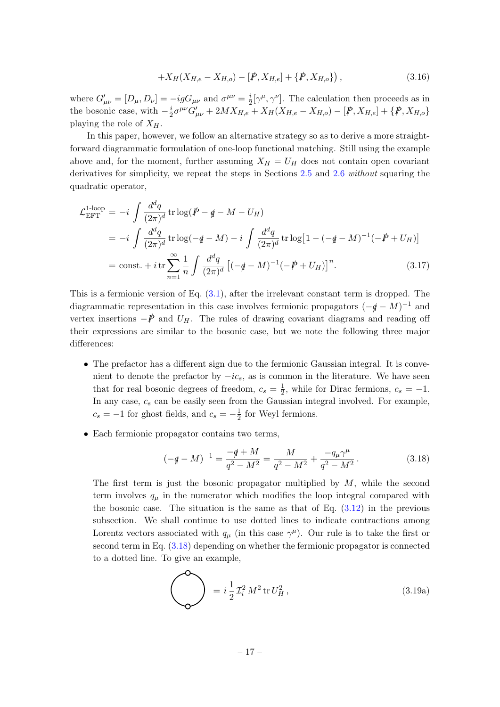$$
+X_H(X_{H,e}-X_{H,o}) - [\not\! P, X_{H,e}] + \{\not\! P, X_{H,o}\}\,,\tag{3.16}
$$

where  $G'_{\mu\nu} = [D_{\mu}, D_{\nu}] = -igG_{\mu\nu}$  and  $\sigma^{\mu\nu} = \frac{i}{2}$  $\frac{i}{2}[\gamma^{\mu}, \gamma^{\nu}]$ . The calculation then proceeds as in the bosonic case, with  $-\frac{i}{2}$  $\frac{i}{2}\sigma^{\mu\nu}G'_{\mu\nu} + 2MX_{H,e} + X_H(X_{H,e} - X_{H,o}) - [\not\! P, X_{H,e}] + {\{\not\! P, X_{H,o}\}}$ playing the role of  $X_H$ .

In this paper, however, we follow an alternative strategy so as to derive a more straightforward diagrammatic formulation of one-loop functional matching. Still using the example above and, for the moment, further assuming  $X_H = U_H$  does not contain open covariant derivatives for simplicity, we repeat the steps in Sections [2.5](#page-10-0) and [2.6](#page-11-0) without squaring the quadratic operator,

<span id="page-17-1"></span>
$$
\mathcal{L}_{\text{EFT}}^{1\text{-loop}} = -i \int \frac{d^d q}{(2\pi)^d} \operatorname{tr} \log(\mathcal{P} - \mathcal{q} - M - U_H)
$$
\n
$$
= -i \int \frac{d^d q}{(2\pi)^d} \operatorname{tr} \log(-\mathcal{q} - M) - i \int \frac{d^d q}{(2\pi)^d} \operatorname{tr} \log[1 - (-\mathcal{q} - M)^{-1}(-\mathcal{P} + U_H)]
$$
\n
$$
= \text{const.} + i \operatorname{tr} \sum_{n=1}^{\infty} \frac{1}{n} \int \frac{d^d q}{(2\pi)^d} [(-\mathcal{q} - M)^{-1}(-\mathcal{P} + U_H)]^n. \tag{3.17}
$$

This is a fermionic version of Eq.  $(3.1)$ , after the irrelevant constant term is dropped. The diagrammatic representation in this case involves fermionic propagators  $(-q - M)^{-1}$  and vertex insertions  $-\dot{P}$  and  $U_H$ . The rules of drawing covariant diagrams and reading off their expressions are similar to the bosonic case, but we note the following three major differences:

- The prefactor has a different sign due to the fermionic Gaussian integral. It is convenient to denote the prefactor by  $-i\epsilon_s$ , as is common in the literature. We have seen that for real bosonic degrees of freedom,  $c_s = \frac{1}{2}$  $\frac{1}{2}$ , while for Dirac fermions,  $c_s = -1$ . In any case,  $c_s$  can be easily seen from the Gaussian integral involved. For example,  $c_s = -1$  for ghost fields, and  $c_s = -\frac{1}{2}$  $\frac{1}{2}$  for Weyl fermions.
- Each fermionic propagator contains two terms,

<span id="page-17-0"></span>
$$
(-q - M)^{-1} = \frac{-q + M}{q^2 - M^2} = \frac{M}{q^2 - M^2} + \frac{-q_\mu \gamma^\mu}{q^2 - M^2}.
$$
 (3.18)

The first term is just the bosonic propagator multiplied by  $M$ , while the second term involves  $q_{\mu}$  in the numerator which modifies the loop integral compared with the bosonic case. The situation is the same as that of Eq.  $(3.12)$  in the previous subsection. We shall continue to use dotted lines to indicate contractions among Lorentz vectors associated with  $q_{\mu}$  (in this case  $\gamma^{\mu}$ ). Our rule is to take the first or second term in Eq. [\(3.18\)](#page-17-0) depending on whether the fermionic propagator is connected to a dotted line. To give an example,

$$
\bigotimes \qquad = i \frac{1}{2} \mathcal{I}_i^2 M^2 \operatorname{tr} U_H^2, \tag{3.19a}
$$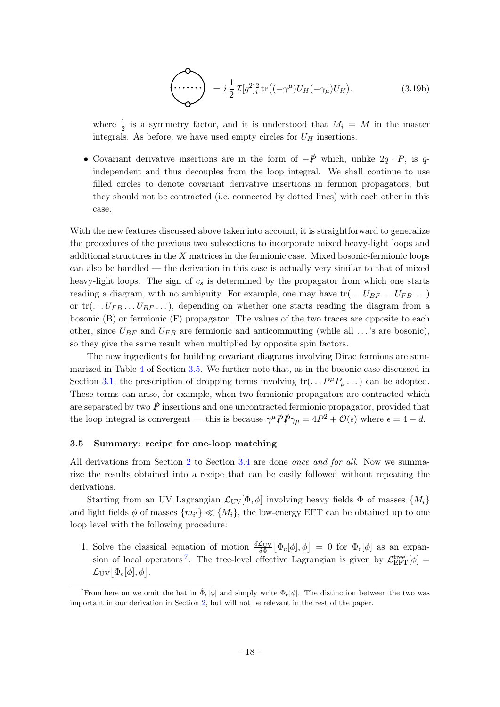$$
\left(\frac{\partial}{\partial u}\right) = i \frac{1}{2} \mathcal{I}[q^2]_i^2 \operatorname{tr}\left((-\gamma^{\mu})U_H(-\gamma_{\mu})U_H\right),\tag{3.19b}
$$

where  $\frac{1}{2}$  is a symmetry factor, and it is understood that  $M_i = M$  in the master integrals. As before, we have used empty circles for  $U_H$  insertions.

• Covariant derivative insertions are in the form of  $-\cancel{p}$  which, unlike  $2q \cdot P$ , is qindependent and thus decouples from the loop integral. We shall continue to use filled circles to denote covariant derivative insertions in fermion propagators, but they should not be contracted (i.e. connected by dotted lines) with each other in this case.

With the new features discussed above taken into account, it is straightforward to generalize the procedures of the previous two subsections to incorporate mixed heavy-light loops and additional structures in the  $X$  matrices in the fermionic case. Mixed bosonic-fermionic loops can also be handled — the derivation in this case is actually very similar to that of mixed heavy-light loops. The sign of  $c_s$  is determined by the propagator from which one starts reading a diagram, with no ambiguity. For example, one may have  $\text{tr}(\ldots U_{BF} \ldots U_{FB} \ldots)$ or  $\text{tr}(\ldots U_{FB} \ldots U_{BF} \ldots)$ , depending on whether one starts reading the diagram from a bosonic (B) or fermionic (F) propagator. The values of the two traces are opposite to each other, since  $U_{BF}$  and  $U_{FB}$  are fermionic and anticommuting (while all ... 's are bosonic), so they give the same result when multiplied by opposite spin factors.

The new ingredients for building covariant diagrams involving Dirac fermions are summarized in Table [4](#page-21-0) of Section [3.5.](#page-18-0) We further note that, as in the bosonic case discussed in Section [3.1,](#page-12-1) the prescription of dropping terms involving  $\text{tr}(\ldots P^{\mu}P_{\mu} \ldots)$  can be adopted. These terms can arise, for example, when two fermionic propagators are contracted which are separated by two  $\vec{P}$  insertions and one uncontracted fermionic propagator, provided that the loop integral is convergent — this is because  $\gamma^{\mu} \mathcal{P} \mathcal{P} \gamma_{\mu} = 4P^2 + \mathcal{O}(\epsilon)$  where  $\epsilon = 4 - d$ .

#### <span id="page-18-0"></span>3.5 Summary: recipe for one-loop matching

All derivations from Section [2](#page-5-0) to Section [3.4](#page-16-0) are done *once and for all.* Now we summarize the results obtained into a recipe that can be easily followed without repeating the derivations.

Starting from an UV Lagrangian  $\mathcal{L}_{UV}[\Phi, \phi]$  involving heavy fields  $\Phi$  of masses  $\{M_i\}$ and light fields  $\phi$  of masses  $\{m_{i'}\} \ll \{M_i\}$ , the low-energy EFT can be obtained up to one loop level with the following procedure:

1. Solve the classical equation of motion  $\frac{\delta \mathcal{L}_{UV}}{\delta \Phi} [\Phi_c[\phi], \phi] = 0$  for  $\Phi_c[\phi]$  as an expan-sion of local operators<sup>[7](#page-18-1)</sup>. The tree-level effective Lagrangian is given by  $\mathcal{L}_{\text{EFT}}^{\text{tree}}[\phi] =$  $\mathcal{L}_{\rm UV}[\Phi_{\rm c}[\phi],\phi]$  .

<span id="page-18-1"></span><sup>&</sup>lt;sup>7</sup>From here on we omit the hat in  $\hat{\Phi}_{c}[\phi]$  and simply write  $\Phi_{c}[\phi]$ . The distinction between the two was important in our derivation in Section [2,](#page-5-0) but will not be relevant in the rest of the paper.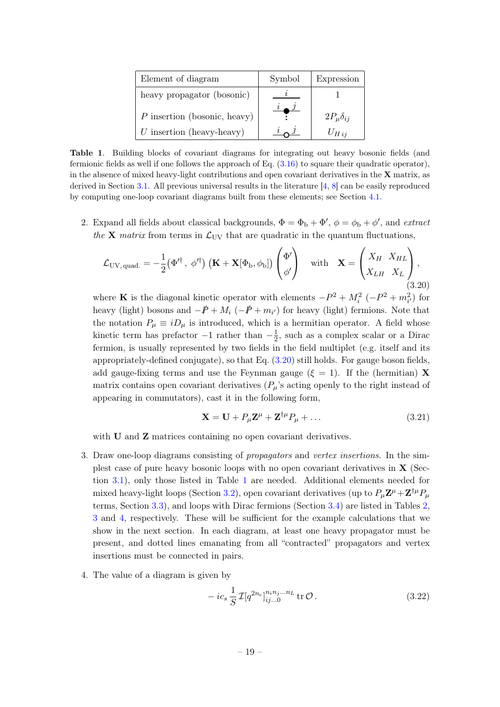| Element of diagram             | Symbol | Expression           |
|--------------------------------|--------|----------------------|
| heavy propagator (bosonic)     |        |                      |
| $P$ insertion (bosonic, heavy) |        | $2P_\mu \delta_{ij}$ |
| $U$ insertion (heavy-heavy)    |        | $U_{H\,ii}$          |

<span id="page-19-0"></span>Table 1. Building blocks of covariant diagrams for integrating out heavy bosonic fields (and fermionic fields as well if one follows the approach of Eq.  $(3.16)$  to square their quadratic operator), in the absence of mixed heavy-light contributions and open covariant derivatives in the  $X$  matrix, as derived in Section [3.1.](#page-12-1) All previous universal results in the literature [\[4,](#page-51-2) [8\]](#page-52-1) can be easily reproduced by computing one-loop covariant diagrams built from these elements; see Section [4.1.](#page-22-1)

2. Expand all fields about classical backgrounds,  $\Phi = \Phi_b + \Phi'$ ,  $\phi = \phi_b + \phi'$ , and extract the **X** matrix from terms in  $\mathcal{L}_{UV}$  that are quadratic in the quantum fluctuations,

<span id="page-19-1"></span>
$$
\mathcal{L}_{\rm UV, \,quad} = -\frac{1}{2} \left( \Phi'^{\dagger}, \, \phi'^{\dagger} \right) \left( \mathbf{K} + \mathbf{X} [\Phi_{\rm b}, \phi_{\rm b}] \right) \begin{pmatrix} \Phi' \\ \phi' \end{pmatrix} \quad \text{with} \quad \mathbf{X} = \begin{pmatrix} X_H & X_{HL} \\ X_{LH} & X_L \end{pmatrix}, \tag{3.20}
$$

where **K** is the diagonal kinetic operator with elements  $-P^2 + M_i^2$  ( $-P^2 + m_{i'}^2$ ) for heavy (light) bosons and  $-\cancel{P} + M_i$  ( $-\cancel{P} + m_{i'}$ ) for heavy (light) fermions. Note that the notation  $P_{\mu} \equiv iD_{\mu}$  is introduced, which is a hermitian operator. A field whose kinetic term has prefactor  $-1$  rather than  $-\frac{1}{2}$  $\frac{1}{2}$ , such as a complex scalar or a Dirac fermion, is usually represented by two fields in the field multiplet (e.g. itself and its appropriately-defined conjugate), so that Eq. [\(3.20\)](#page-19-1) still holds. For gauge boson fields, add gauge-fixing terms and use the Feynman gauge ( $\xi = 1$ ). If the (hermitian) **X** matrix contains open covariant derivatives  $(P_\mu)$ 's acting openly to the right instead of appearing in commutators), cast it in the following form,

$$
\mathbf{X} = \mathbf{U} + P_{\mu} \mathbf{Z}^{\mu} + \mathbf{Z}^{\dagger \mu} P_{\mu} + \dots \tag{3.21}
$$

with **U** and **Z** matrices containing no open covariant derivatives.

- 3. Draw one-loop diagrams consisting of propagators and vertex insertions. In the simplest case of pure heavy bosonic loops with no open covariant derivatives in X (Section [3.1\)](#page-12-1), only those listed in Table [1](#page-19-0) are needed. Additional elements needed for mixed heavy-light loops (Section [3.2\)](#page-14-0), open covariant derivatives (up to  $P_{\mu} \mathbf{Z}^{\mu} + \mathbf{Z}^{\dagger \mu} P_{\mu}$ terms, Section [3.3\)](#page-15-0), and loops with Dirac fermions (Section [3.4\)](#page-16-0) are listed in Tables [2,](#page-20-0) [3](#page-20-1) and [4,](#page-21-0) respectively. These will be sufficient for the example calculations that we show in the next section. In each diagram, at least one heavy propagator must be present, and dotted lines emanating from all "contracted" propagators and vertex insertions must be connected in pairs.
- 4. The value of a diagram is given by

$$
- i c_s \frac{1}{S} \mathcal{I}[q^{2n_c}]_{ij...0}^{n_i n_j ... n_L} \text{ tr } \mathcal{O}. \qquad (3.22)
$$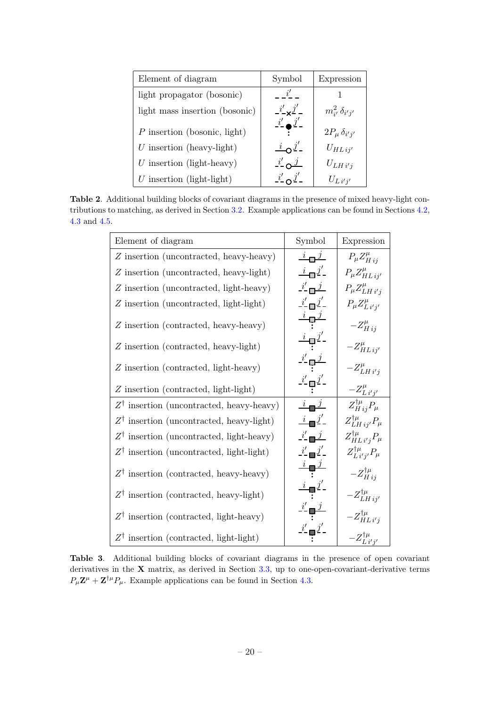| Element of diagram             | Symbol                                  | Expression               |
|--------------------------------|-----------------------------------------|--------------------------|
| light propagator (bosonic)     | i'                                      |                          |
| light mass insertion (bosonic) | $i'_{-\mathbf{x}}j'_{-}$                | $m_{i'}^2 \delta_{i'j'}$ |
| $P$ insertion (bosonic, light) | $\frac{i'}{i}$ $\bullet$ $\frac{j'}{i}$ | $2P_\mu \delta_{i'j'}$   |
| $U$ insertion (heavy-light)    | $i \Omega^{\prime}$                     | $U_{HL}$ ij'             |
| $U$ insertion (light-heavy)    | $i' \nightharpoonup j$                  | $U_{LH i'j}$             |
| $U$ insertion (light-light)    |                                         | $U_{L i' i'}$            |

<span id="page-20-0"></span>Table 2. Additional building blocks of covariant diagrams in the presence of mixed heavy-light contributions to matching, as derived in Section [3.2.](#page-14-0) Example applications can be found in Sections [4.2,](#page-28-0) [4.3](#page-32-0) and [4.5.](#page-42-0)

| Element of diagram                                  | Symbol                                                              | Expression                                   |
|-----------------------------------------------------|---------------------------------------------------------------------|----------------------------------------------|
| Z insertion (uncontracted, heavy-heavy)             | $i \Box$                                                            | $P_{\mu}Z_{H\,ij}^{\mu}$                     |
| Z insertion (uncontracted, heavy-light)             | $\frac{i}{\cdot}$ o $\frac{j'}{\cdot}$                              | $P_{\mu}Z_{HL\,i\,j\prime}^{\mu}$            |
| Z insertion (uncontracted, light-heavy)             | $i'$ $\Box$                                                         | $P_{\mu}Z_{LH i' i}^{\mu}$                   |
| Z insertion (uncontracted, light-light)             | $i'$ $\Box$ $j'$ –                                                  | $P_{\mu}Z_{L i' i'}^{\mu}$                   |
| Z insertion (contracted, heavy-heavy)               | $\stackrel{\imath}{\rightarrow}$ ب $\stackrel{\jmath}{\rightarrow}$ | $-Z_{Hij}^{\mu}$                             |
| Z insertion (contracted, heavy-light)               | $\frac{i}{2}$                                                       | $-Z_{HL\,ij^\prime}^\mu$                     |
| Z insertion (contracted, light-heavy)               | $-\frac{i'}{2}$ $\frac{j}{2}$                                       | $-Z^{\mu}_{LH i' i'}$                        |
| Z insertion (contracted, light-light)               | $\frac{i'}{2}$ םְּ                                                  | $-Z_{L i' j'}^{\mu}$                         |
| $Z^{\dagger}$ insertion (uncontracted, heavy-heavy) | $i \rightarrow j$                                                   | $Z_{H\,ij}^{\dagger\mu}P_{\mu}$              |
| $Z^{\dagger}$ insertion (uncontracted, heavy-light) | $i - j'$                                                            | $Z^{\dagger\mu}_{LH\,ij'}P_\mu$              |
| $Z^{\dagger}$ insertion (uncontracted, light-heavy) | $\frac{i'}{i}$ $\frac{j}{i}$                                        | $Z^{\dagger\mu}_{HL\,i'j}P_\mu$              |
| $Z^{\dagger}$ insertion (uncontracted, light-light) | $i'$ $j'$                                                           | $Z^{\dagger\mu}_{L\,i^\prime j^\prime}P_\mu$ |
| $Z^{\dagger}$ insertion (contracted, heavy-heavy)   |                                                                     | $-Z_{H\,ij}^{\dagger\mu}$                    |
| $Z^{\dagger}$ insertion (contracted, heavy-light)   |                                                                     | $-Z^{\dagger\mu}_{LH\,ij'}$                  |
| $Z^{\dagger}$ insertion (contracted, light-heavy)   |                                                                     | $-Z^{\dagger\mu}_{HL\,i'j}$                  |
| $Z^{\dagger}$ insertion (contracted, light-light)   |                                                                     | $-Z^{\dagger\mu}_{Li'j'}$                    |

<span id="page-20-1"></span>Table 3. Additional building blocks of covariant diagrams in the presence of open covariant derivatives in the X matrix, as derived in Section [3.3,](#page-15-0) up to one-open-covariant-derivative terms  $P_{\mu} \mathbf{Z}^{\mu} + \mathbf{Z}^{\dagger \mu} P_{\mu}$ . Example applications can be found in Section [4.3.](#page-32-0)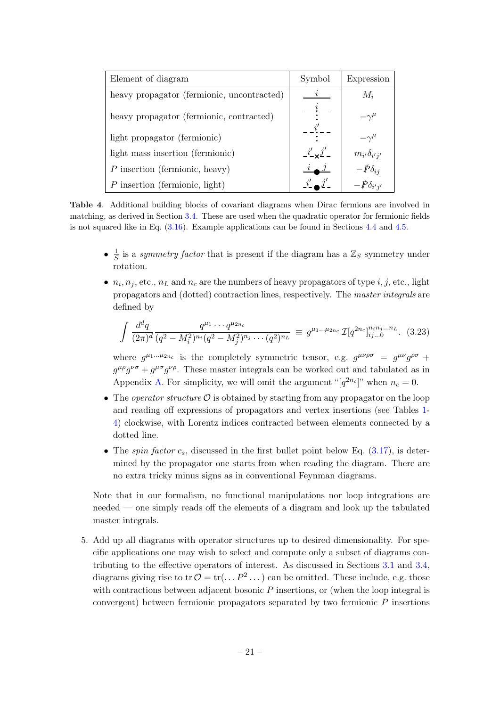| Element of diagram                         | Symbol         | Expression                  |
|--------------------------------------------|----------------|-----------------------------|
| heavy propagator (fermionic, uncontracted) |                | $M_i$                       |
| heavy propagator (fermionic, contracted)   |                | $-\gamma^{\mu}$             |
| light propagator (fermionic)               |                | $-\gamma^\mu$               |
| light mass insertion (fermionic)           | $i' \times j'$ | $m_{i'}\delta_{i'j'}$       |
| $P$ insertion (fermionic, heavy)           |                | $-\cancel{p}_{\delta_{ij}}$ |
| $P$ insertion (fermionic, light)           |                | $-\rlap{\,/}P\delta_{i'j'}$ |

<span id="page-21-0"></span>Table 4. Additional building blocks of covariant diagrams when Dirac fermions are involved in matching, as derived in Section [3.4.](#page-16-0) These are used when the quadratic operator for fermionic fields is not squared like in Eq. [\(3.16\)](#page-16-1). Example applications can be found in Sections [4.4](#page-39-0) and [4.5.](#page-42-0)

- $\bullet$   $\frac{1}{5}$  $\frac{1}{S}$  is a symmetry factor that is present if the diagram has a  $\mathbb{Z}_S$  symmetry under rotation.
- $n_i, n_j$ , etc.,  $n_L$  and  $n_c$  are the numbers of heavy propagators of type  $i, j$ , etc., light propagators and (dotted) contraction lines, respectively. The master integrals are defined by

<span id="page-21-1"></span>
$$
\int \frac{d^d q}{(2\pi)^d} \frac{q^{\mu_1} \cdots q^{\mu_{2n_c}}}{(q^2 - M_i^2)^{n_i} (q^2 - M_j^2)^{n_j} \cdots (q^2)^{n_L}} \equiv g^{\mu_1 \ldots \mu_{2n_c}} \mathcal{I}[q^{2n_c}]_{ij\ldots 0}^{n_i n_j \ldots n_L}.
$$
 (3.23)

where  $g^{\mu_1...\mu_{2n_c}}$  is the completely symmetric tensor, e.g.  $g^{\mu\nu\rho\sigma} = g^{\mu\nu}g^{\rho\sigma} + g^{\mu\nu\rho\sigma}$  $g^{\mu\rho}g^{\nu\sigma} + g^{\mu\sigma}g^{\nu\rho}$ . These master integrals can be worked out and tabulated as in Appendix [A.](#page-47-0) For simplicity, we will omit the argument " $[q^{2n_c}]$ " when  $n_c = 0$ .

- The *operator structure*  $\mathcal O$  is obtained by starting from any propagator on the loop and reading off expressions of propagators and vertex insertions (see Tables [1-](#page-19-0) [4\)](#page-21-0) clockwise, with Lorentz indices contracted between elements connected by a dotted line.
- The spin factor  $c_s$ , discussed in the first bullet point below Eq.  $(3.17)$ , is determined by the propagator one starts from when reading the diagram. There are no extra tricky minus signs as in conventional Feynman diagrams.

Note that in our formalism, no functional manipulations nor loop integrations are needed — one simply reads off the elements of a diagram and look up the tabulated master integrals.

5. Add up all diagrams with operator structures up to desired dimensionality. For specific applications one may wish to select and compute only a subset of diagrams contributing to the effective operators of interest. As discussed in Sections [3.1](#page-12-1) and [3.4,](#page-16-0) diagrams giving rise to tr  $\mathcal{O} = \text{tr}(\dots P^2 \dots)$  can be omitted. These include, e.g. those with contractions between adjacent bosonic  $P$  insertions, or (when the loop integral is convergent) between fermionic propagators separated by two fermionic P insertions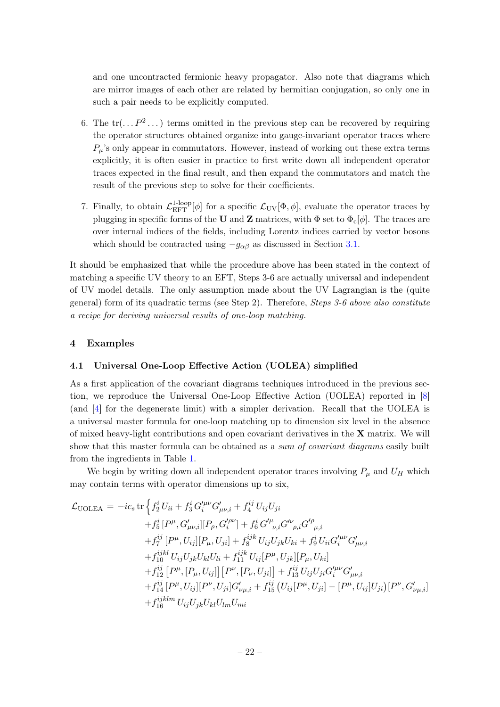and one uncontracted fermionic heavy propagator. Also note that diagrams which are mirror images of each other are related by hermitian conjugation, so only one in such a pair needs to be explicitly computed.

- 6. The  $\text{tr}(\ldots P^2 \ldots)$  terms omitted in the previous step can be recovered by requiring the operator structures obtained organize into gauge-invariant operator traces where  $P_\mu$ 's only appear in commutators. However, instead of working out these extra terms explicitly, it is often easier in practice to first write down all independent operator traces expected in the final result, and then expand the commutators and match the result of the previous step to solve for their coefficients.
- 7. Finally, to obtain  $\mathcal{L}_{\text{EFT}}^{1\text{-loop}}[\phi]$  for a specific  $\mathcal{L}_{\text{UV}}[\Phi,\phi]$ , evaluate the operator traces by plugging in specific forms of the U and Z matrices, with  $\Phi$  set to  $\Phi_c[\phi]$ . The traces are over internal indices of the fields, including Lorentz indices carried by vector bosons which should be contracted using  $-g_{\alpha\beta}$  as discussed in Section [3.1.](#page-12-1)

It should be emphasized that while the procedure above has been stated in the context of matching a specific UV theory to an EFT, Steps 3-6 are actually universal and independent of UV model details. The only assumption made about the UV Lagrangian is the (quite general) form of its quadratic terms (see Step 2). Therefore, *Steps 3-6 above also constitute* a recipe for deriving universal results of one-loop matching.

## <span id="page-22-0"></span>4 Examples

## <span id="page-22-1"></span>4.1 Universal One-Loop Effective Action (UOLEA) simplified

As a first application of the covariant diagrams techniques introduced in the previous section, we reproduce the Universal One-Loop Effective Action (UOLEA) reported in [\[8\]](#page-52-1) (and [\[4\]](#page-51-2) for the degenerate limit) with a simpler derivation. Recall that the UOLEA is a universal master formula for one-loop matching up to dimension six level in the absence of mixed heavy-light contributions and open covariant derivatives in the X matrix. We will show that this master formula can be obtained as a *sum of covariant diagrams* easily built from the ingredients in Table [1.](#page-19-0)

We begin by writing down all independent operator traces involving  $P_{\mu}$  and  $U_H$  which may contain terms with operator dimensions up to six,

<span id="page-22-2"></span>
$$
\mathcal{L}_{\text{UOLEA}} = -ic_{s} \operatorname{tr} \left\{ f_{2}^{i} U_{ii} + f_{3}^{i} G_{i}^{\prime \mu \nu} G_{\mu \nu, i}^{\prime} + f_{4}^{ij} U_{ij} U_{ji} \right.\n+ f_{5}^{i} [P^{\mu}, G_{\mu \nu, i}^{\prime}] [P_{\rho}, G_{i}^{\prime \rho \nu}] + f_{6}^{i} G_{\ \nu, i}^{\prime \mu} G_{\ \rho, i}^{\prime \rho} G_{\ \mu, i}^{\prime \rho} \n+ f_{7}^{ij} [P^{\mu}, U_{ij}] [P_{\mu}, U_{ji}] + f_{8}^{ijk} U_{ij} U_{jk} U_{ki} + f_{9}^{i} U_{ii} G_{i}^{\prime \mu \nu} G_{\mu \nu, i}^{\prime} \n+ f_{10}^{ijkl} U_{ij} U_{jk} U_{kl} U_{li} + f_{11}^{ijk} U_{ij} [P^{\mu}, U_{jk}] [P_{\mu}, U_{ki}] \n+ f_{12}^{ij} [P^{\mu}, [P_{\mu}, U_{ij}]] [P^{\nu}, [P_{\nu}, U_{ji}]] + f_{13}^{ij} U_{ij} U_{ji} G_{i}^{\prime \mu \nu} G_{\mu \nu, i}^{\prime} \n+ f_{14}^{ij} [P^{\mu}, U_{ij}] [P^{\nu}, U_{ji}] G_{\nu \mu, i}^{\prime} + f_{15}^{ij} (U_{ij} [P^{\mu}, U_{ji}] - [P^{\mu}, U_{ij}] U_{ji}) [P^{\nu}, G_{\nu \mu, i}^{\prime}] \n+ f_{16}^{ijklm} U_{ij} U_{jk} U_{kl} U_{lm} U_{mi}
$$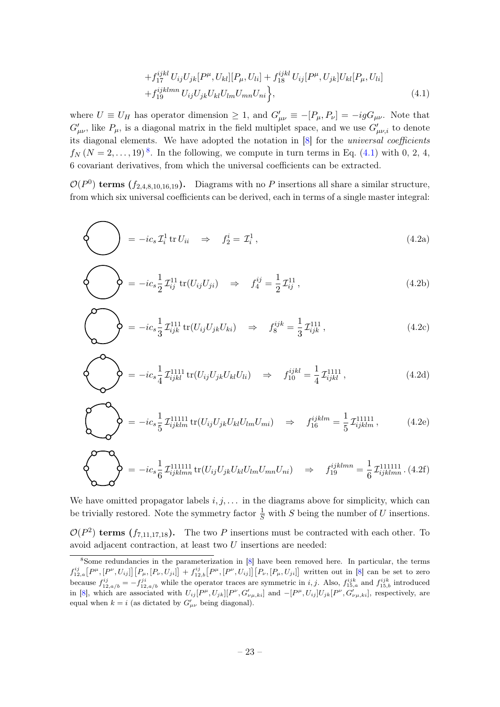$$
+ f_{17}^{ijkl} U_{ij} U_{jk} [P^{\mu}, U_{kl}] [P_{\mu}, U_{li}] + f_{18}^{ijkl} U_{ij} [P^{\mu}, U_{jk}] U_{kl} [P_{\mu}, U_{li}] + f_{19}^{ijklmn} U_{ij} U_{jk} U_{kl} U_{lm} U_{mn} U_{ni} \}, \qquad (4.1)
$$

where  $U \equiv U_H$  has operator dimension  $\geq 1$ , and  $G'_{\mu\nu} \equiv -[P_{\mu}, P_{\nu}] = -igG_{\mu\nu}$ . Note that  $G'_{\mu\nu}$ , like  $P_{\mu}$ , is a diagonal matrix in the field multiplet space, and we use  $G'_{\mu\nu,i}$  to denote its diagonal elements. We have adopted the notation in [\[8\]](#page-52-1) for the universal coefficients  $f_N(N=2,\ldots,19)^8$  $f_N(N=2,\ldots,19)^8$ . In the following, we compute in turn terms in Eq. [\(4.1\)](#page-22-2) with 0, 2, 4, 6 covariant derivatives, from which the universal coefficients can be extracted.

 $\mathcal{O}(P^0)$  terms  $(f_{2,4,8,10,16,19})$ . Diagrams with no P insertions all share a similar structure, from which six universal coefficients can be derived, each in terms of a single master integral:

<span id="page-23-1"></span>
$$
\left\{\bigcup_{i} = -ic_s \mathcal{I}_i^1 \text{tr} U_{ii} \quad \Rightarrow \quad f_2^i = \mathcal{I}_i^1, \tag{4.2a}
$$

$$
\left\{\bigotimes\right\} = -ic_s \frac{1}{2} \mathcal{I}_{ij}^{11} tr(U_{ij} U_{ji}) \Rightarrow f_4^{ij} = \frac{1}{2} \mathcal{I}_{ij}^{11} , \qquad (4.2b)
$$

$$
\begin{pmatrix} 0 & 0 \end{pmatrix} = -ic_s \frac{1}{3} \mathcal{I}_{ijk}^{111} tr(U_{ij} U_{jk} U_{ki}) \Rightarrow f_8^{ijk} = \frac{1}{3} \mathcal{I}_{ijk}^{111}, \qquad (4.2c)
$$

$$
\sum_{i=1}^{\infty} \sum_{j=1}^{\infty} \sum_{j=1}^{n} \mathcal{I}_{ijkl}^{1111} tr(U_{ij} U_{jk} U_{kl} U_{li}) \Rightarrow f_{10}^{ijkl} = \frac{1}{4} \mathcal{I}_{ijkl}^{1111}, \qquad (4.2d)
$$

$$
\sum_{i,j} \sum_{j}^{i} \sum_{j}^{j} \sum_{j}^{j} \sum_{j}^{j} \sum_{j}^{l} U_{ij} U_{jk} U_{kl} U_{lm} U_{mi} \implies f_{16}^{ijklm} = \frac{1}{5} \mathcal{I}_{ijklm}^{11111}, \quad (4.2e)
$$

$$
\sum_{i=1}^{n} \sum_{j=1}^{n} \sum_{j=1}^{n} \sum_{j=1}^{n} U_{ijk l m n} \text{tr}(U_{ij} U_{jk} U_{kl} U_{lm} U_{m n} U_{n i}) \quad \Rightarrow \quad f_{19}^{ijklmn} = \frac{1}{6} \mathcal{I}_{ijklmn}^{111111} \tag{4.2f}
$$

We have omitted propagator labels  $i, j, \ldots$  in the diagrams above for simplicity, which can be trivially restored. Note the symmetry factor  $\frac{1}{S}$  with S being the number of U insertions.

 $\mathcal{O}(P^2)$  terms  $(f_{7,11,17,18})$ . The two P insertions must be contracted with each other. To avoid adjacent contraction, at least two U insertions are needed:

<span id="page-23-0"></span><sup>&</sup>lt;sup>8</sup>Some redundancies in the parameterization in [\[8\]](#page-52-1) have been removed here. In particular, the terms  $f_{12,a}^{ij}[P^{\mu},[P^{\nu},U_{ij}]] [P_{\mu},[P_{\nu},U_{ji}]] + f_{12,b}^{ij}[P^{\mu},[P^{\nu},U_{ij}]] [P_{\nu},[P_{\mu},U_{ji}]]$  written out in [\[8\]](#page-52-1) can be set to zero because  $f_{12,a/b}^{ij} = -f_{12,a/b}^{ji}$  while the operator traces are symmetric in *i*, *j*. Also,  $f_{15,a}^{ijk}$  and  $f_{15,b}^{ijk}$  introduced in [\[8\]](#page-52-1), which are associated with  $U_{ij}[P^{\mu},U_{jk}][P^{\nu},G'_{\nu\mu,ki}]$  and  $-[P^{\mu},U_{ij}]U_{jk}[P^{\nu},G'_{\nu\mu,ki}]$ , respectively, are equal when  $k = i$  (as dictated by  $G'_{\mu\nu}$  being diagonal).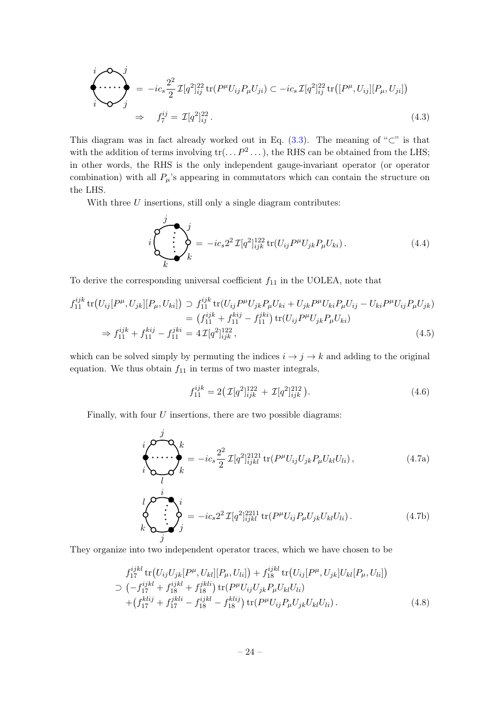<span id="page-24-0"></span>
$$
\begin{aligned}\n\begin{aligned}\n\begin{aligned}\n\mathbf{I} &= -ic_s \frac{2^2}{2} \mathcal{I}[q^2]_{ij}^{22} \, \text{tr}(P^\mu U_{ij} P_\mu U_{ji}) \subset -ic_s \mathcal{I}[q^2]_{ij}^{22} \, \text{tr}\big([P^\mu, U_{ij}][P_\mu, U_{ji}]\big) \\
\mathbf{I} & \rightarrow \quad f_7^{ij} = \mathcal{I}[q^2]_{ij}^{22}.\n\end{aligned}\n\end{aligned}\n\tag{4.3}
$$

This diagram was in fact already worked out in Eq.  $(3.3)$ . The meaning of "⊂" is that with the addition of terms involving  $\text{tr}(\ldots P^2 \ldots)$ , the RHS can be obtained from the LHS; in other words, the RHS is the only independent gauge-invariant operator (or operator combination) with all  $P_\mu$ 's appearing in commutators which can contain the structure on the LHS.

With three  $U$  insertions, still only a single diagram contributes:

<span id="page-24-1"></span>
$$
i\begin{pmatrix} j \\ j \\ k \end{pmatrix}_{k} = -ic_{s}2^{2} \mathcal{I}[q^{2}]_{ijk}^{122} \text{tr}(U_{ij}P^{\mu}U_{jk}P_{\mu}U_{ki}). \tag{4.4}
$$

To derive the corresponding universal coefficient  $f_{11}$  in the UOLEA, note that

$$
f_{11}^{ijk} \operatorname{tr} (U_{ij}[P^{\mu}, U_{jk}][P_{\mu}, U_{ki}]) \supset f_{11}^{ijk} \operatorname{tr} (U_{ij}P^{\mu}U_{jk}P_{\mu}U_{ki} + U_{jk}P^{\mu}U_{ki}P_{\mu}U_{ij} - U_{ki}P^{\mu}U_{ij}P_{\mu}U_{jk})
$$
  
\n
$$
= (f_{11}^{ijk} + f_{11}^{kij} - f_{11}^{jki}) \operatorname{tr} (U_{ij}P^{\mu}U_{jk}P_{\mu}U_{ki})
$$
  
\n
$$
\Rightarrow f_{11}^{ijk} + f_{11}^{kij} - f_{11}^{jki} = 4 \mathcal{I}[q^2]_{ijk}^{122}, \qquad (4.5)
$$

which can be solved simply by permuting the indices  $i \rightarrow j \rightarrow k$  and adding to the original equation. We thus obtain  $f_{11}$  in terms of two master integrals,

$$
f_{11}^{ijk} = 2\left(\mathcal{I}[q^2]_{ijk}^{122} + \mathcal{I}[q^2]_{ijk}^{212}\right). \tag{4.6}
$$

Finally, with four  $U$  insertions, there are two possible diagrams:

j

$$
\begin{aligned}\n\begin{aligned}\n\begin{pmatrix}\n\mathbf{I} & \mathbf{I} \\
\mathbf{I}\n\end{pmatrix} & \mathbf{I} \\
\mathbf{I}\n\end{aligned}\n\mathbf{I}\n\end{aligned}\n\mathbf{I}\n\mathbf{I}\n\mathbf{I}\n\mathbf{I}\n\mathbf{I}\n\mathbf{I}\n\mathbf{I}\n\mathbf{I}\n\mathbf{I}\n\mathbf{I}\n\mathbf{I}\n\mathbf{I}\n\mathbf{I}\n\mathbf{I}\n\mathbf{I}\n\mathbf{I}\n\mathbf{I}\n\mathbf{I}\n\mathbf{I}\n\mathbf{I}\n\mathbf{I}\n\mathbf{I}\n\mathbf{I}\n\mathbf{I}\n\mathbf{I}\n\mathbf{I}\n\mathbf{I}\n\mathbf{I}\n\mathbf{I}\n\mathbf{I}\n\mathbf{I}\n\mathbf{I}\n\mathbf{I}\n\mathbf{I}\n\mathbf{I}\n\mathbf{I}\n\mathbf{I}\n\mathbf{I}\n\mathbf{I}\n\mathbf{I}\n\mathbf{I}\n\mathbf{I}\n\mathbf{I}\n\mathbf{I}\n\mathbf{I}\n\mathbf{I}\n\mathbf{I}\n\mathbf{I}\n\mathbf{I}\n\mathbf{I}\n\mathbf{I}\n\mathbf{I}\n\mathbf{I}\n\mathbf{I}\n\mathbf{I}\n\mathbf{I}\n\mathbf{I}\n\mathbf{I}\n\mathbf{I}\n\mathbf{I}\n\mathbf{I}\n\mathbf{I}\n\mathbf{I}\n\mathbf{I}\n\mathbf{I}\n\mathbf{I}\n\mathbf{I}\n\mathbf{I}\n\mathbf{I}\n\mathbf{I}\n\mathbf{I}\n\mathbf{I}\n\mathbf{I}\n\mathbf{I}\n\mathbf{I}\n\mathbf{I}\n\mathbf{I}\n\mathbf{I}\n\mathbf{I}\n\mathbf{I}\n\mathbf{I}\n\mathbf{I}\n\mathbf{I}\n\mathbf{I}\n\mathbf{I}\n\mathbf{I}\n\mathbf{I}\n\mathbf{I}\n\mathbf{I}\n\mathbf{I}\n\mathbf{I}\n\mathbf{I}\n\mathbf{I}\n\mathbf{I}\n\mathbf{I}\n\mathbf{I}\n\mathbf{
$$

<span id="page-24-2"></span>
$$
\iint_{k}^{i} \mathbf{e}^{-i\mathbf{e}} \mathbf{e}^{-i\mathbf{e}} \mathbf{e}^{2\mathbf{I}[q^{2}]_{ijkl}^{2211}} \operatorname{tr}(P^{\mu}U_{ij}P_{\mu}U_{jk}U_{kl}U_{li}).
$$
\n(4.7b)

They organize into two independent operator traces, which we have chosen to be

$$
f_{17}^{ijkl} \operatorname{tr}(U_{ij}U_{jk}[P^{\mu}, U_{kl}][P_{\mu}, U_{li}]) + f_{18}^{ijkl} \operatorname{tr}(U_{ij}[P^{\mu}, U_{jk}]U_{kl}[P_{\mu}, U_{li}])
$$
  
\n
$$
\supset (-f_{17}^{ijkl} + f_{18}^{ijkl} + f_{18}^{jkli}) \operatorname{tr}(P^{\mu}U_{ij}U_{jk}P_{\mu}U_{kl}U_{li}) + (f_{17}^{klij} + f_{17}^{jkli} - f_{18}^{ijkl} - f_{18}^{klij}) \operatorname{tr}(P^{\mu}U_{ij}P_{\mu}U_{jk}U_{kl}U_{li}). \tag{4.8}
$$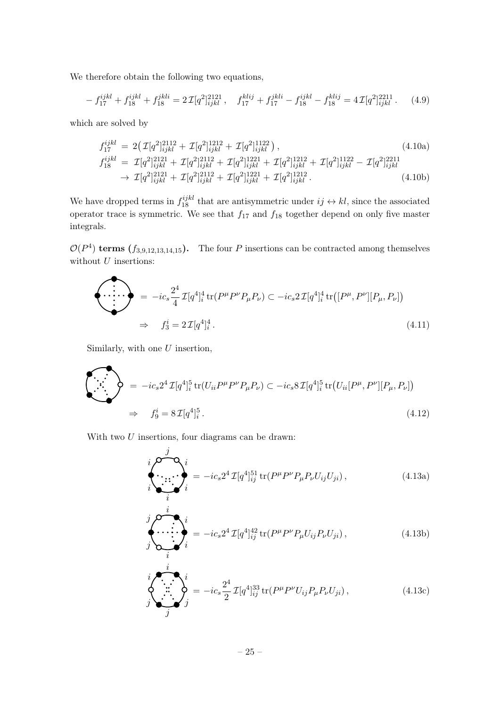We therefore obtain the following two equations,

$$
-f_{17}^{ijkl} + f_{18}^{ijkl} + f_{18}^{jkl} = 2\mathcal{I}[q^2]_{ijkl}^{2121}, \quad f_{17}^{klij} + f_{17}^{jkl} - f_{18}^{ijkl} - f_{18}^{klij} = 4\mathcal{I}[q^2]_{ijkl}^{2211}. \tag{4.9}
$$

which are solved by

$$
f_{17}^{ijkl} = 2(\mathcal{I}[q^{2}]_{ijkl}^{2112} + \mathcal{I}[q^{2}]_{ijkl}^{1212} + \mathcal{I}[q^{2}]_{ijkl}^{1122}),
$$
\n
$$
f_{18}^{ijkl} = \mathcal{I}[q^{2}]_{ijkl}^{2121} + \mathcal{I}[q^{2}]_{ijkl}^{2112} + \mathcal{I}[q^{2}]_{ijkl}^{1221} + \mathcal{I}[q^{2}]_{ijkl}^{1212} + \mathcal{I}[q^{2}]_{ijkl}^{1122} - \mathcal{I}[q^{2}]_{ijkl}^{2211}
$$
\n
$$
\rightarrow \mathcal{I}[q^{2}]_{ijkl}^{2121} + \mathcal{I}[q^{2}]_{ijkl}^{2112} + \mathcal{I}[q^{2}]_{ijkl}^{1221} + \mathcal{I}[q^{2}]_{ijkl}^{1212}.
$$
\n(4.10b)

We have dropped terms in  $f_{18}^{ijkl}$  that are antisymmetric under  $ij \leftrightarrow kl$ , since the associated operator trace is symmetric. We see that  $f_{17}$  and  $f_{18}$  together depend on only five master integrals.

 $\mathcal{O}(P^4)$  terms  $(f_{3,9,12,13,14,15})$ . The four P insertions can be contracted among themselves without  $U$  insertions:

<span id="page-25-0"></span>
$$
\begin{aligned}\n\cdots \\
\begin{aligned}\n&\ddots \\
\downarrow \quad \downarrow\n\end{aligned}\n\end{aligned}\n\implies -ic_s \frac{2^4}{4} \mathcal{I}[q^4]_i^4 \operatorname{tr}(P^\mu P^\nu P_\mu P_\nu) \subset -ic_s 2 \mathcal{I}[q^4]_i^4 \operatorname{tr}([P^\mu, P^\nu][P_\mu, P_\nu]) \\
\Rightarrow \quad f_3^i = 2 \mathcal{I}[q^4]_i^4. \tag{4.11}
$$

Similarly, with one  $U$  insertion,

 $\overline{\phantom{a}}$ 

<span id="page-25-1"></span>
$$
\begin{pmatrix}\n\cdot & \cdot & \cdot \\
\cdot & \cdot & \cdot \\
\cdot & \cdot & \cdot\n\end{pmatrix} = -ic_s 2^4 \mathcal{I}[q^4]_i^5 \text{tr}(U_{ii} P^{\mu} P^{\nu} P_{\mu} P_{\nu}) \subset -ic_s 8 \mathcal{I}[q^4]_i^5 \text{tr}(U_{ii} [P^{\mu}, P^{\nu}][P_{\mu}, P_{\nu}])
$$
\n
$$
\Rightarrow f_9^i = 8 \mathcal{I}[q^4]_i^5. \tag{4.12}
$$

With two  $U$  insertions, four diagrams can be drawn:

$$
i \n\begin{pmatrix}\n\mathbf{j} & \mathbf{k} \\
\mathbf{k} & \mathbf{k} \\
\mathbf{k} & \mathbf{k}\n\end{pmatrix} = -ic_s 2^4 \mathcal{I}[q^4]_{ij}^{51} \text{tr}(P^\mu P^\nu P_\mu P_\nu U_{ij} U_{ji}),
$$
\n(4.13a)

<span id="page-25-2"></span>
$$
\hat{j} \sum_{i}^{i} \sum_{i}^{i} = -ic_s 2^4 \mathcal{I}[q^4]_{ij}^{42} \text{tr}(P^{\mu} P^{\nu} P_{\mu} U_{ij} P_{\nu} U_{ji}), \qquad (4.13b)
$$

$$
\iint_{j}^{i} \sum_{j}^{i} \phi_{j}^{i} = -ic_{s} \frac{2^{4}}{2} \mathcal{I}[q^{4}]_{ij}^{33} \operatorname{tr}(P^{\mu}P^{\nu}U_{ij}P_{\mu}P_{\nu}U_{ji}), \qquad (4.13c)
$$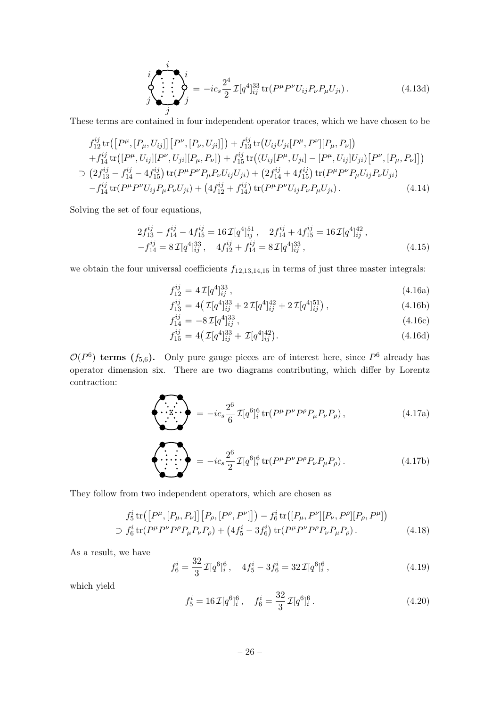$$
\oint_{j}^{i} \sum_{j}^{i} = -ic_{s} \frac{2^{4}}{2} \mathcal{I}[q^{4}]_{ij}^{33} tr(P^{\mu} P^{\nu} U_{ij} P_{\nu} P_{\mu} U_{ji}). \qquad (4.13d)
$$

These terms are contained in four independent operator traces, which we have chosen to be

$$
f_{12}^{ij} \operatorname{tr}([P^{\mu}, [P_{\mu}, U_{ij}]] [P^{\nu}, [P_{\nu}, U_{ji}]]) + f_{13}^{ij} \operatorname{tr}(U_{ij} U_{ji} [P^{\mu}, P^{\nu}][P_{\mu}, P_{\nu}]) + f_{14}^{ij} \operatorname{tr}([P^{\mu}, U_{ij}][P^{\nu}, U_{ji}][P_{\mu}, P_{\nu}]) + f_{15}^{ij} \operatorname{tr}((U_{ij} [P^{\mu}, U_{ji}] - [P^{\mu}, U_{ij}] U_{ji}) [P^{\nu}, [P_{\mu}, P_{\nu}]] ) \supset (2f_{13}^{ij} - f_{14}^{ij} - 4f_{15}^{ij}) \operatorname{tr}(P^{\mu} P^{\nu} P_{\mu} P_{\nu} U_{ij} U_{ji}) + (2f_{14}^{ij} + 4f_{15}^{ij}) \operatorname{tr}(P^{\mu} P^{\nu} P_{\mu} U_{ij} P_{\nu} U_{ji}) - f_{14}^{ij} \operatorname{tr}(P^{\mu} P^{\nu} U_{ij} P_{\mu} P_{\nu} U_{ji}) + (4f_{12}^{ij} + f_{14}^{ij}) \operatorname{tr}(P^{\mu} P^{\nu} U_{ij} P_{\nu} P_{\mu} U_{ji}). \tag{4.14}
$$

Solving the set of four equations,

$$
2f_{13}^{ij} - f_{14}^{ij} - 4f_{15}^{ij} = 16\mathcal{I}[q^4]_{ij}^{51}, \quad 2f_{14}^{ij} + 4f_{15}^{ij} = 16\mathcal{I}[q^4]_{ij}^{42},
$$
  

$$
-f_{14}^{ij} = 8\mathcal{I}[q^4]_{ij}^{33}, \quad 4f_{12}^{ij} + f_{14}^{ij} = 8\mathcal{I}[q^4]_{ij}^{33}, \tag{4.15}
$$

we obtain the four universal coefficients  $f_{12,13,14,15}$  in terms of just three master integrals:

$$
f_{12}^{ij} = 4\,\mathcal{I}[q^4]_{ij}^{33} \,,\tag{4.16a}
$$

$$
f_{13}^{ij} = 4\left(\mathcal{I}[q^4]_{ij}^{33} + 2\mathcal{I}[q^4]_{ij}^{42} + 2\mathcal{I}[q^4]_{ij}^{51}\right),\tag{4.16b}
$$

$$
f_{14}^{ij} = -8\,\mathcal{I}[q^4]_{ij}^{33},\tag{4.16c}
$$

$$
f_{15}^{ij} = 4\left(\mathcal{I}[q^4]_{ij}^{33} + \mathcal{I}[q^4]_{ij}^{42}\right). \tag{4.16d}
$$

 $\mathcal{O}(P^6)$  terms  $(f_{5,6})$ . Only pure gauge pieces are of interest here, since  $P^6$  already has operator dimension six. There are two diagrams contributing, which differ by Lorentz contraction:

<span id="page-26-0"></span>
$$
\left\langle \begin{array}{c} \overbrace{\cdot \cdot \cdot} \\ \overbrace{\cdot \cdot \cdot} \\ \overbrace{\cdot \cdot} \end{array} \right\rangle = -ic_s \frac{2^6}{6} \mathcal{I}[q^6]_i^6 \text{tr}(P^{\mu}P^{\nu}P^{\rho}P_{\mu}P_{\nu}P_{\rho}), \qquad (4.17a)
$$

$$
\left\langle \sum_{i}^{P} \sum_{j}^{P} \mathcal{I}[q^{6}]_{i}^{6} \operatorname{tr}(P^{\mu}P^{\nu}P^{\rho}P_{\nu}P_{\mu}P_{\rho}). \right. \tag{4.17b}
$$

They follow from two independent operators, which are chosen as

$$
f_5^i \text{tr}([P^\mu, [P_\mu, P_\nu]] [P_\rho, [P^\rho, P^\nu]]) - f_6^i \text{tr}([P_\mu, P^\nu][P_\nu, P^\rho][P_\rho, P^\mu])
$$
  
\n
$$
\supset f_6^i \text{tr}(P^\mu P^\nu P^\rho P_\mu P_\nu P_\rho) + (4f_5^i - 3f_6^i) \text{tr}(P^\mu P^\nu P^\rho P_\nu P_\mu P_\rho).
$$
 (4.18)

As a result, we have

$$
f_6^i = \frac{32}{3} \mathcal{I}[q^6]_i^6, \quad 4f_5^i - 3f_6^i = 32 \mathcal{I}[q^6]_i^6, \tag{4.19}
$$

which yield

$$
f_5^i = 16 \mathcal{I}[q^6]_i^6, \quad f_6^i = \frac{32}{3} \mathcal{I}[q^6]_i^6. \tag{4.20}
$$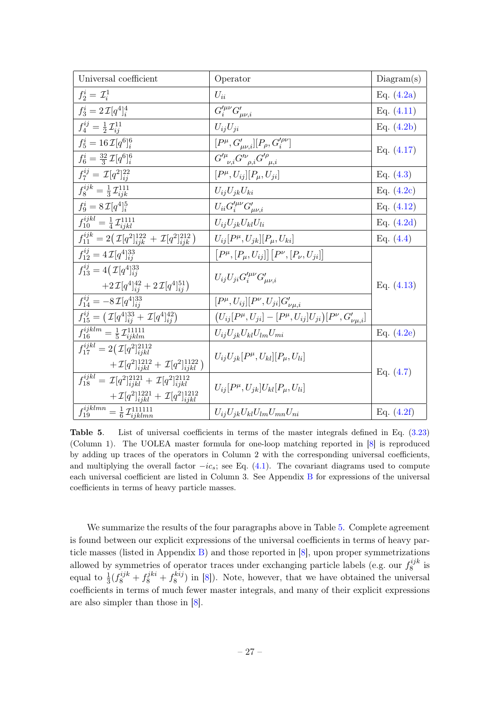| Universal coefficient                                                             | Operator                                                                       | Diagram(s)   |
|-----------------------------------------------------------------------------------|--------------------------------------------------------------------------------|--------------|
| $f_2^i = \mathcal{I}_i^1$                                                         | $U_{ii}$                                                                       | Eq. $(4.2a)$ |
| $f_3^i = 2\,\mathcal{I}[q^4]_i^4$                                                 | $G^{\prime\mu\nu}_i G^{\prime}_{\mu\nu,i}$                                     | Eq. $(4.11)$ |
| $f_4^{ij} = \frac{1}{2} \mathcal{I}_{ii}^{11}$                                    | $U_{ii}U_{ii}$                                                                 | Eq. $(4.2b)$ |
| $f_5^i = 16 \mathcal{I}[q^6]_i^6$                                                 | $[P^{\mu}, G'_{\mu\nu,i}][P_{\rho}, G'^{\rho\nu}_{i}]$                         | Eq. $(4.17)$ |
| $f_6^i = \frac{32}{3} \mathcal{I}[q^6]_i^6$                                       | $\overline{G'^\mu}_{\nu,i}G'^\nu_{\rho,i}G'^\rho_{\mu,i}$                      |              |
| $f_7^{ij} = \mathcal{I}[q^2]_{ii}^{22}$                                           | $[P^{\mu}, U_{ij}][P_{\mu}, U_{ji}]$                                           | Eq. $(4.3)$  |
| $f_8^{ijk} = \frac{1}{3} \mathcal{I}_{ijk}^{111}$                                 | $U_{ij}U_{jk}U_{ki}$                                                           | Eq. $(4.2c)$ |
| $f_9^i = 8 \mathcal{I} [q^4]_i^5$                                                 | $U_{ii}G_i^{\prime\mu\nu}G_{\mu\nu,i}^\prime$                                  | Eq. $(4.12)$ |
| $f_{10}^{ijkl} = \frac{1}{4} \mathcal{I}_{ijkl}^{1111}$                           | $U_{ij}U_{jk}U_{kl}U_{li}$                                                     | Eq. $(4.2d)$ |
| $f_{11}^{ijk} = 2(\mathcal{I}[q^2]_{ijk}^{122} + \mathcal{I}[q^2]_{ijk}^{212})$   | $U_{ij}[P^{\mu},U_{jk}][P_{\mu},U_{ki}]$                                       | Eq. $(4.4)$  |
| $f_{12}^{ij} = 4\mathcal{I}[q^4]_{ii}^{33}$                                       | $[P^{\mu}, [P_{\mu}, U_{ij}]] [P^{\nu}, [P_{\nu}, U_{ji}]]$                    |              |
| $f_{13}^{ij} = 4(\mathcal{I}[q^4]_{ii}^{33})$                                     | $U_{ii}U_{ji}G_i^{\prime\mu\nu}G_{\mu\nu,i}^\prime$                            |              |
| $+2\mathcal{I}[q^4]_{ii}^{42}+2\mathcal{I}[q^4]_{ii}^{51}$                        |                                                                                | Eq. $(4.13)$ |
| $f_{14}^{ij} = -8 \mathcal{I} [q^4]_{ii}^{33}$                                    | $[P^{\mu}, U_{ij}][P^{\nu}, U_{ji}]G'_{\nu\mu,i}$                              |              |
| $f_{15}^{ij} = (\mathcal{I}[q^4]_{ii}^{33} + \mathcal{I}[q^4]_{ii}^{42})$         | $(U_{ij}[P^{\mu}, U_{ji}] - [P^{\mu}, U_{ij}]U_{ji})[P^{\nu}, G'_{\nu\mu, i}]$ |              |
| $f_{16}^{ijklm} = \frac{1}{5} \mathcal{I}_{ijklm}^{11111}$                        | $U_{ij}U_{jk}U_{kl}U_{lm}U_{mi}$                                               | Eq. $(4.2e)$ |
| $f_{17}^{ijkl} = 2(\mathcal{I}[q^2]_{ijkl}^{2112})$                               |                                                                                |              |
| $+\mathcal{I}[q^2]_{ijkl}^{1212}+\mathcal{I}[q^2]_{ijkl}^{1122})$                 | $U_{ii}U_{ik}[P^{\mu},U_{kl}][P_{\mu},U_{li}]$                                 |              |
| $f_{18}^{ijkl} = \mathcal{I}[q^2]_{ijkl}^{2121} + \mathcal{I}[q^2]_{ijkl}^{2112}$ | $U_{ii}[P^{\mu},U_{ik}]U_{kl}[P_{\mu},U_{li}]$                                 | Eq. $(4.7)$  |
| $+\mathcal{I}[q^2]_{ijkl}^{1221} + \mathcal{I}[q^2]_{ijkl}^{1212}$                |                                                                                |              |
| $f_{19}^{ijklmn} = \frac{1}{6} \mathcal{I}_{ijklmn}^{111111}$                     | $U_{ij}U_{jk}U_{kl}U_{lm}U_{mn}U_{ni}$                                         | Eq. $(4.2f)$ |

<span id="page-27-0"></span>Table 5. List of universal coefficients in terms of the master integrals defined in Eq. [\(3.23\)](#page-21-1) (Column 1). The UOLEA master formula for one-loop matching reported in [\[8\]](#page-52-1) is reproduced by adding up traces of the operators in Column 2 with the corresponding universal coefficients, and multiplying the overall factor  $-i\epsilon_s$ ; see Eq. [\(4.1\)](#page-22-2). The covariant diagrams used to compute each universal coefficient are listed in Column 3. See Appendix [B](#page-49-0) for expressions of the universal coefficients in terms of heavy particle masses.

We summarize the results of the four paragraphs above in Table [5.](#page-27-0) Complete agreement is found between our explicit expressions of the universal coefficients in terms of heavy particle masses (listed in Appendix  $\overline{B}$ ) and those reported in [\[8\]](#page-52-1), upon proper symmetrizations allowed by symmetries of operator traces under exchanging particle labels (e.g. our  $f_8^{ijk}$  $s^{ij\kappa}$  is equal to  $\frac{1}{3} (f_8^{ijk} + f_8^{jki} + f_8^{kij}$  $\binom{k}{8}$  in [\[8\]](#page-52-1)). Note, however, that we have obtained the universal coefficients in terms of much fewer master integrals, and many of their explicit expressions are also simpler than those in [\[8\]](#page-52-1).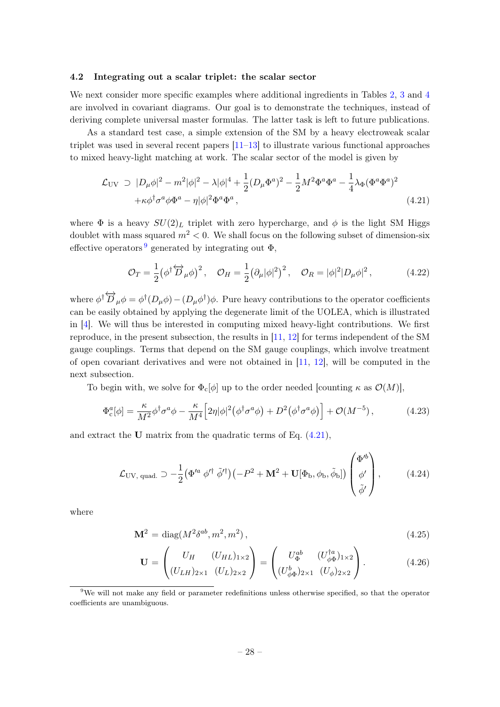#### <span id="page-28-0"></span>4.2 Integrating out a scalar triplet: the scalar sector

We next consider more specific examples where additional ingredients in Tables [2,](#page-20-0) [3](#page-20-1) and [4](#page-21-0) are involved in covariant diagrams. Our goal is to demonstrate the techniques, instead of deriving complete universal master formulas. The latter task is left to future publications.

As a standard test case, a simple extension of the SM by a heavy electroweak scalar triplet was used in several recent papers  $[11-13]$  $[11-13]$  to illustrate various functional approaches to mixed heavy-light matching at work. The scalar sector of the model is given by

<span id="page-28-2"></span>
$$
\mathcal{L}_{\text{UV}} \supset |D_{\mu}\phi|^{2} - m^{2}|\phi|^{2} - \lambda|\phi|^{4} + \frac{1}{2}(D_{\mu}\Phi^{a})^{2} - \frac{1}{2}M^{2}\Phi^{a}\Phi^{a} - \frac{1}{4}\lambda_{\Phi}(\Phi^{a}\Phi^{a})^{2} + \kappa\phi^{\dagger}\sigma^{a}\phi\Phi^{a} - \eta|\phi|^{2}\Phi^{a}\Phi^{a}, \tag{4.21}
$$

where  $\Phi$  is a heavy  $SU(2)_L$  triplet with zero hypercharge, and  $\phi$  is the light SM Higgs doublet with mass squared  $m^2 < 0$ . We shall focus on the following subset of dimension-six effective operators<sup>[9](#page-28-1)</sup> generated by integrating out  $\Phi$ ,

<span id="page-28-3"></span>
$$
\mathcal{O}_T = \frac{1}{2} \left( \phi^\dagger \overleftrightarrow{D}_\mu \phi \right)^2, \quad \mathcal{O}_H = \frac{1}{2} \left( \partial_\mu |\phi|^2 \right)^2, \quad \mathcal{O}_R = |\phi|^2 |D_\mu \phi|^2, \tag{4.22}
$$

where  $\phi^{\dagger} \overleftrightarrow{D}_{\mu} \phi = \phi^{\dagger} (D_{\mu} \phi) - (D_{\mu} \phi^{\dagger}) \phi$ . Pure heavy contributions to the operator coefficients can be easily obtained by applying the degenerate limit of the UOLEA, which is illustrated in [\[4\]](#page-51-2). We will thus be interested in computing mixed heavy-light contributions. We first reproduce, in the present subsection, the results in [\[11,](#page-52-4) [12\]](#page-52-5) for terms independent of the SM gauge couplings. Terms that depend on the SM gauge couplings, which involve treatment of open covariant derivatives and were not obtained in  $[11, 12]$  $[11, 12]$  $[11, 12]$ , will be computed in the next subsection.

To begin with, we solve for  $\Phi_c[\phi]$  up to the order needed [counting  $\kappa$  as  $\mathcal{O}(M)$ ],

$$
\Phi_{\rm c}^{a}[\phi] = \frac{\kappa}{M^2} \phi^{\dagger} \sigma^{a} \phi - \frac{\kappa}{M^4} \Big[ 2\eta |\phi|^2 (\phi^{\dagger} \sigma^{a} \phi) + D^2 (\phi^{\dagger} \sigma^{a} \phi) \Big] + \mathcal{O}(M^{-5}), \tag{4.23}
$$

and extract the U matrix from the quadratic terms of Eq. [\(4.21\)](#page-28-2),

$$
\mathcal{L}_{\rm UV, \;quad} \supset -\frac{1}{2} \left( \Phi^{\prime a} \; \phi^{\prime \dagger} \; \tilde{\phi}^{\prime \dagger} \right) \left( -P^2 + \mathbf{M}^2 + \mathbf{U}[\Phi_b, \phi_b, \tilde{\phi}_b] \right) \begin{pmatrix} \Phi^{\prime b} \\ \phi^{\prime} \\ \tilde{\phi}^{\prime} \end{pmatrix}, \tag{4.24}
$$

where

$$
\mathbf{M}^2 = \text{diag}(M^2 \delta^{ab}, m^2, m^2), \qquad (4.25)
$$

$$
\mathbf{U} = \begin{pmatrix} U_H & (U_{HL})_{1\times 2} \\ (U_{LH})_{2\times 1} & (U_L)_{2\times 2} \end{pmatrix} = \begin{pmatrix} U_{\Phi}^{ab} & (U_{\phi\Phi}^{\dagger a})_{1\times 2} \\ (U_{\phi\Phi}^b)_{2\times 1} & (U_{\phi})_{2\times 2} \end{pmatrix} .
$$
 (4.26)

<span id="page-28-1"></span><sup>&</sup>lt;sup>9</sup>We will not make any field or parameter redefinitions unless otherwise specified, so that the operator coefficients are unambiguous.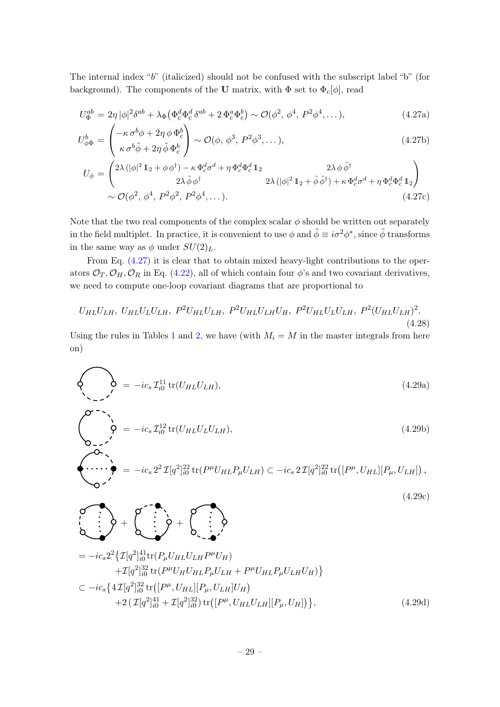The internal index "b" (italicized) should not be confused with the subscript label "b" (for background). The components of the U matrix, with  $\Phi$  set to  $\Phi_c[\phi]$ , read

<span id="page-29-0"></span>
$$
U_{\Phi}^{ab} = 2\eta |\phi|^2 \delta^{ab} + \lambda_{\Phi} \left( \Phi_c^d \Phi_c^d \delta^{ab} + 2 \Phi_c^a \Phi_c^b \right) \sim \mathcal{O}(\phi^2, \phi^4, P^2 \phi^4, \dots),
$$
\n
$$
\left( \kappa \sigma_b^b + 2 \gamma_b \phi_b^b \right) \tag{4.27a}
$$

$$
U_{\phi\Phi}^{b} = \begin{pmatrix} -\kappa \,\sigma^{b}\phi + 2\eta \,\phi \,\Phi_{c}^{b} \\ \kappa \,\sigma^{b}\tilde{\phi} + 2\eta \,\tilde{\phi} \,\Phi_{c}^{b} \end{pmatrix} \sim \mathcal{O}(\phi, \,\phi^{3}, \, P^{2}\phi^{3}, \dots), \tag{4.27b}
$$

$$
U_{\phi} = \begin{pmatrix} 2\lambda \left( |\phi|^2 \mathbb{1}_2 + \phi \phi^{\dagger} \right) - \kappa \Phi_{\rm c}^d \sigma^d + \eta \Phi_{\rm c}^d \Phi_{\rm c}^d \mathbb{1}_2 & 2\lambda \phi \tilde{\phi}^{\dagger} \\ 2\lambda \tilde{\phi} \phi^{\dagger} & 2\lambda \left( |\phi|^2 \mathbb{1}_2 + \tilde{\phi} \tilde{\phi}^{\dagger} \right) + \kappa \Phi_{\rm c}^d \sigma^d + \eta \Phi_{\rm c}^d \Phi_{\rm c}^d \mathbb{1}_2 \\ \sim \mathcal{O}(\phi^2, \phi^4, P^2 \phi^2, P^2 \phi^4, \dots). \end{pmatrix} \tag{4.27c}
$$

Note that the two real components of the complex scalar  $\phi$  should be written out separately in the field multiplet. In practice, it is convenient to use  $\phi$  and  $\tilde{\phi} \equiv i\sigma^2 \phi^*$ , since  $\tilde{\phi}$  transforms in the same way as  $\phi$  under  $SU(2)_L$ .

From Eq. [\(4.27\)](#page-29-0) it is clear that to obtain mixed heavy-light contributions to the operators  $\mathcal{O}_T$ ,  $\mathcal{O}_H$ ,  $\mathcal{O}_R$  in Eq. [\(4.22\)](#page-28-3), all of which contain four  $\phi$ 's and two covariant derivatives, we need to compute one-loop covariant diagrams that are proportional to

$$
U_{HL}U_{LH}, U_{HL}U_{L}U_{LH}, P^2 U_{HL}U_{LH}, P^2 U_{HL}U_{LH}U_{H}, P^2 U_{HL}U_{L}U_{LH}, P^2 (U_{HL}U_{LH})^2. \tag{4.28}
$$

Using the rules in Tables [1](#page-19-0) and [2,](#page-20-0) we have (with  $M_i = M$  in the master integrals from here on)

<span id="page-29-1"></span>
$$
\left\{\bigotimes_{\Delta} = -ic_s \mathcal{I}_{i0}^{11} \text{tr}(U_{HL}U_{LH}),\right\} \tag{4.29a}
$$

$$
\begin{pmatrix}\n\mathbf{O}^{-1} \\
\mathbf{O} & -ic_s \mathcal{I}_{i0}^{12} \operatorname{tr}(U_{HL} U_L U_{LH}), \\
\mathbf{O} & -c\n\end{pmatrix} \tag{4.29b}
$$

$$
\begin{pmatrix}\n\cdots \\
\cdots \\
\odot\n\end{pmatrix} = -ic_s 2^2 \mathcal{I}[q^2]_{i0}^{22} tr(P^{\mu} U_{HL} P_{\mu} U_{LH}) \subset -ic_s 2 \mathcal{I}[q^2]_{i0}^{22} tr([P^{\mu}, U_{HL}][P_{\mu}, U_{LH}]),
$$
\n(4.39)

 $\begin{pmatrix} 1 \\ 1 \end{pmatrix} + \begin{pmatrix} 1 \\ 1 \end{pmatrix} + \begin{pmatrix} 1 \\ 1 \end{pmatrix} + \begin{pmatrix} 1 \\ 1 \end{pmatrix} + \begin{pmatrix} 1 \\ 1 \end{pmatrix}$ 

(4.29c)

$$
= -ic_s 2^2 \{ \mathcal{I}[q^2]_{i0}^{41} tr(P_\mu U_{HL} U_{LH} P^\mu U_H) + \mathcal{I}[q^2]_{i0}^{32} tr(P^\mu U_H U_{HL} P_\mu U_{LH} + P^\mu U_{HL} P_\mu U_{LH} U_H) \} \n\subset -ic_s \{ 4\mathcal{I}[q^2]_{i0}^{32} tr([P^\mu, U_{HL}][P_\mu, U_{LH}] U_H) + 2(\mathcal{I}[q^2]_{i0}^{41} + \mathcal{I}[q^2]_{i0}^{32}) tr([P^\mu, U_{HL} U_{LH}][P_\mu, U_H]) \} ,
$$
\n(4.29d)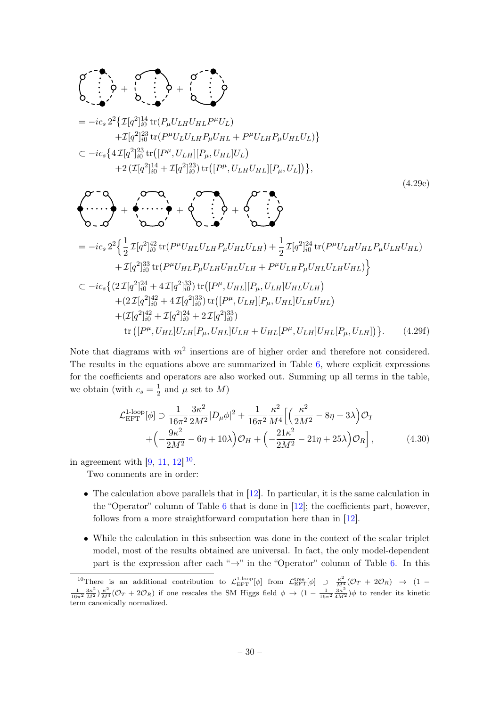$$
\begin{split}\n\mathcal{O} &\longrightarrow \\
\mathcal{O} &\longrightarrow \\
\mathcal{O} &\longrightarrow \\
\mathcal{O} &\longrightarrow \\
\mathcal{O} &\longrightarrow \\
\mathcal{O} &\longrightarrow \\
\mathcal{O} &\longrightarrow \\
\mathcal{O} &\longrightarrow \\
\mathcal{O} &\longrightarrow \\
\mathcal{O} &\longrightarrow \\
\mathcal{O} &\longrightarrow \\
\mathcal{O} &\longrightarrow \\
\mathcal{O} &\longrightarrow \\
\mathcal{O} &\longrightarrow \\
\mathcal{O} &\longrightarrow \\
\mathcal{O} &\longrightarrow \\
\mathcal{O} &\longrightarrow \\
\mathcal{O} &\longrightarrow \\
\mathcal{O} &\longrightarrow \\
\mathcal{O} &\longrightarrow \\
\mathcal{O} &\longrightarrow \\
\mathcal{O} &\longrightarrow \\
\mathcal{O} &\longrightarrow \\
\mathcal{O} &\longrightarrow \\
\mathcal{O} &\longrightarrow \\
\mathcal{O} &\longrightarrow \\
\mathcal{O} &\longrightarrow \\
\mathcal{O} &\longrightarrow \\
\mathcal{O} &\longrightarrow \\
\mathcal{O} &\longrightarrow \\
\mathcal{O} &\longrightarrow \\
\mathcal{O} &\longrightarrow \\
\mathcal{O} &\longrightarrow \\
\mathcal{O} &\longrightarrow \\
\mathcal{O} &\longrightarrow \\
\mathcal{O} &\longrightarrow \\
\mathcal{O} &\longrightarrow \\
\mathcal{O} &\longrightarrow \\
\mathcal{O} &\longrightarrow \\
\mathcal{O} &\longrightarrow \\
\mathcal{O} &\longrightarrow \\
\mathcal{O} &\longrightarrow \\
\mathcal{O} &\longrightarrow \\
\mathcal{O} &\longrightarrow \\
\mathcal{O} &\longrightarrow \\
\mathcal{O} &\longrightarrow \\
\mathcal{O} &\longrightarrow \\
\mathcal{O} &\longrightarrow \\
\mathcal{O} &\longrightarrow \\
\mathcal{O} &\longrightarrow \\
\mathcal{O} &\longrightarrow \\
\mathcal{O} &\longrightarrow \\
\mathcal{O} &\longrightarrow \\
\mathcal{O} &\longrightarrow \\
\mathcal{O} &\longrightarrow \\
\mathcal{O} &\longrightarrow \\
\mathcal{O} &\longrightarrow \\
\mathcal{O} &\longrightarrow \\
\mathcal{O} &\longrightarrow \\
\mathcal{O} &\longrightarrow \\
\mathcal{O} &\longrightarrow \\
\mathcal{O} &\longrightarrow \\
\mathcal{O} &\longrightarrow \\
\mathcal{O} &\longrightarrow \\
\mathcal{O} &\longrightarrow \\
\mathcal{O} &\longrightarrow \\
\mathcal{O} &\longrightarrow \\
\mathcal{O} &\longrightarrow \\
\mathcal{O} &\longrightarrow \\
\mathcal{O} &\longrightarrow \\
\mathcal{O} &\longrightarrow \\
\mathcal{O} &\longrightarrow \\
\mathcal{O} &\longrightarrow \\
\mathcal{O} &\longrightarrow \\
\mathcal{O} &\longrightarrow \\
\mathcal{
$$

Note that diagrams with  $m^2$  insertions are of higher order and therefore not considered. The results in the equations above are summarized in Table [6,](#page-31-0) where explicit expressions for the coefficients and operators are also worked out. Summing up all terms in the table, we obtain (with  $c_s = \frac{1}{2}$ )  $\frac{1}{2}$  and  $\mu$  set to M)

$$
\mathcal{L}_{\text{EFT}}^{1\text{-loop}}[\phi] \supset \frac{1}{16\pi^2} \frac{3\kappa^2}{2M^2} |D_\mu \phi|^2 + \frac{1}{16\pi^2} \frac{\kappa^2}{M^4} \Big[ \Big( \frac{\kappa^2}{2M^2} - 8\eta + 3\lambda \Big) \mathcal{O}_T + \Big( -\frac{9\kappa^2}{2M^2} - 6\eta + 10\lambda \Big) \mathcal{O}_H + \Big( -\frac{21\kappa^2}{2M^2} - 21\eta + 25\lambda \Big) \mathcal{O}_R \Big],
$$
(4.30)

in agreement with  $[9, 11, 12]$  $[9, 11, 12]$  $[9, 11, 12]$  $[9, 11, 12]$  $[9, 11, 12]$ <sup>[10](#page-30-0)</sup>.

Two comments are in order:

- The calculation above parallels that in [\[12\]](#page-52-5). In particular, it is the same calculation in the "Operator" column of Table [6](#page-31-0) that is done in [\[12\]](#page-52-5); the coefficients part, however, follows from a more straightforward computation here than in [\[12\]](#page-52-5).
- While the calculation in this subsection was done in the context of the scalar triplet model, most of the results obtained are universal. In fact, the only model-dependent part is the expression after each " $\rightarrow$ " in the "Operator" column of Table [6.](#page-31-0) In this

<span id="page-30-0"></span><sup>&</sup>lt;sup>10</sup>There is an additional contribution to  $\mathcal{L}^{1\text{-loop}}_{\text{EFT}}[\phi]$  from  $\mathcal{L}^{\text{tree}}_{\text{EFT}}[\phi] \supset \frac{\kappa^2}{M^4}(\mathcal{O}_T + 2\mathcal{O}_R) \rightarrow (1 - \frac{1}{16\pi^2} \frac{3\kappa^2}{M^2})\frac{\kappa^2}{M^4}(\mathcal{O}_T + 2\mathcal{O}_R)$  if one rescales the SM Higgs term canonically normalized.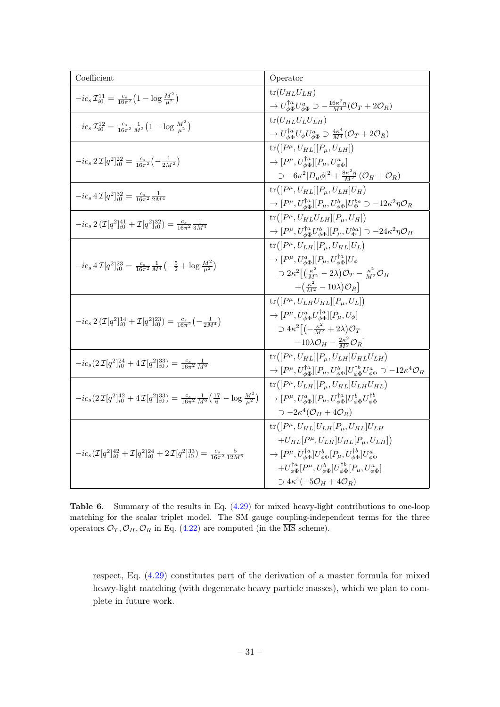| Coefficient                                                                                                                                    | Operator                                                                                                                                               |  |
|------------------------------------------------------------------------------------------------------------------------------------------------|--------------------------------------------------------------------------------------------------------------------------------------------------------|--|
|                                                                                                                                                | $tr(U_{HL}U_{LH})$                                                                                                                                     |  |
| $-ic_s\mathcal{I}_{i0}^{11} = \frac{c_s}{16\pi^2}\left(1 - \log \frac{M^2}{\mu^2}\right)$                                                      | $\rightarrow U^{\dagger a}_{\phi \Phi} U^a_{\phi \Phi} \supset -\frac{16\kappa^2 \eta}{M^4} (\mathcal{O}_T + 2\mathcal{O}_R)$                          |  |
| $-ic_sT_{i0}^{12}=\frac{c_s}{16\pi^2}\frac{1}{M^2}\left(1-\log \frac{M^2}{\mu^2}\right)$                                                       | $tr(U_{HL}U_LU_{LH})$                                                                                                                                  |  |
|                                                                                                                                                | $\rightarrow U_{\phi\Phi}^{\dagger a} U_{\phi} U_{\phi\Phi}^a \supset \frac{4\kappa^4}{M^4} (\mathcal{O}_T + 2\mathcal{O}_R)$                          |  |
|                                                                                                                                                | $\text{tr}([P^{\mu},U_{HL}][P_{\mu},U_{LH}])$                                                                                                          |  |
| $-ic_s 2\mathcal{I}[q^2]_{i0}^{22} = \frac{c_s}{16\pi^2} \left(-\frac{1}{2M^2}\right)$                                                         | $\rightarrow [P^{\mu}, U^{\dagger a}_{\phi\phi}][P_{\mu}, U^{a}_{\phi\phi}]$                                                                           |  |
|                                                                                                                                                | $\supset -6\kappa^2 D_\mu\phi ^2+\frac{8\kappa^2\eta}{M^2}\left(\mathcal{O}_H+\mathcal{O}_R\right)$                                                    |  |
|                                                                                                                                                | $\text{tr}([P^{\mu},U_{HL}][P_{\mu},U_{LH}]U_H)$                                                                                                       |  |
| $-ic_s 4\mathcal{I}[q^2]_{i0}^{32} = \frac{c_s}{16\pi^2} \frac{1}{2M^4}$                                                                       | $\to [P^\mu,U_{\phi\Phi}^{\dagger a}] [P_\mu,U_{\phi\Phi}^b] U_\Phi^{ba}\supset -12\kappa^2\eta\mathcal{O}_R$                                          |  |
| $-ic_s 2 \left(\mathcal{I}[q^2]_{i0}^{41} + \mathcal{I}[q^2]_{i0}^{32}\right) = \frac{c_s}{16\pi^2} \frac{1}{3M^4}$                            | $\text{tr}([P^{\mu},U_{HL}U_{LH}][P_{\mu},U_{H}])$                                                                                                     |  |
|                                                                                                                                                | $\rightarrow [P^{\mu}, U_{\phi\Phi}^{\dagger a}U_{\phi\Phi}^b][P_{\mu}, U_{\Phi}^{ba}] \supset -24\kappa^2\eta\mathcal{O}_H$                           |  |
|                                                                                                                                                | $\text{tr}([P^{\mu},U_{LH}][P_{\mu},U_{HL}]U_L)$                                                                                                       |  |
|                                                                                                                                                | $\rightarrow [P^{\mu},U^a_{\phi\Phi}][P_{\mu},U^{\dagger a}_{\phi\Phi}]U_{\phi}$                                                                       |  |
| $-ic_s 4\mathcal{I}[q^2]_{i0}^{23} = \frac{c_s}{16\pi^2} \frac{1}{M^4} \left(-\frac{5}{2} + \log \frac{M^2}{\mu^2}\right)$                     | $\supset 2\kappa^2\left[\left(\frac{\kappa^2}{M^2}-2\lambda\right)\mathcal{O}_T-\frac{\kappa^2}{M^2}\mathcal{O}_H\right]$                              |  |
|                                                                                                                                                | $+\left(\frac{\kappa^2}{M^2}-10\lambda\right)\mathcal{O}_R$                                                                                            |  |
|                                                                                                                                                | $\text{tr}([P^{\mu},U_{LH}U_{HL}][P_{\mu},U_{L}])$                                                                                                     |  |
|                                                                                                                                                | $\rightarrow [P^{\mu}, U_{\phi\Phi}^{a}U_{\phi\Phi}^{\dagger a}][P_{\mu}, U_{\phi}]$                                                                   |  |
| $-ic_s 2(\mathcal{I}[q^2]_{i0}^{14} + \mathcal{I}[q^2]_{i0}^{23}) = \frac{c_s}{16\pi^2}(-\frac{1}{2M^4})$                                      | $\supset 4\kappa^2\left[\left(-\frac{\kappa^2}{M^2}+2\lambda\right)\mathcal{O}_T\right]$                                                               |  |
|                                                                                                                                                | $-10\lambda \mathcal{O}_H - \frac{2\kappa^2}{M^2}\mathcal{O}_R$                                                                                        |  |
|                                                                                                                                                | $\text{tr}([P^{\mu},U_{HL}][P_{\mu},U_{LH}]U_{HL}U_{LH})$                                                                                              |  |
| $-ic_s(2\mathcal{I}[q^2]_{i0}^{24}+4\mathcal{I}[q^2]_{i0}^{33})=\frac{c_s}{16\pi^2}\frac{1}{M^6}$                                              | $\rightarrow [P^{\mu},U_{\phi\Phi}^{\dagger a}] [P_{\mu},U_{\phi\Phi}^{b}] U_{\phi\Phi}^{\dagger b} U_{\phi\Phi}^{a}\supset -12\kappa^4 \mathcal{O}_R$ |  |
|                                                                                                                                                | $\text{tr}([P^{\mu},U_{LH}][P_{\mu},U_{HL}]U_{LH}U_{HL})$                                                                                              |  |
| $-ic_s(2\mathcal{I}[q^2]_{i0}^{42}+4\mathcal{I}[q^2]_{i0}^{33})=\frac{c_s}{16\pi^2}\frac{1}{M^6}\left(\frac{17}{6}-\log\frac{M^2}{n^2}\right)$ | $\rightarrow [P^{\mu}, U^a_{\phi\Phi}][P_{\mu}, U^{\dagger a}_{\phi\Phi}]U^b_{\phi\Phi}U^{\dagger b}_{\phi\Phi}$                                       |  |
|                                                                                                                                                | $\supset -2\kappa^4(\mathcal{O}_H+4\mathcal{O}_R)$                                                                                                     |  |
|                                                                                                                                                | $\text{tr}([P^{\mu},U_{HL}]U_{LH}[P_{\mu},U_{HL}]U_{LH}$                                                                                               |  |
|                                                                                                                                                | $+U_{HL}[P^{\mu}, U_{LH}]U_{HL}[P_{\mu}, U_{LH}])$                                                                                                     |  |
| $-ic_s(\mathcal{I}[q^2]_{i0}^{42} + \mathcal{I}[q^2]_{i0}^{24} + 2\mathcal{I}[q^2]_{i0}^{33}) = \frac{c_s}{16\pi^2} \frac{5}{12M^6}$           | $\rightarrow [P^{\mu}, U_{\phi\Phi}^{\dagger a}]U_{\phi\Phi}^{b}[P_{\mu}, U_{\phi\Phi}^{\dagger b}]U_{\phi\Phi}^{a}$                                   |  |
|                                                                                                                                                | $+U_{\phi\Phi}^{\dagger a}[P^{\mu},U_{\phi\Phi}^b]U_{\phi\Phi}^{\dagger b}[P_{\mu},U_{\phi\Phi}^a]$                                                    |  |
|                                                                                                                                                | $\supset 4\kappa^4(-5\mathcal{O}_H+4\mathcal{O}_R)$                                                                                                    |  |

<span id="page-31-0"></span>Table 6. Summary of the results in Eq.  $(4.29)$  for mixed heavy-light contributions to one-loop matching for the scalar triplet model. The SM gauge coupling-independent terms for the three operators  $\mathcal{O}_T, \mathcal{O}_H, \mathcal{O}_R$  in Eq. [\(4.22\)](#page-28-3) are computed (in the  $\overline{\text{MS}}$  scheme).

respect, Eq. [\(4.29\)](#page-29-1) constitutes part of the derivation of a master formula for mixed heavy-light matching (with degenerate heavy particle masses), which we plan to complete in future work.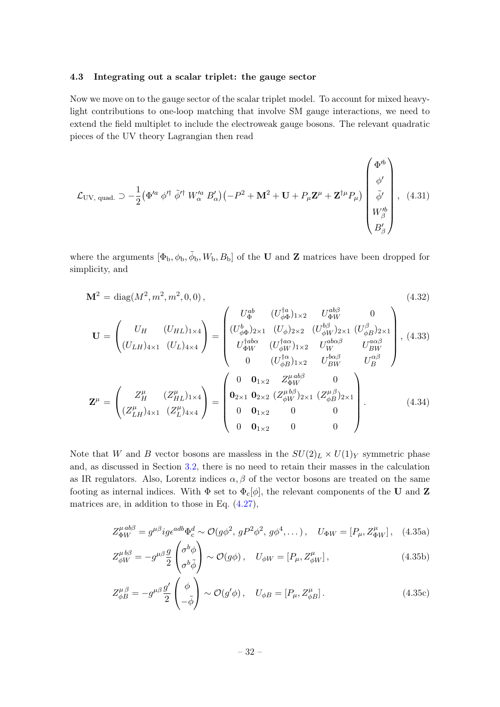## <span id="page-32-0"></span>4.3 Integrating out a scalar triplet: the gauge sector

Now we move on to the gauge sector of the scalar triplet model. To account for mixed heavylight contributions to one-loop matching that involve SM gauge interactions, we need to extend the field multiplet to include the electroweak gauge bosons. The relevant quadratic pieces of the UV theory Lagrangian then read

$$
\mathcal{L}_{\text{UV, quad.}} \supset -\frac{1}{2} \left( \Phi'^a \phi'^\dagger \tilde{\phi}'^\dagger W_\alpha'^a B_\alpha' \right) \left( -P^2 + \mathbf{M}^2 + \mathbf{U} + P_\mu \mathbf{Z}^\mu + \mathbf{Z}^{\dagger \mu} P_\mu \right) \begin{pmatrix} \Phi'^b \\ \phi' \\ \tilde{\phi}' \\ W_\beta'^b \\ B'_\beta \end{pmatrix}, \quad (4.31)
$$

where the arguments  $[\Phi_b, \phi_b, \tilde{\phi}_b, W_b, B_b]$  of the U and Z matrices have been dropped for simplicity, and

$$
\mathbf{M}^{2} = \text{diag}(M^{2}, m^{2}, m^{2}, 0, 0),
$$
\n
$$
\mathbf{U} = \begin{pmatrix}\nU_{H} & (U_{HL})_{1 \times 4} \\
(U_{LH})_{4 \times 1} & (U_{L})_{4 \times 4}\n\end{pmatrix}\n= \begin{pmatrix}\nU_{\Phi}^{ab} & (U_{\phi\Phi}^{\dagger a})_{1 \times 2} & U_{\Phi W}^{ab\beta} & 0 \\
(U_{\phi\Phi}^{b})_{2 \times 1} & (U_{\phi})_{2 \times 2} & (U_{\phi W}^{b\beta})_{2 \times 1} & (U_{\phi B}^{\beta})_{2 \times 1} \\
U_{\Phi W}^{\dagger a b \alpha} & (U_{\phi W}^{\dagger a \alpha})_{1 \times 2} & U_{W}^{a b \alpha \beta} & U_{BW}^{a \alpha \beta} \\
0 & (U_{\phi B}^{\dagger a})_{1 \times 2} & U_{BW}^{b \alpha \beta} & U_{B}^{\alpha \beta} \\
0 & (U_{\phi B}^{\dagger a})_{1 \times 2} & U_{BW}^{b \alpha \beta} & U_{B}^{\alpha \beta}\n\end{pmatrix},
$$
\n(4.33)\n
$$
\mathbf{Z}^{\mu} = \begin{pmatrix}\nZ_{H}^{\mu} & (Z_{HL}^{\mu})_{1 \times 4} \\
(Z_{LH}^{\mu})_{4 \times 1} & (Z_{L}^{\mu})_{4 \times 4} \\
(Z_{LH}^{\mu})_{4 \times 4}\n\end{pmatrix}\n= \begin{pmatrix}\n0 & \mathbf{0}_{1 \times 2} & Z_{\Phi W}^{a b \beta} & 0 \\
\mathbf{0}_{2 \times 1} & \mathbf{0}_{2 \times 2} & (Z_{\phi W}^{\mu b})_{2 \times 1} & (Z_{\phi B}^{\mu b})_{2 \times 1} \\
0 & \mathbf{0}_{1 \times 2} & 0 & 0 \\
0 & \mathbf{0}_{1 \times 2} & 0 & 0\n\end{pmatrix}.
$$
\n(4.34)

Note that W and B vector bosons are massless in the  $SU(2)_L \times U(1)_Y$  symmetric phase and, as discussed in Section [3.2,](#page-14-0) there is no need to retain their masses in the calculation as IR regulators. Also, Lorentz indices  $\alpha, \beta$  of the vector bosons are treated on the same footing as internal indices. With  $\Phi$  set to  $\Phi_c[\phi]$ , the relevant components of the U and Z matrices are, in addition to those in Eq. [\(4.27\)](#page-29-0),

$$
Z_{\Phi W}^{\mu ab\beta} = g^{\mu\beta} i g \epsilon^{adb} \Phi_c^d \sim \mathcal{O}(g\phi^2, gP^2\phi^2, g\phi^4, \dots), \quad U_{\Phi W} = [P_{\mu}, Z_{\Phi W}^{\mu}], \quad (4.35a)
$$

$$
Z^{\mu b\beta}_{\phi W} = -g^{\mu\beta} \frac{g}{2} \begin{pmatrix} \sigma^b \phi \\ \sigma^b \tilde{\phi} \end{pmatrix} \sim \mathcal{O}(g\phi) \,, \quad U_{\phi W} = [P_{\mu}, Z^{\mu}_{\phi W}] \,, \tag{4.35b}
$$

$$
Z^{\mu\,\beta}_{\phi} = -g^{\mu\beta} \frac{g'}{2} \begin{pmatrix} \phi \\ -\tilde{\phi} \end{pmatrix} \sim \mathcal{O}(g'\phi) \,, \quad U_{\phi B} = [P_{\mu}, Z^{\mu}_{\phi B}] \,. \tag{4.35c}
$$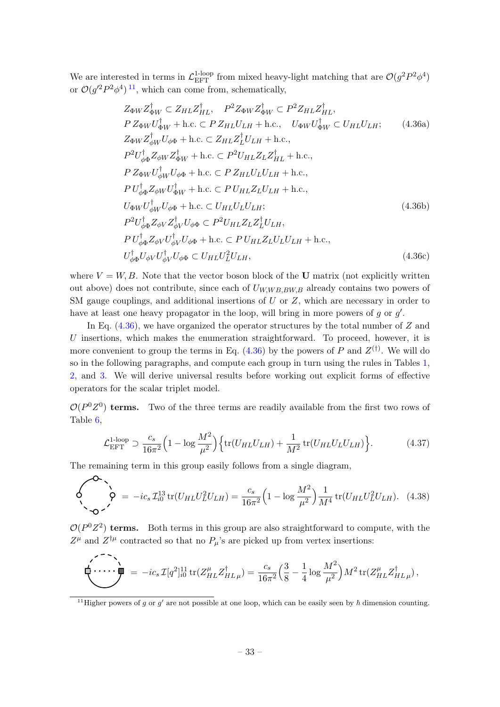We are interested in terms in  $\mathcal{L}^{1\text{-loop}}_{\text{EFT}}$  from mixed heavy-light matching that are  $\mathcal{O}(g^2P^2\phi^4)$ or  $\mathcal{O}(g'^2 P^2 \phi^4)^{11}$  $\mathcal{O}(g'^2 P^2 \phi^4)^{11}$  $\mathcal{O}(g'^2 P^2 \phi^4)^{11}$ , which can come from, schematically,

<span id="page-33-1"></span>
$$
Z_{\Phi W} Z_{\Phi W}^{\dagger} \subset Z_{HL} Z_{HL}^{\dagger}, \quad P^{2} Z_{\Phi W} Z_{\Phi W}^{\dagger} \subset P^{2} Z_{HL} Z_{HL}^{\dagger},
$$
  
\n
$$
P Z_{\Phi W} U_{\Phi W}^{\dagger} + \text{h.c.} \subset P Z_{HL} U_{LH} + \text{h.c.,} \quad U_{\Phi W} U_{\Phi W}^{\dagger} \subset U_{HL} U_{LH}; \quad (4.36a)
$$
  
\n
$$
Z_{\Phi W} Z_{\phi W}^{\dagger} U_{\phi \Phi} + \text{h.c.} \subset Z_{HL} Z_{L}^{\dagger} U_{LH} + \text{h.c.,}
$$
  
\n
$$
P^{2} U_{\phi \Phi}^{\dagger} Z_{\phi W} Z_{\Phi W}^{\dagger} + \text{h.c.} \subset P^{2} U_{HL} Z_{L} Z_{HL}^{\dagger} + \text{h.c.,}
$$
  
\n
$$
P Z_{\Phi W} U_{\phi W}^{\dagger} U_{\phi \Phi} + \text{h.c.} \subset P U_{HL} Z_{L} U_{LH} + \text{h.c.,}
$$
  
\n
$$
U_{\Phi W} U_{\phi W}^{\dagger} U_{\phi \Phi} + \text{h.c.} \subset U_{HL} U_{L} U_{LH};
$$
  
\n
$$
U_{\phi \Phi} U_{\phi W} U_{\phi W}^{\dagger} U_{\phi \Phi} \subset P^{2} U_{HL} Z_{L} Z_{L}^{\dagger} U_{LH},
$$
  
\n
$$
P U_{\phi \Phi}^{\dagger} Z_{\phi V} Z_{\phi V}^{\dagger} U_{\phi V} U_{\phi \Phi} + \text{h.c.} \subset P U_{HL} Z_{L} U_{L} U_{LH} + \text{h.c.,}
$$
  
\n
$$
U_{\phi \Phi}^{\dagger} U_{\phi V} U_{\phi V}^{\dagger} U_{\phi \Phi} \subset U_{HL} U_{L}^{2} U_{LH},
$$
  
\n(4.36c)

where  $V = W, B$ . Note that the vector boson block of the U matrix (not explicitly written out above) does not contribute, since each of  $U_{W,W B,BW,B}$  already contains two powers of SM gauge couplings, and additional insertions of  $U$  or  $Z$ , which are necessary in order to have at least one heavy propagator in the loop, will bring in more powers of  $g$  or  $g'$ .

In Eq.  $(4.36)$ , we have organized the operator structures by the total number of Z and  $U$  insertions, which makes the enumeration straightforward. To proceed, however, it is more convenient to group the terms in Eq.  $(4.36)$  by the powers of P and  $Z^{(\dagger)}$ . We will do so in the following paragraphs, and compute each group in turn using the rules in Tables [1,](#page-19-0) [2,](#page-20-0) and [3.](#page-20-1) We will derive universal results before working out explicit forms of effective operators for the scalar triplet model.

 $\mathcal{O}(P^0Z^0)$  terms. Two of the three terms are readily available from the first two rows of Table [6,](#page-31-0)

<span id="page-33-2"></span>
$$
\mathcal{L}_{\text{EFT}}^{\text{1-loop}} \supset \frac{c_s}{16\pi^2} \Big( 1 - \log \frac{M^2}{\mu^2} \Big) \Big\{ \text{tr}(U_{HL}U_{LH}) + \frac{1}{M^2} \text{tr}(U_{HL}U_LU_{LH}) \Big\}. \tag{4.37}
$$

The remaining term in this group easily follows from a single diagram,

<span id="page-33-3"></span>
$$
\oint \phi = -ic_s \mathcal{I}_{i0}^{13} tr(U_{HL} U_L^2 U_{LH}) = \frac{c_s}{16\pi^2} \Big( 1 - \log \frac{M^2}{\mu^2} \Big) \frac{1}{M^4} tr(U_{HL} U_L^2 U_{LH}). \quad (4.38)
$$

 $\mathcal{O}(P^0Z^2)$  terms. Both terms in this group are also straightforward to compute, with the  $Z^{\mu}$  and  $Z^{\dagger\mu}$  contracted so that no  $P_{\mu}$ 's are picked up from vertex insertions:

<span id="page-33-4"></span>
$$
\sum_{i=1}^{n} \cdots \sum_{\mu=1}^{n} e^{-i c_s} \mathcal{I}[q^2]_{i0}^{11} \operatorname{tr}(Z_{HL}^{\mu} Z_{HL}^{\dagger} \mu) = \frac{c_s}{16\pi^2} \Big( \frac{3}{8} - \frac{1}{4} \log \frac{M^2}{\mu^2} \Big) M^2 \operatorname{tr}(Z_{HL}^{\mu} Z_{HL}^{\dagger} \mu),
$$

<span id="page-33-0"></span><sup>&</sup>lt;sup>11</sup>Higher powers of g or g' are not possible at one loop, which can be easily seen by  $\hbar$  dimension counting.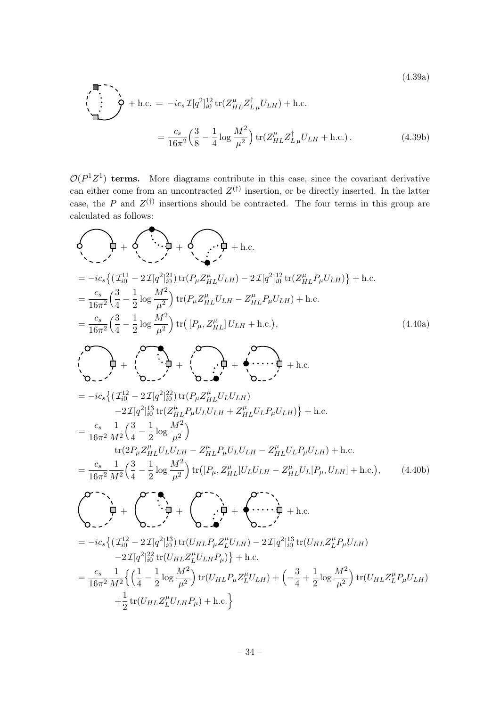(4.39a)  
\n
$$
\begin{aligned}\n\bullet^{-1} \searrow \\
\bullet \qquad \qquad + \text{h.c.} &= -ic_s \mathcal{I}[q^2]_{i0}^{12} \text{tr}(Z_{HL}^{\mu} Z_{L\mu}^{\dagger} U_{LH}) + \text{h.c.} \\
&= \frac{c_s}{16\pi^2} \left(\frac{3}{8} - \frac{1}{4} \log \frac{M^2}{\mu^2}\right) \text{tr}(Z_{HL}^{\mu} Z_{L\mu}^{\dagger} U_{LH} + \text{h.c.}).\n\end{aligned}
$$
\n(4.39b)

 $\mathcal{O}(P^1Z^1)$  terms. More diagrams contribute in this case, since the covariant derivative can either come from an uncontracted  $Z^{(\dagger)}$  insertion, or be directly inserted. In the latter case, the P and  $Z^{(\dagger)}$  insertions should be contracted. The four terms in this group are calculated as follows:

<span id="page-34-0"></span>
$$
\begin{aligned}\n\oint_{\gamma_{\text{max}}} & \oint_{\gamma_{\text{max}}} & \oint_{\gamma_{\text{max}}} & \oint_{\gamma_{\text{max}}} & \oint_{\gamma_{\text{max}}} & \oint_{\gamma_{\text{max}}} & \oint_{\gamma_{\text{max}}} & \oint_{\gamma_{\text{max}}} & \oint_{\gamma_{\text{max}}} & \oint_{\gamma_{\text{max}}} & \oint_{\gamma_{\text{max}}} & \oint_{\gamma_{\text{max}}} & \oint_{\gamma_{\text{max}}} & \oint_{\gamma_{\text{max}}} & \oint_{\gamma_{\text{max}}} & \oint_{\gamma_{\text{max}}} & \oint_{\gamma_{\text{max}}} & \oint_{\gamma_{\text{max}}} & \oint_{\gamma_{\text{max}}} & \oint_{\gamma_{\text{max}}} & \oint_{\gamma_{\text{max}}} & \oint_{\gamma_{\text{max}}} & \oint_{\gamma_{\text{max}}} & \oint_{\gamma_{\text{max}}} & \oint_{\gamma_{\text{max}}} & \oint_{\gamma_{\text{max}}} & \oint_{\gamma_{\text{max}}} & \oint_{\gamma_{\text{max}}} & \oint_{\gamma_{\text{max}}} & \oint_{\gamma_{\text{max}}} & \oint_{\gamma_{\text{max}}} & \oint_{\gamma_{\text{max}}} & \oint_{\gamma_{\text{max}}} & \oint_{\gamma_{\text{max}}} & \oint_{\gamma_{\text{max}}} & \oint_{\gamma_{\text{max}}} & \oint_{\gamma_{\text{max}}} & \oint_{\gamma_{\text{max}}} & \oint_{\gamma_{\text{max}}} & \oint_{\gamma_{\text{max}}} & \oint_{\gamma_{\text{max}}} & \oint_{\gamma_{\text{max}}} & \oint_{\gamma_{\text{max}}} & \oint_{\gamma_{\text{max}}} & \oint_{\gamma_{\text{max}}} & \oint_{\gamma_{\text{max}}} & \oint_{\gamma_{\text{max}}} & \oint_{\gamma_{\text{max}}} & \oint_{\gamma_{\text{max}}} & \oint_{\gamma_{\text{max}}} & \oint_{\gamma_{\text{max}}} & \oint_{\gamma_{\text{max}}} & \oint_{\gamma_{\text{max}}} & \oint_{\gamma_{\text{max}}} &
$$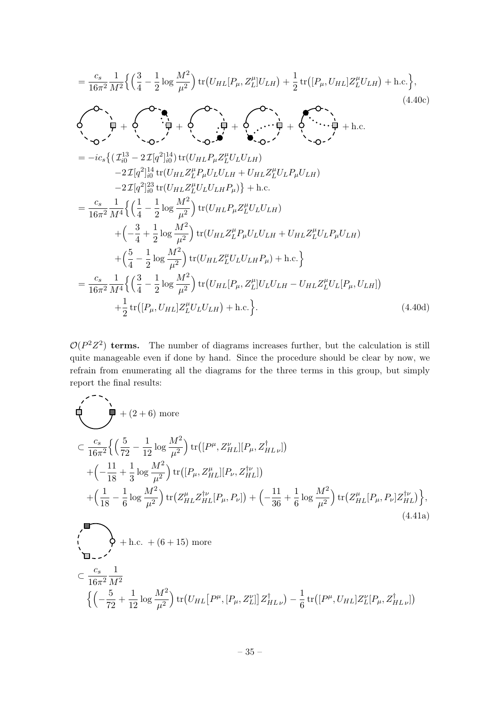$$
= \frac{c_s}{16\pi^2} \frac{1}{M^2} \Big\{ \Big(\frac{3}{4} - \frac{1}{2} \log \frac{M^2}{\mu^2} \Big) \text{tr}\big(U_{HL}[P_{\mu}, Z_L^{\mu}]U_{LH}\big) + \frac{1}{2} \text{tr}\big([P_{\mu}, U_{HL}]Z_L^{\mu}U_{LH}\big) + \text{h.c.} \Big\},
$$
\n
$$
\oint \phi \cdot \frac{1}{\phi} + \oint \phi \cdot \frac{1}{\phi} + \oint \cdot \frac{1}{\phi} \cdot \frac{1}{\phi} + \oint \cdot \frac{1}{\phi} \cdot \frac{1}{\phi} + \oint \cdot \frac{1}{\phi} \cdot \frac{1}{\phi} + \oint \cdot \frac{1}{\phi} \cdot \frac{1}{\phi} + \oint \cdot \frac{1}{\phi} \cdot \frac{1}{\phi} + \oint \cdot \frac{1}{\phi} \cdot \frac{1}{\phi} + \oint \cdot \frac{1}{\phi} \cdot \frac{1}{\phi} + \oint \cdot \frac{1}{\phi} \cdot \frac{1}{\phi} + \oint \cdot \frac{1}{\phi} \cdot \frac{1}{\phi} + \oint \cdot \frac{1}{\phi} \cdot \frac{1}{\phi} + \oint \cdot \frac{1}{\phi} \cdot \frac{1}{\phi} + \oint \cdot \frac{1}{\phi} \cdot \frac{1}{\phi} + \oint \cdot \frac{1}{\phi} \cdot \frac{1}{\phi} + \oint \cdot \frac{1}{\phi} \cdot \frac{1}{\phi} + \oint \cdot \frac{1}{\phi} \cdot \frac{1}{\phi} + \oint \cdot \frac{1}{\phi} \cdot \frac{1}{\phi} + \oint \cdot \frac{1}{\phi} \cdot \frac{1}{\phi} \cdot \frac{1}{\phi} + \oint \cdot \frac{1}{\phi} \cdot \frac{1}{\phi} \cdot \frac{1}{\phi} + \oint \cdot \frac{1}{\phi} \cdot \frac{1}{\phi} \cdot \frac{1}{\phi} + \oint \cdot \frac{1}{\phi} \cdot \frac{1}{\phi} \cdot \frac{1}{\phi} + \oint \cdot \frac{1}{\phi} \cdot \frac{1}{\phi} \cdot \frac{1}{\phi} + \oint \cdot \frac{1}{\phi} \cdot \frac{1}{\phi} \cdot \frac{1}{\phi} + \oint \cdot \frac{1}{\phi} \cdot \frac
$$

 $\mathcal{O}(P^2Z^2)$  terms. The number of diagrams increases further, but the calculation is still quite manageable even if done by hand. Since the procedure should be clear by now, we refrain from enumerating all the diagrams for the three terms in this group, but simply report the final results:

<span id="page-35-0"></span>
$$
\begin{split}\n&\sum_{i=1}^{C_s} \left\{ \left( \frac{5}{72} - \frac{1}{12} \log \frac{M^2}{\mu^2} \right) \text{tr} \left( [P^{\mu}, Z^{\nu}_{HL}] [P_{\mu}, Z^{\dagger}_{HL\nu}] \right) \right. \\
&\quad \left. + \left( -\frac{11}{18} + \frac{1}{3} \log \frac{M^2}{\mu^2} \right) \text{tr} \left( [P_{\mu}, Z^{\mu}_{HL}] [P_{\nu}, Z^{\dagger \nu}_{HL}] \right) \right. \\
&\quad \left. + \left( \frac{1}{18} - \frac{1}{6} \log \frac{M^2}{\mu^2} \right) \text{tr} \left( Z^{\mu}_{HL} Z^{\dagger \nu}_{HL} [P_{\mu}, P_{\nu}] \right) + \left( -\frac{11}{36} + \frac{1}{6} \log \frac{M^2}{\mu^2} \right) \text{tr} \left( Z^{\mu}_{HL} [P_{\mu}, P_{\nu}] Z^{\dagger \nu}_{HL} \right) \right\}, \\
&\quad \left\{ \sum_{i=1}^{C_s} \left\{ \sum_{i=1}^{C_s} \left( \frac{1}{18} - \frac{1}{6} \log \frac{M^2}{\mu^2} \right) \text{tr} \left( Z^{\mu}_{HL} Z^{\dagger \nu}_{HL} [P_{\mu}, P_{\nu}] \right) + \left( -\frac{11}{36} + \frac{1}{6} \log \frac{M^2}{\mu^2} \right) \text{tr} \left( Z^{\mu}_{HL} [P_{\mu}, P_{\nu}] Z^{\dagger \nu}_{HL} \right) \right\}, \\
&\quad \left\{ \sum_{i=1}^{C_s} \left( \sum_{i=1}^{C_s} \frac{1}{18} - \frac{1}{6} \log \frac{M^2}{\mu^2} \right) \text{tr} \left( Z^{\mu}_{HL} Z^{\dagger \nu}_{HL} [P_{\mu}, P_{\nu}] \right) + \left( -\frac{11}{36} + \frac{1}{6} \log \frac{M^2}{\mu^2} \right) \text{tr} \left( Z^{\mu}_{HL} [P_{\mu}, P_{\nu}] Z^{\dagger \nu}_{HL} \right) \right\}. \tag{4.41a} \end{split}
$$

$$
\begin{aligned} &\subset \frac{c_s}{16\pi^2}\frac{1}{M^2}\\ &\left\{\left(-\frac{5}{72}+\frac{1}{12}\log\frac{M^2}{\mu^2}\right){\rm tr}\big(U_{HL}\big[P^\mu,[P_\mu,Z_L^\nu]\big]Z_{HL\,\nu}^\dagger\big)-\frac{1}{6}\,{\rm tr}\big([P^\mu,U_{HL}]Z_L^\nu[P_\mu,Z_{HL\,\nu}^\dagger]\big)\right. \end{aligned}
$$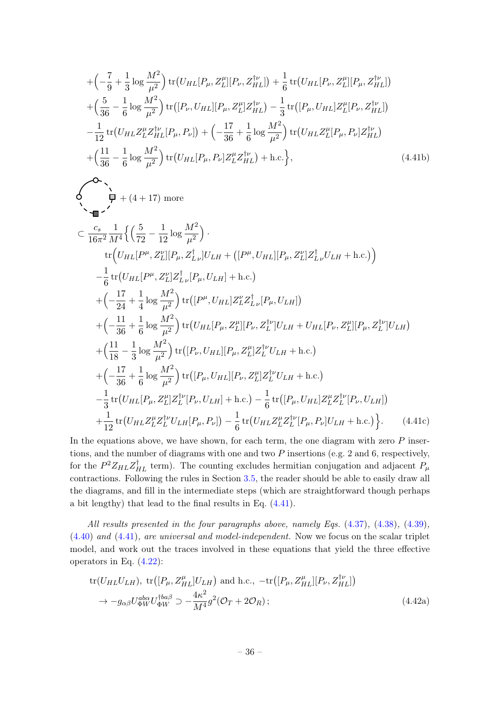$$
+\left(-\frac{7}{9} + \frac{1}{3}\log\frac{M^2}{\mu^2}\right) \text{tr}\left(U_{HL}[P_{\mu}, Z_L^{\mu}][P_{\nu}, Z_{HL}^{\dagger\nu}]\right) + \frac{1}{6} \text{tr}\left(U_{HL}[P_{\nu}, Z_L^{\mu}][P_{\mu}, Z_{HL}^{\dagger\nu}]\right) + \left(\frac{5}{36} - \frac{1}{6}\log\frac{M^2}{\mu^2}\right) \text{tr}\left([P_{\nu}, U_{HL}][P_{\mu}, Z_L^{\mu}]Z_{HL}^{\dagger\nu}\right) - \frac{1}{3} \text{tr}\left([P_{\mu}, U_{HL}]Z_L^{\mu}[P_{\nu}, Z_{HL}^{\dagger\nu}]\right) - \frac{1}{12} \text{tr}\left(U_{HL}Z_L^{\mu}Z_{HL}^{\dagger\nu}[P_{\mu}, P_{\nu}]\right) + \left(-\frac{17}{36} + \frac{1}{6}\log\frac{M^2}{\mu^2}\right) \text{tr}\left(U_{HL}Z_L^{\mu}[P_{\mu}, P_{\nu}]Z_{HL}^{\dagger\nu}\right) + \left(\frac{11}{36} - \frac{1}{6}\log\frac{M^2}{\mu^2}\right) \text{tr}\left(U_{HL}[P_{\mu}, P_{\nu}]Z_L^{\mu}Z_{HL}^{\dagger\nu}\right) + \text{h.c.}\right\},
$$
(4.41b)

 $\curvearrowright$ 

$$
\sum_{i=1}^{n} f_{i}(4+17) \text{ more}
$$
\n
$$
\sum_{i=1}^{n} f_{i}(4+17) \text{ more}
$$
\n
$$
\sum_{i=1}^{n} f_{i}(4+17) \text{ more}
$$
\n
$$
\sum_{i=1}^{n} f_{i}(4+17) \text{ more}
$$
\n
$$
\sum_{i=1}^{n} f_{i}(4+17) \text{ more}
$$
\n
$$
\sum_{i=1}^{n} f_{i}(4+17) \text{ more}
$$
\n
$$
\sum_{i=1}^{n} f_{i}(4+17) \text{ more}
$$
\n
$$
\sum_{i=1}^{n} f_{i}(4+17) \text{ more}
$$
\n
$$
\sum_{i=1}^{n} f_{i}(4+17) \text{ more}
$$
\n
$$
\sum_{i=1}^{n} f_{i}(4+17) \text{ more}
$$
\n
$$
\sum_{i=1}^{n} f_{i}(4+17) \text{ more}
$$
\n
$$
\sum_{i=1}^{n} f_{i}(4+17) \text{ more}
$$
\n
$$
\sum_{i=1}^{n} f_{i}(4+17) \text{ more}
$$
\n
$$
\sum_{i=1}^{n} f_{i}(4+17) \text{ more}
$$
\n
$$
\sum_{i=1}^{n} f_{i}(4+17) \text{ more}
$$
\n
$$
\sum_{i=1}^{n} f_{i}(4+17) \text{ more}
$$
\n
$$
\sum_{i=1}^{n} f_{i}(4+17) \text{ more}
$$
\n
$$
\sum_{i=1}^{n} f_{i}(4+17) \text{ more}
$$
\n
$$
\sum_{i=1}^{n} f_{i}(4+17) \text{ more}
$$
\n
$$
\sum_{i=1}^{n} f_{i}(4+17) \text{ more}
$$
\n
$$
\sum_{i=1}^{n} f_{i}(4+17) \text{ more}
$$
\n
$$
\sum_{i=1}^{n} f_{i}(4+17) \text{ more}
$$
\n
$$
\sum_{i=1}^{n} f_{i}(4+17) \text{ more}
$$
\n
$$
\sum_{i=1}^{n} f_{i}(4+17) \text{ more}
$$

In the equations above, we have shown, for each term, the one diagram with zero  $P$  insertions, and the number of diagrams with one and two  $P$  insertions (e.g. 2 and 6, respectively, for the  $P^2 Z_{HL} Z_{HL}^{\dagger}$  term). The counting excludes hermitian conjugation and adjacent  $P_{\mu}$ contractions. Following the rules in Section [3.5,](#page-18-0) the reader should be able to easily draw all the diagrams, and fill in the intermediate steps (which are straightforward though perhaps a bit lengthy) that lead to the final results in Eq. [\(4.41\)](#page-35-0).

All results presented in the four paragraphs above, namely Eqs.  $(4.37)$ ,  $(4.38)$ ,  $(4.39)$ , [\(4.40\)](#page-34-0) and [\(4.41\)](#page-35-0), are universal and model-independent. Now we focus on the scalar triplet model, and work out the traces involved in these equations that yield the three effective operators in Eq. [\(4.22\)](#page-28-3):

<span id="page-36-0"></span>
$$
\text{tr}(U_{HL}U_{LH}), \text{ tr}([P_{\mu}, Z_{HL}^{\mu}]U_{LH}) \text{ and h.c., } -\text{tr}([P_{\mu}, Z_{HL}^{\mu}][P_{\nu}, Z_{HL}^{\mu}])
$$
  

$$
\rightarrow -g_{\alpha\beta}U_{\Phi W}^{aba}U_{\Phi W}^{\dagger ba\beta} \supset -\frac{4\kappa^2}{M^4}g^2(\mathcal{O}_T + 2\mathcal{O}_R); \tag{4.42a}
$$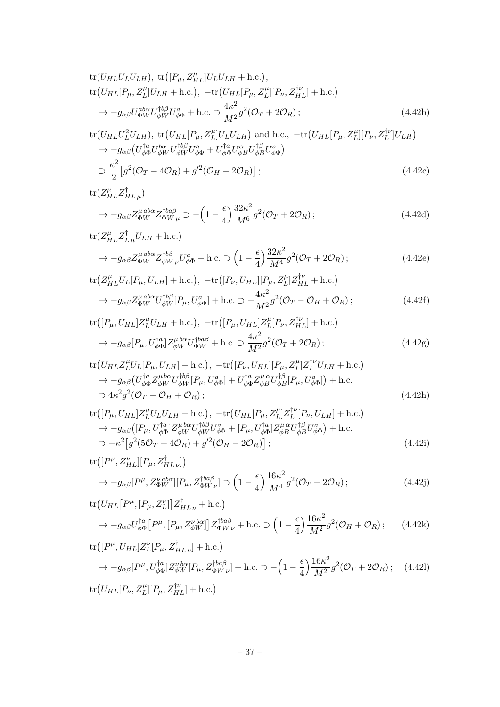tr
$$
(U_{HL}U_LU_{LH})
$$
, tr $([P_\mu, Z_{HL}^\mu]U_LU_{LH} + \text{h.c.}),$   
tr $(U_{HL}[P_\mu, Z_L^\mu]U_{LH} + \text{h.c.}), -\text{tr}(U_{HL}[P_\mu, Z_L^\mu][P_\nu, Z_{HL}^{\dagger\nu}] + \text{h.c.})$   
 $\rightarrow -g_{\alpha\beta}U_{\Phi W}^{abc}U_{\phi W}^{\dagger b\beta}U_{\phi\Phi}^a + \text{h.c.} \supset \frac{4\kappa^2}{M^2}g^2(\mathcal{O}_T + 2\mathcal{O}_R);$  (4.42b)

$$
\text{tr}(U_{HL}U_L^2 U_{LH}), \text{ tr}(U_{HL}[P_\mu, Z_L^\mu] U_L U_{LH}) \text{ and h.c., } -\text{tr}(U_{HL}[P_\mu, Z_L^\mu] [P_\nu, Z_L^\mu] U_{LH})
$$
\n
$$
\rightarrow -g_{\alpha\beta} (U_{\phi\Phi}^{\dagger a} U_{\phi W}^{\dagger \alpha} U_{\phi W}^{\dagger \beta} U_{\phi\Phi}^a + U_{\phi\Phi}^{\dagger a} U_{\phi B}^{\alpha} U_{\phi B}^{\dagger \beta} U_{\phi\Phi}^a)
$$
\n
$$
\supset \frac{\kappa^2}{2} [g^2 (\mathcal{O}_T - 4\mathcal{O}_R) + g'^2 (\mathcal{O}_H - 2\mathcal{O}_R)]; \tag{4.42c}
$$

$$
\text{tr}(Z_{HL}^{\mu}Z_{HL\,\mu}^{\dagger})
$$

$$
\rightarrow -g_{\alpha\beta}Z_{\Phi W}^{\mu\,ab\alpha}Z_{\Phi W\,\mu}^{\dagger ba\beta} \supset -\left(1 - \frac{\epsilon}{4}\right)\frac{32\kappa^2}{M^6}g^2(\mathcal{O}_T + 2\mathcal{O}_R)\,;\tag{4.42d}
$$

$$
\text{tr}(Z_{HL}^{\mu}Z_{L\mu}^{\dagger}U_{LH} + \text{h.c.})
$$
  
\n
$$
\rightarrow -g_{\alpha\beta}Z_{\Phi W}^{\mu ab\alpha}Z_{\phi W\mu}^{\dagger b\beta}U_{\phi\Phi}^{a} + \text{h.c.} \supset \left(1 - \frac{\epsilon}{4}\right)\frac{32\kappa^{2}}{M^{4}}g^{2}(\mathcal{O}_{T} + 2\mathcal{O}_{R});
$$
\n(4.42e)

$$
\text{tr}\left(Z_{HL}^{\mu}U_L[P_{\mu},U_{LH}] + \text{h.c.}\right), -\text{tr}\left([P_{\nu},U_{HL}][P_{\mu},Z_L^{\mu}]Z_{HL}^{\dagger\nu} + \text{h.c.}\right)
$$

$$
\to -g_{\alpha\beta}Z_{\Phi W}^{\mu\alpha\alpha}U_{\phi W}^{\dagger\beta}[P_{\mu},U_{\phi\Phi}^{a}] + \text{h.c.} \supset -\frac{4\kappa^2}{M^2}g^2(\mathcal{O}_T - \mathcal{O}_H + \mathcal{O}_R); \tag{4.42f}
$$

$$
\text{tr}([P_{\mu}, U_{HL}]Z_L^{\mu}U_{LH} + \text{h.c.}), -\text{tr}([P_{\mu}, U_{HL}]Z_L^{\mu}[P_{\nu}, Z_{HL}^{\dagger\nu}] + \text{h.c.})
$$

$$
\rightarrow -g_{\alpha\beta}[P_{\mu}, U_{\phi\Phi}^{\dagger a}]Z_{\phi W}^{\mu b\alpha}U_{\Phi W}^{\dagger ba\beta} + \text{h.c.} \supset \frac{4\kappa^2}{M^2}g^2(\mathcal{O}_T + 2\mathcal{O}_R); \tag{4.42g}
$$

$$
\text{tr}\left(U_{HL}Z_L^{\mu}U_L[P_{\mu},U_{LH}] + \text{h.c.}\right), -\text{tr}\left([P_{\nu},U_{HL}][P_{\mu},Z_L^{\mu}]Z_L^{\dagger\nu}U_{LH} + \text{h.c.}\right) \rightarrow -g_{\alpha\beta}\left(U_{\phi\Phi}^{\dagger a}Z_{\phi W}^{\mu b\alpha}U_{\phi W}^{\dagger b\beta}[P_{\mu},U_{\phi\Phi}^{a}] + U_{\phi\Phi}^{\dagger a}Z_{\phi B}^{\mu\alpha}U_{\phi B}^{\dagger \beta}[P_{\mu},U_{\phi\Phi}^{a}]\right) + \text{h.c.} \supset 4\kappa^2 g^2(\mathcal{O}_T - \mathcal{O}_H + \mathcal{O}_R);
$$
\n(4.42h)

$$
\text{tr}\big([P_{\mu}, U_{HL}]Z_L^{\mu}U_LU_{LH} + \text{h.c.}\big), -\text{tr}\big(U_{HL}[P_{\mu}, Z_L^{\mu}]Z_L^{\dagger\nu}[P_{\nu}, U_{LH}] + \text{h.c.}\big) \rightarrow -g_{\alpha\beta}\big([P_{\mu}, U_{\phi\Phi}^{\dagger a}]Z_{\phi W}^{\mu b\alpha}U_{\phi W}^{\dagger b\beta}U_{\phi\Phi}^a + [P_{\mu}, U_{\phi\Phi}^{\dagger a}]Z_{\phi B}^{\mu\alpha}U_{\phi B}^{\dagger \beta}U_{\phi\Phi}^a\big) + \text{h.c.} \supset -\kappa^2\big[g^2(5\mathcal{O}_T + 4\mathcal{O}_R) + g'^2(\mathcal{O}_H - 2\mathcal{O}_R)\big];
$$
\n(4.42i)

$$
\text{tr}\big([P^{\mu}, Z_{HL}^{\nu}][P_{\mu}, Z_{HL}^{\dagger}]\big) \rightarrow -g_{\alpha\beta}[P^{\mu}, Z_{\Phi W}^{\nu \text{ aba}}][P_{\mu}, Z_{\Phi W \nu}^{\dagger \text{ba}\beta}] \supset \left(1 - \frac{\epsilon}{4}\right) \frac{16\kappa^2}{M^4} g^2(\mathcal{O}_T + 2\mathcal{O}_R) ;
$$
\n(4.42j)

$$
\text{tr}\left(U_{HL}\left[P^{\mu},\left[P_{\mu},Z_{L}^{\nu}\right]\right]Z_{HL\nu}^{\dagger} + \text{h.c.}\right) \rightarrow -g_{\alpha\beta}U_{\phi\Phi}^{\dagger a}\left[P^{\mu},\left[P_{\mu},Z_{\phi W}^{\nu b\alpha}\right]\right]Z_{\Phi W\nu}^{\dagger b a\beta} + \text{h.c.} \supset \left(1 - \frac{\epsilon}{4}\right)\frac{16\kappa^2}{M^2}g^2(\mathcal{O}_H + \mathcal{O}_R); \qquad (4.42\text{k}) \n\text{tr}\left(\left[P^{\mu},U_{HL}\right]Z_L^{\nu}\left[P_{\mu},Z_{HL\nu}^{\dagger}\right] + \text{h.c.}\right) \rightarrow -g_{\alpha\beta}\left[P^{\mu},U_{\phi\Phi}^{\dagger a}\right]Z_{\phi W}^{\nu b\alpha}\left[P_{\mu},Z_{\Phi W\nu}^{\dagger a\beta}\right] + \text{h.c.} \supset -\left(1 - \frac{\epsilon}{4}\right)\frac{16\kappa^2}{M^2}g^2(\mathcal{O}_T + 2\mathcal{O}_R); \qquad (4.42\text{l}) \n\text{tr}\left(U_{HL}\left[P_{\nu},Z_L^{\mu}\right]\left[P_{\mu},Z_{HL}^{\dagger\nu}\right] + \text{h.c.}\right)
$$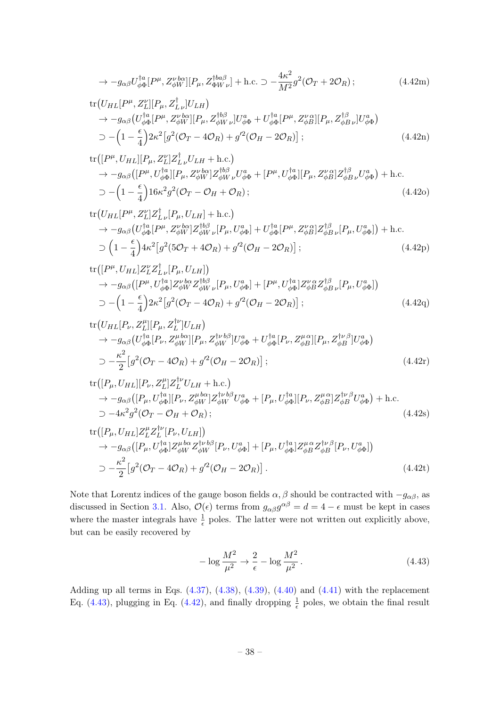$$
\rightarrow -g_{\alpha\beta}U_{\phi\Phi}^{\dagger a}[P^{\mu}, Z_{\phi W}^{\nu b\alpha}][P_{\mu}, Z_{\Phi W\nu}^{\dagger b a\beta}] + \text{h.c.} \supset -\frac{4\kappa^2}{M^2}g^2(\mathcal{O}_T + 2\mathcal{O}_R) ;\tag{4.42m}
$$

tr
$$
(U_{HL}[P^{\mu}, Z^{\nu}_{L}][P_{\mu}, Z^{\dagger}_{L\nu}]U_{LH})
$$
  
\n $\rightarrow -g_{\alpha\beta}(U_{\phi\Phi}^{\dagger a}[P^{\mu}, Z^{\nu b\alpha}_{\phi W}][P_{\mu}, Z^{\dagger b\beta}_{\phi W\nu}]U_{\phi\Phi}^{a} + U_{\phi\Phi}^{\dagger a}[P^{\mu}, Z^{\nu \alpha}_{\phi B}][P_{\mu}, Z^{\dagger \beta}_{\phi B\nu}]U_{\phi\Phi}^{a})$   
\n $\supset -\left(1 - \frac{\epsilon}{4}\right)2\kappa^{2}\left[g^{2}(\mathcal{O}_{T} - 4\mathcal{O}_{R}) + g'^{2}(\mathcal{O}_{H} - 2\mathcal{O}_{R})\right];$  (4.42n)

$$
\text{tr}([P^{\mu}, U_{HL}][P_{\mu}, Z_{L}^{\nu}]Z_{L\nu}^{\dagger}U_{LH} + \text{h.c.})
$$
  
\n
$$
\rightarrow -g_{\alpha\beta}([P^{\mu}, U_{\phi\Phi}^{\dagger a}][P_{\mu}, Z_{\phi W}^{\nu b\alpha}]Z_{\phi W\nu}^{\dagger b\beta}U_{\phi\Phi}^{a} + [P^{\mu}, U_{\phi\Phi}^{\dagger a}][P_{\mu}, Z_{\phi B}^{\nu\alpha}]Z_{\phi B\nu}^{\dagger\beta}U_{\phi\Phi}^{a}) + \text{h.c.}
$$
  
\n
$$
\supset -\left(1 - \frac{\epsilon}{4}\right)16\kappa^{2}g^{2}(\mathcal{O}_{T} - \mathcal{O}_{H} + \mathcal{O}_{R});
$$
\n(4.420)

tr
$$
(U_{HL}[P^{\mu}, Z^{\nu}_{L}]Z^{\dagger}_{L\nu}[P_{\mu}, U_{LH}] + \text{h.c.})
$$
  
\n $\rightarrow -g_{\alpha\beta}(U_{\phi\Phi}^{\dagger a}[P^{\mu}, Z^{\nu b\alpha}_{\phi W}]Z^{\dagger b\beta}_{\phi W\nu}[P_{\mu}, U^a_{\phi\Phi}] + U^{\dagger a}_{\phi\Phi}[P^{\mu}, Z^{\nu}_{\phi B}]Z^{\dagger \beta}_{\phi B\nu}[P_{\mu}, U^a_{\phi\Phi}]) + \text{h.c.}$   
\n $\supset (1 - \frac{\epsilon}{4})4\kappa^2[g^2(5\mathcal{O}_T + 4\mathcal{O}_R) + g'^2(\mathcal{O}_H - 2\mathcal{O}_R)];$  (4.42p)

$$
\text{tr}([P^{\mu}, U_{HL}]Z_{L}^{\nu}Z_{L\nu}^{\dagger}[P_{\mu}, U_{LH}])
$$
\n
$$
\rightarrow -g_{\alpha\beta}([P^{\mu}, U_{\phi\Phi}^{\dagger}]Z_{\phi W}^{\nu b\alpha}Z_{\phi W\nu}^{\dagger b\beta}[P_{\mu}, U_{\phi\Phi}^{a}] + [P^{\mu}, U_{\phi\Phi}^{\dagger}]Z_{\phi B}^{\nu\alpha}Z_{\phi B\nu}^{\dagger\beta}[P_{\mu}, U_{\phi\Phi}^{a}]
$$
\n
$$
\supset -\left(1 - \frac{\epsilon}{4}\right)2\kappa^{2}\left[g^{2}(\mathcal{O}_{T} - 4\mathcal{O}_{R}) + g'^{2}(\mathcal{O}_{H} - 2\mathcal{O}_{R})\right];\tag{4.42q}
$$

$$
\text{tr}\left(U_{HL}[P_{\nu}, Z_L^{\mu}][P_{\mu}, Z_L^{\dagger\nu}]U_{LH}\right) \n\to -g_{\alpha\beta}\left(U_{\phi\Phi}^{\dagger a}[P_{\nu}, Z_{\phi W}^{\mu b\alpha}][P_{\mu}, Z_{\phi W}^{\dagger\nu b\beta}]U_{\phi\Phi}^{a} + U_{\phi\Phi}^{\dagger a}[P_{\nu}, Z_{\phi B}^{\mu\alpha}][P_{\mu}, Z_{\phi B}^{\dagger\nu\beta}]U_{\phi\Phi}^{a}\right) \n\supset -\frac{\kappa^2}{2}\left[g^2(\mathcal{O}_T - 4\mathcal{O}_R) + g'^2(\mathcal{O}_H - 2\mathcal{O}_R)\right];
$$
\n(4.42r)

$$
\text{tr}([P_{\mu}, U_{HL}][P_{\nu}, Z_L^{\mu}]Z_L^{\dagger\nu}U_{LH} + \text{h.c.})
$$
  
\n
$$
\rightarrow -g_{\alpha\beta}([P_{\mu}, U_{\phi\Phi}^{\dagger}] [P_{\nu}, Z_{\phi W}^{\mu\alpha}]Z_{\phi W}^{\dagger\nu b\beta}U_{\phi\Phi}^a + [P_{\mu}, U_{\phi\Phi}^{\dagger a}] [P_{\nu}, Z_{\phi B}^{\mu\alpha}]Z_{\phi B}^{\dagger\nu\beta}U_{\phi\Phi}^a) + \text{h.c.}
$$
  
\n
$$
\supset -4\kappa^2 g^2(\mathcal{O}_T - \mathcal{O}_H + \mathcal{O}_R); \tag{4.42s}
$$

$$
\text{tr}\left([P_{\mu}, U_{HL}]Z_L^{\mu}Z_L^{\dagger\nu}[P_{\nu}, U_{LH}]\right) \n\rightarrow -g_{\alpha\beta}\left([P_{\mu}, U_{\phi\Phi}^{\dagger a}]Z_{\phi W}^{\mu b\alpha}Z_{\phi W}^{\dagger\nu b\beta}[P_{\nu}, U_{\phi\Phi}^{a}] + [P_{\mu}, U_{\phi\Phi}^{\dagger a}]Z_{\phi B}^{\mu\alpha}Z_{\phi B}^{\dagger\nu\beta}[P_{\nu}, U_{\phi\Phi}^{a}] \right) \n\supset -\frac{\kappa^2}{2}\left[g^2(\mathcal{O}_T - 4\mathcal{O}_R) + g'^2(\mathcal{O}_H - 2\mathcal{O}_R)\right].
$$
\n(4.42t)

Note that Lorentz indices of the gauge boson fields  $\alpha$ ,  $\beta$  should be contracted with  $-g_{\alpha\beta}$ , as discussed in Section [3.1.](#page-12-1) Also,  $\mathcal{O}(\epsilon)$  terms from  $g_{\alpha\beta}g^{\alpha\beta} = d = 4 - \epsilon$  must be kept in cases where the master integrals have  $\frac{1}{\epsilon}$  poles. The latter were not written out explicitly above, but can be easily recovered by

<span id="page-38-0"></span>
$$
-\log\frac{M^2}{\mu^2} \to \frac{2}{\epsilon} - \log\frac{M^2}{\mu^2}.
$$
\n(4.43)

Adding up all terms in Eqs.  $(4.37)$ ,  $(4.38)$ ,  $(4.39)$ ,  $(4.40)$  and  $(4.41)$  with the replacement Eq. [\(4.43\)](#page-38-0), plugging in Eq. [\(4.42\)](#page-36-0), and finally dropping  $\frac{1}{\epsilon}$  poles, we obtain the final result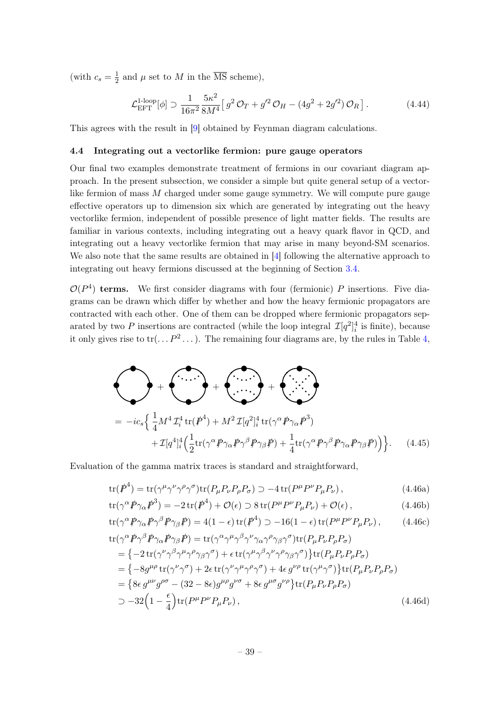(with  $c_s = \frac{1}{2}$  $\frac{1}{2}$  and  $\mu$  set to M in the MS scheme),

$$
\mathcal{L}_{\rm EFT}^{\rm 1-loop}[\phi] \supset \frac{1}{16\pi^2} \frac{5\kappa^2}{8M^4} \left[ g^2 \mathcal{O}_T + g'^2 \mathcal{O}_H - (4g^2 + 2g'^2) \mathcal{O}_R \right]. \tag{4.44}
$$

This agrees with the result in [\[9\]](#page-52-2) obtained by Feynman diagram calculations.

#### <span id="page-39-0"></span>4.4 Integrating out a vectorlike fermion: pure gauge operators

Our final two examples demonstrate treatment of fermions in our covariant diagram approach. In the present subsection, we consider a simple but quite general setup of a vectorlike fermion of mass M charged under some gauge symmetry. We will compute pure gauge effective operators up to dimension six which are generated by integrating out the heavy vectorlike fermion, independent of possible presence of light matter fields. The results are familiar in various contexts, including integrating out a heavy quark flavor in QCD, and integrating out a heavy vectorlike fermion that may arise in many beyond-SM scenarios. We also note that the same results are obtained in [\[4\]](#page-51-2) following the alternative approach to integrating out heavy fermions discussed at the beginning of Section [3.4.](#page-16-0)

 $\mathcal{O}(P^4)$  terms. We first consider diagrams with four (fermionic) P insertions. Five diagrams can be drawn which differ by whether and how the heavy fermionic propagators are contracted with each other. One of them can be dropped where fermionic propagators separated by two P insertions are contracted (while the loop integral  $\mathcal{I}[q^2]_i^4$  is finite), because it only gives rise to  $tr(\ldots P^2 \ldots)$ . The remaining four diagrams are, by the rules in Table [4,](#page-21-0)

<span id="page-39-2"></span>
$$
+\left(\cdots\right)+\left(\cdots\right)+\left(\cdots\right)+\left(\cdots\right)+\left(\cdots\right)+\left(\cdots\right)+\left(\cdots\right)+\left(\cdots\right)+\left(\cdots\right)+\left(\cdots\right)+\left(\frac{1}{4}M^{4}L_{i}^{4}\operatorname{tr}(\mathbf{p}^{4})+M^{2}L[q^{2}]_{i}^{4}\operatorname{tr}(\gamma^{\alpha}\mathbf{p}\gamma_{\alpha}\mathbf{p}^{3})+\left(\frac{1}{2}\operatorname{tr}(\gamma^{\alpha}\mathbf{p}\gamma_{\alpha}\mathbf{p}\gamma^{\beta}\mathbf{p}\gamma_{\beta}\mathbf{p})+\frac{1}{4}\operatorname{tr}(\gamma^{\alpha}\mathbf{p}\gamma^{\beta}\mathbf{p}\gamma_{\alpha}\mathbf{p}\gamma_{\beta}\mathbf{p})\right)\right\}.
$$
 (4.45)

Evaluation of the gamma matrix traces is standard and straightforward,

$$
\text{tr}(\mathbf{P}^4) = \text{tr}(\gamma^{\mu}\gamma^{\nu}\gamma^{\rho}\gamma^{\sigma})\text{tr}(P_{\mu}P_{\nu}P_{\rho}P_{\sigma}) \supset -4\,\text{tr}(P^{\mu}P^{\nu}P_{\mu}P_{\nu}),\tag{4.46a}
$$

<span id="page-39-1"></span>
$$
\text{tr}(\gamma^{\alpha}\rlap{\,/}P\gamma_{\alpha}\rlap{\,/}P^{3}) = -2\,\text{tr}(\rlap{\,/}P^{4}) + \mathcal{O}(\epsilon) \supset 8\,\text{tr}(P^{\mu}P^{\nu}P_{\mu}P_{\nu}) + \mathcal{O}(\epsilon) \,,\tag{4.46b}
$$

$$
\text{tr}(\gamma^{\alpha} \rlap{\,/}P \gamma_{\alpha} \rlap{\,/}P \gamma^{\beta} \rlap{\,/}P \gamma_{\beta} \rlap{\,/}P) = 4(1 - \epsilon) \text{tr}(\rlap{\,/}P^4) \supset -16(1 - \epsilon) \text{tr}(\rlap{\,/}P^{\mu} P^{\nu} P_{\mu} P_{\nu}), \tag{4.46c}
$$

$$
\begin{split} \text{tr}(\gamma^{\alpha} \rlap{/} \rlap/p \gamma^{\beta} \rlap{/} \rlap/p \gamma_{\alpha} \rlap{/} \rlap/p \gamma_{\beta} \rlap{/} \rlap{/} \rlap{/}{p}) &= \text{tr}(\gamma^{\alpha} \gamma^{\mu} \gamma^{\beta} \gamma^{\nu} \gamma_{\alpha} \gamma^{\rho} \gamma_{\beta} \gamma^{\sigma}) \text{tr}(P_{\mu} P_{\nu} P_{\rho} P_{\sigma}) \\ &= \{-2 \, \text{tr}(\gamma^{\nu} \gamma^{\beta} \gamma^{\mu} \gamma^{\rho} \gamma_{\beta} \gamma^{\sigma}) + \epsilon \, \text{tr}(\gamma^{\mu} \gamma^{\beta} \gamma^{\nu} \gamma^{\rho} \gamma_{\beta} \gamma^{\sigma})\} \text{tr}(P_{\mu} P_{\nu} P_{\rho} P_{\sigma}) \\ &= \{-8g^{\mu \rho} \, \text{tr}(\gamma^{\nu} \gamma^{\sigma}) + 2\epsilon \, \text{tr}(\gamma^{\nu} \gamma^{\mu} \gamma^{\rho} \gamma^{\sigma}) + 4\epsilon \, g^{\nu \rho} \, \text{tr}(\gamma^{\mu} \gamma^{\sigma})\} \text{tr}(P_{\mu} P_{\nu} P_{\rho} P_{\sigma}) \\ &= \{8\epsilon \, g^{\mu \nu} g^{\rho \sigma} - (32 - 8\epsilon) g^{\mu \rho} g^{\nu \sigma} + 8\epsilon \, g^{\mu \sigma} g^{\nu \rho}\} \text{tr}(P_{\mu} P_{\nu} P_{\rho} P_{\sigma}) \\ &\supset -32 \Big(1 - \frac{\epsilon}{4}\Big) \text{tr}(P^{\mu} P^{\nu} P_{\mu} P_{\nu}), \end{split} \tag{4.46d}
$$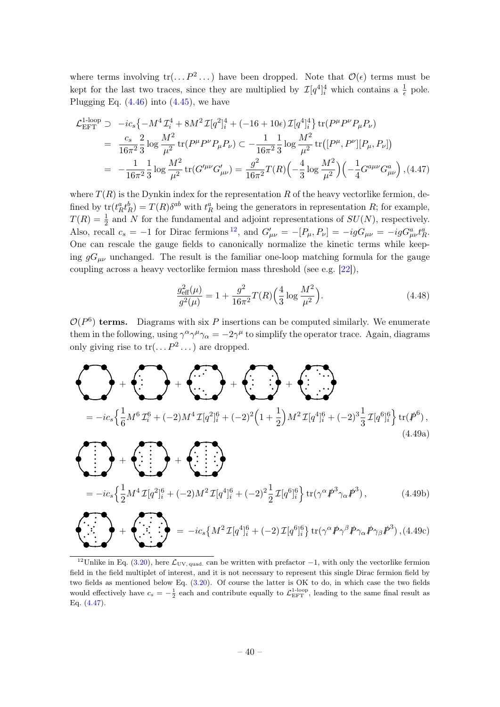where terms involving  $tr(\ldots P^2 \ldots)$  have been dropped. Note that  $\mathcal{O}(\epsilon)$  terms must be kept for the last two traces, since they are multiplied by  $\mathcal{I}[q^4]_i^4$  which contains a  $\frac{1}{\epsilon}$  pole. Plugging Eq.  $(4.46)$  into  $(4.45)$ , we have

<span id="page-40-1"></span>
$$
\mathcal{L}_{\text{EFT}}^{\text{1-loop}} \supset -ic_s \{-M^4 \mathcal{I}_i^4 + 8M^2 \mathcal{I}[q^2]_i^4 + (-16 + 10\epsilon) \mathcal{I}[q^4]_i^4\} \operatorname{tr}(P^{\mu} P^{\nu} P_{\mu} P_{\nu})
$$
\n
$$
= \frac{c_s}{16\pi^2} \frac{2}{3} \log \frac{M^2}{\mu^2} \operatorname{tr}(P^{\mu} P^{\nu} P_{\mu} P_{\nu}) \subset -\frac{1}{16\pi^2} \frac{1}{3} \log \frac{M^2}{\mu^2} \operatorname{tr}([P^{\mu}, P^{\nu}][P_{\mu}, P_{\nu}])
$$
\n
$$
= -\frac{1}{16\pi^2} \frac{1}{3} \log \frac{M^2}{\mu^2} \operatorname{tr}(G^{\prime \mu \nu} G^{\prime}_{\mu \nu}) = \frac{g^2}{16\pi^2} T(R) \left(-\frac{4}{3} \log \frac{M^2}{\mu^2}\right) \left(-\frac{1}{4} G^{a \mu \nu} G^a_{\mu \nu}\right), (4.47)
$$

where  $T(R)$  is the Dynkin index for the representation R of the heavy vectorlike fermion, defined by  $tr(t_R^a t_R^b) = T(R) \delta^{ab}$  with  $t_R^a$  being the generators in representation R; for example,  $T(R) = \frac{1}{2}$  and N for the fundamental and adjoint representations of  $SU(N)$ , respectively. Also, recall  $c_s = -1$  for Dirac fermions <sup>[12](#page-40-0)</sup>, and  $G'_{\mu\nu} = -[P_\mu, P_\nu] = -igG_{\mu\nu} = -igG^a_{\mu\nu}t^a_R$ . One can rescale the gauge fields to canonically normalize the kinetic terms while keeping  $gG_{\mu\nu}$  unchanged. The result is the familiar one-loop matching formula for the gauge coupling across a heavy vectorlike fermion mass threshold (see e.g. [\[22\]](#page-52-14)),

$$
\frac{g_{\text{eff}}^2(\mu)}{g^2(\mu)} = 1 + \frac{g^2}{16\pi^2} T(R) \left(\frac{4}{3} \log \frac{M^2}{\mu^2}\right). \tag{4.48}
$$

 $\mathcal{O}(P^6)$  terms. Diagrams with six P insertions can be computed similarly. We enumerate them in the following, using  $\gamma^{\alpha}\gamma^{\mu}\gamma_{\alpha} = -2\gamma^{\mu}$  to simplify the operator trace. Again, diagrams only giving rise to  $tr(\ldots P^2 \ldots)$  are dropped.

<span id="page-40-2"></span>
$$
+\left(\frac{1}{6}M^{6} \mathcal{I}_{i}^{6} + (-2)M^{4} \mathcal{I}[q^{2}]_{i}^{6} + (-2)^{2} \left(1 + \frac{1}{2}\right)M^{2} \mathcal{I}[q^{4}]_{i}^{6} + (-2)^{3} \frac{1}{3} \mathcal{I}[q^{6}]_{i}^{6}\right) \text{tr}(\mathcal{P}^{6}),
$$
\n(4.49a)\n
$$
= -ic_{s}\left\{\frac{1}{2}M^{4} \mathcal{I}[q^{2}]_{i}^{6} + (-2)M^{2} \mathcal{I}[q^{4}]_{i}^{6} + (-2)^{2} \frac{1}{2} \mathcal{I}[q^{6}]_{i}^{6}\right\} \text{tr}(\gamma^{\alpha} \mathcal{P}^{3} \gamma_{\alpha} \mathcal{P}^{3}),
$$
\n(4.49b)\n
$$
+ \left(\frac{1}{2}M^{4} \mathcal{I}[q^{2}]_{i}^{6} + (-2)M^{2} \mathcal{I}[q^{4}]_{i}^{6} + (-2)^{2} \frac{1}{2} \mathcal{I}[q^{6}]_{i}^{6}\right\} \text{tr}(\gamma^{\alpha} \mathcal{P}^{3} \gamma_{\alpha} \mathcal{P}^{3}),
$$
\n(4.49b)\n
$$
+ \left(\frac{1}{2}M^{4} \mathcal{I}[q^{2}]_{i}^{6} + (-2)M^{2} \mathcal{I}[q^{4}]_{i}^{6} + (-2) \mathcal{I}[q^{6}]_{i}^{6}\right) \text{tr}(\gamma^{\alpha} \mathcal{P} \gamma^{\beta} \mathcal{P} \gamma_{\alpha} \mathcal{P} \gamma_{\beta} \mathcal{P}^{3}),
$$
\n(4.49c)

<span id="page-40-0"></span><sup>12</sup>Unlike in Eq. [\(3.20\)](#page-19-1), here  $\mathcal{L}_{UV,quad}$  can be written with prefactor  $-1$ , with only the vectorlike fermion field in the field multiplet of interest, and it is not necessary to represent this single Dirac fermion field by two fields as mentioned below Eq. [\(3.20\)](#page-19-1). Of course the latter is OK to do, in which case the two fields would effectively have  $c_s = -\frac{1}{2}$  each and contribute equally to  $\mathcal{L}_{\text{EFT}}^{1\text{-loop}}$ , leading to the same final result as Eq. [\(4.47\)](#page-40-1).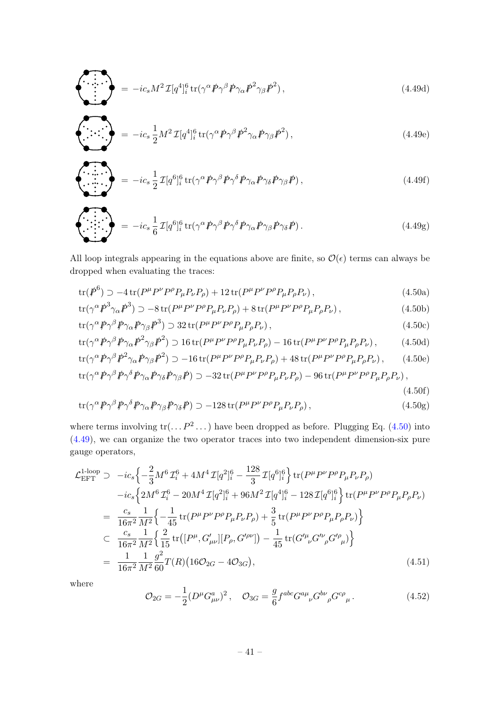$$
\sum_{i} \sum_{j}^{N} = -ic_s M^2 \mathcal{I}[q^4]_i^6 \text{tr}(\gamma^\alpha \cancel{P} \gamma^\beta \cancel{P} \gamma_\alpha \cancel{P}^2 \gamma_\beta \cancel{P}^2), \qquad (4.49d)
$$

$$
\left\langle \cdots \right\rangle = -ic_s \frac{1}{2} M^2 \mathcal{I} [q^4]_i^6 \operatorname{tr} (\gamma^\alpha \rlap{/} \rlap{/} \rho \gamma^\beta \rlap{/} \rlap{/} \rlap{/} \rho^2 \gamma_\alpha \rlap{/} \rlap{/} \rho \gamma_\beta \rlap{/} \rlap{/} \rho^2), \tag{4.49e}
$$

$$
\left\langle \begin{array}{c} \cdot \cdot \cdot \\ \cdot \cdot \cdot \cdot \cdot \end{array} \right\rangle = -ic_s \frac{1}{2} \mathcal{I} [q^6]_i^6 \text{tr}(\gamma^\alpha \rlap{/} \rho \gamma^\beta \rlap{/} \rho \gamma^\delta \rlap{/} \rho \gamma_\alpha \rlap{/} \rho \gamma_\delta \rlap{/} \rho \gamma_\beta \rlap{/} \rho), \qquad (4.49f)
$$

$$
\sum_{\alpha} \sum_{i} = -ic_s \frac{1}{6} \mathcal{I}[q^6]_i^6 \text{tr}(\gamma^\alpha \cancel{P} \gamma^\beta \cancel{P} \gamma^\delta \cancel{P} \gamma_\alpha \cancel{P} \gamma_\beta \cancel{P} \gamma_\delta \cancel{P}). \qquad (4.49g)
$$

All loop integrals appearing in the equations above are finite, so  $\mathcal{O}(\epsilon)$  terms can always be dropped when evaluating the traces:

$$
\text{tr}(\mathcal{P}^6) \supset -4\,\text{tr}(P^{\mu}P^{\nu}P^{\rho}P_{\mu}P_{\nu}P_{\rho}) + 12\,\text{tr}(P^{\mu}P^{\nu}P^{\rho}P_{\mu}P_{\rho}P_{\nu}),\tag{4.50a}
$$

<span id="page-41-0"></span>
$$
\text{tr}(\gamma^{\alpha} \rlap{\,/}P^3 \gamma_{\alpha} \rlap{\,/}P^3) \supset -8 \text{tr}(P^{\mu} P^{\nu} P^{\rho} P_{\mu} P_{\nu} P_{\rho}) + 8 \text{tr}(P^{\mu} P^{\nu} P^{\rho} P_{\mu} P_{\rho} P_{\nu}), \tag{4.50b}
$$

$$
\text{tr}(\gamma^{\alpha} \rlap{\,/}P \gamma^{\beta} \rlap{\,/}P \gamma_{\alpha} \rlap{\,/}P \gamma_{\beta} \rlap{\,/}P^3) \supset 32 \text{tr}(P^{\mu} P^{\nu} P^{\rho} P_{\mu} P_{\rho} P_{\nu}), \tag{4.50c}
$$

$$
\text{tr}(\gamma^{\alpha} \rlap{\,/}P \gamma^{\beta} \rlap{\,/}P \gamma_{\alpha} \rlap{\,/}P^2 \gamma_{\beta} \rlap{\,/}P^2) \supset 16 \text{ tr}(P^{\mu} P^{\nu} P^{\rho} P_{\mu} P_{\nu} P_{\rho}) - 16 \text{ tr}(P^{\mu} P^{\nu} P^{\rho} P_{\mu} P_{\rho} P_{\nu}), \tag{4.50d}
$$

$$
\text{tr}(\gamma^{\alpha} \not{P} \gamma^{\beta} \not{P}^2 \gamma_{\alpha} \not{P} \gamma_{\beta} \not{P}^2) \supset -16 \,\text{tr}(P^{\mu} P^{\nu} P^{\rho} P_{\mu} P_{\nu} P_{\rho}) + 48 \,\text{tr}(P^{\mu} P^{\nu} P^{\rho} P_{\mu} P_{\rho} P_{\nu}), \qquad (4.50e)
$$

$$
\text{tr}(\gamma^{\alpha} \rlap{\,/}P \gamma^{\beta} \rlap{\,/}P \gamma^{\delta} \rlap{\,/}P \gamma_{\alpha} \rlap{\,/}P \gamma_{\delta} \rlap{\,/}P) \supset -32 \text{tr}(P^{\mu} P^{\nu} P^{\rho} P_{\mu} P_{\nu} P_{\rho}) - 96 \text{tr}(P^{\mu} P^{\nu} P^{\rho} P_{\mu} P_{\rho} P_{\nu}),
$$

(4.50f)

$$
\text{tr}(\gamma^{\alpha}\rlap{\,/}P\gamma^{\beta}\rlap{\,/}P\gamma^{\delta}\rlap{\,/}P\gamma_{\alpha}\rlap{\,/}P\gamma_{\beta}\rlap{\,/}P\gamma_{\delta}\rlap{\,/}P) \supset -128 \text{tr}(P^{\mu}P^{\nu}P^{\rho}P_{\mu}P_{\nu}P_{\rho}), \qquad (4.50g)
$$

where terms involving  $\text{tr}(\dots P^2 \dots)$  have been dropped as before. Plugging Eq. [\(4.50\)](#page-41-0) into [\(4.49\)](#page-40-2), we can organize the two operator traces into two independent dimension-six pure gauge operators,

$$
\mathcal{L}_{\text{EFT}}^{1\text{-loop}} \supset -ic_{s} \Big\{-\frac{2}{3}M^{6} \mathcal{I}_{i}^{6} + 4M^{4} \mathcal{I}[q^{2}]_{i}^{6} - \frac{128}{3} \mathcal{I}[q^{6}]_{i}^{6} \Big\} \operatorname{tr}(P^{\mu}P^{\nu}P^{\rho}P_{\mu}P_{\nu}P_{\rho})
$$
\n
$$
-ic_{s} \Big\{ 2M^{6} \mathcal{I}_{i}^{6} - 20M^{4} \mathcal{I}[q^{2}]_{i}^{6} + 96M^{2} \mathcal{I}[q^{4}]_{i}^{6} - 128 \mathcal{I}[q^{6}]_{i}^{6} \Big\} \operatorname{tr}(P^{\mu}P^{\nu}P^{\rho}P_{\mu}P_{\rho}P_{\nu})
$$
\n
$$
= \frac{c_{s}}{16\pi^{2}} \frac{1}{M^{2}} \Big\{ -\frac{1}{45} \operatorname{tr}(P^{\mu}P^{\nu}P^{\rho}P_{\mu}P_{\nu}P_{\rho}) + \frac{3}{5} \operatorname{tr}(P^{\mu}P^{\nu}P^{\rho}P_{\mu}P_{\rho}P_{\nu}) \Big\}
$$
\n
$$
\Big\{ -\frac{c_{s}}{16\pi^{2}} \frac{1}{M^{2}} \Big\{ \frac{2}{15} \operatorname{tr}([P^{\mu}, G'_{\mu\nu}][P_{\rho}, G'^{\rho\nu}]) - \frac{1}{45} \operatorname{tr}(G'^{\mu}_{\nu}G'^{\nu}_{\rho}G'^{\rho}_{\mu}) \Big\}
$$
\n
$$
= \frac{1}{16\pi^{2}} \frac{1}{M^{2}} \frac{g^{2}}{60} T(R) (16\mathcal{O}_{2G} - 4\mathcal{O}_{3G}), \tag{4.51}
$$

where

÷

$$
\mathcal{O}_{2G} = -\frac{1}{2} (D^{\mu} G^{a}_{\mu\nu})^2 \,, \quad \mathcal{O}_{3G} = \frac{g}{6} f^{abc} G^{a\mu}_{\ \ \nu} G^{b\nu}_{\ \ \rho} G^{c\rho}_{\ \ \mu} \,. \tag{4.52}
$$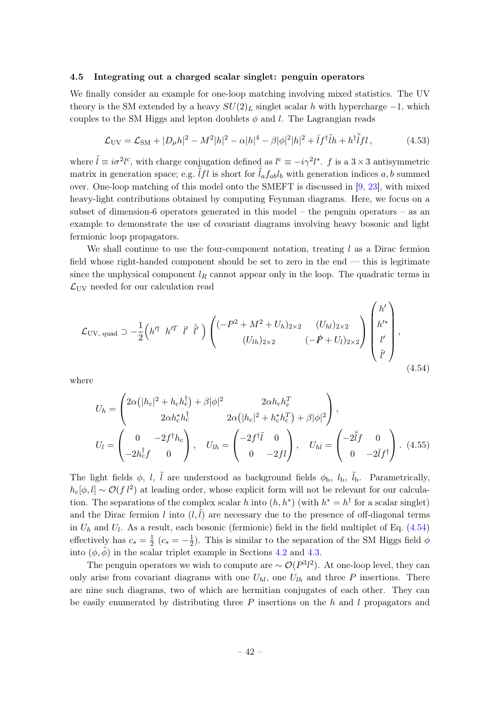#### <span id="page-42-0"></span>4.5 Integrating out a charged scalar singlet: penguin operators

We finally consider an example for one-loop matching involving mixed statistics. The UV theory is the SM extended by a heavy  $SU(2)_L$  singlet scalar h with hypercharge  $-1$ , which couples to the SM Higgs and lepton doublets  $\phi$  and l. The Lagrangian reads

$$
\mathcal{L}_{\rm UV} = \mathcal{L}_{\rm SM} + |D_{\mu}h|^2 - M^2|h|^2 - \alpha|h|^4 - \beta|\phi|^2|h|^2 + \bar{I}f^{\dagger}\tilde{I}h + h^{\dagger}\bar{\tilde{I}}fl\,,\tag{4.53}
$$

where  $\tilde{l} \equiv i\sigma^2 l^c$ , with charge conjugation defined as  $l^c \equiv -i\gamma^2 l^*$ . f is a  $3 \times 3$  antisymmetric matrix in generation space; e.g.  $\tilde{l}fl$  is short for  $\tilde{l}_af_{ab}l_b$  with generation indices a, b summed over. One-loop matching of this model onto the SMEFT is discussed in [\[9,](#page-52-2) [23\]](#page-52-15), with mixed heavy-light contributions obtained by computing Feynman diagrams. Here, we focus on a subset of dimension-6 operators generated in this model – the penguin operators – as an example to demonstrate the use of covariant diagrams involving heavy bosonic and light fermionic loop propagators.

We shall continue to use the four-component notation, treating  $l$  as a Dirac fermion field whose right-handed component should be set to zero in the end — this is legitimate since the unphysical component  $l_R$  cannot appear only in the loop. The quadratic terms in  $\mathcal{L}_{\rm UV}$  needed for our calculation read

<span id="page-42-1"></span>
$$
\mathcal{L}_{UV, \text{ quad}} \supset -\frac{1}{2} \left( h'^{\dagger} h'^{T} \bar{l}' \bar{l}' \right) \left( \begin{array}{cc} (-P^{2} + M^{2} + U_{h})_{2 \times 2} & (U_{hl})_{2 \times 2} \\ (U_{lh})_{2 \times 2} & (-P + U_{l})_{2 \times 2} \end{array} \right) \begin{pmatrix} h' \\ h'^{*} \\ l' \\ \tilde{l}' \end{pmatrix},
$$
\n(4.54)

where

$$
U_h = \begin{pmatrix} 2\alpha \left(|h_c|^2 + h_c h_c^{\dagger}\right) + \beta |\phi|^2 & 2\alpha h_c h_c^T \\ 2\alpha h_c^* h_c^{\dagger} & 2\alpha \left(|h_c|^2 + h_c^* h_c^T\right) + \beta |\phi|^2 \end{pmatrix},
$$

$$
U_l = \begin{pmatrix} 0 & -2f^{\dagger}h_c \\ -2h_c^{\dagger}f & 0 \end{pmatrix}, \quad U_{lh} = \begin{pmatrix} -2f^{\dagger}\tilde{l} & 0 \\ 0 & -2fl \end{pmatrix}, \quad U_{hl} = \begin{pmatrix} -2\tilde{l}f & 0 \\ 0 & -2\tilde{l}f^{\dagger} \end{pmatrix}.
$$
(4.55)

The light fields  $\phi$ , l, l are understood as background fields  $\phi_{\rm b}$ ,  $l_{\rm b}$ ,  $l_{\rm b}$ . Parametrically,  $h_c[\phi, l] \sim \mathcal{O}(f l^2)$  at leading order, whose explicit form will not be relevant for our calculation. The separations of the complex scalar h into  $(h, h^*)$  (with  $h^* = h^{\dagger}$  for a scalar singlet) and the Dirac fermion l into  $(l, l)$  are necessary due to the presence of off-diagonal terms in  $U_h$  and  $U_l$ . As a result, each bosonic (fermionic) field in the field multiplet of Eq.  $(4.54)$ effectively has  $c_s = \frac{1}{2}$  $\frac{1}{2}$   $(c_s = -\frac{1}{2})$  $\frac{1}{2}$ ). This is similar to the separation of the SM Higgs field  $\phi$ into  $(\phi, \phi)$  in the scalar triplet example in Sections [4.2](#page-28-0) and [4.3.](#page-32-0)

The penguin operators we wish to compute are  $\sim \mathcal{O}(P^3 l^2)$ . At one-loop level, they can only arise from covariant diagrams with one  $U_{hl}$ , one  $U_{lh}$  and three P insertions. There are nine such diagrams, two of which are hermitian conjugates of each other. They can be easily enumerated by distributing three  $P$  insertions on the h and l propagators and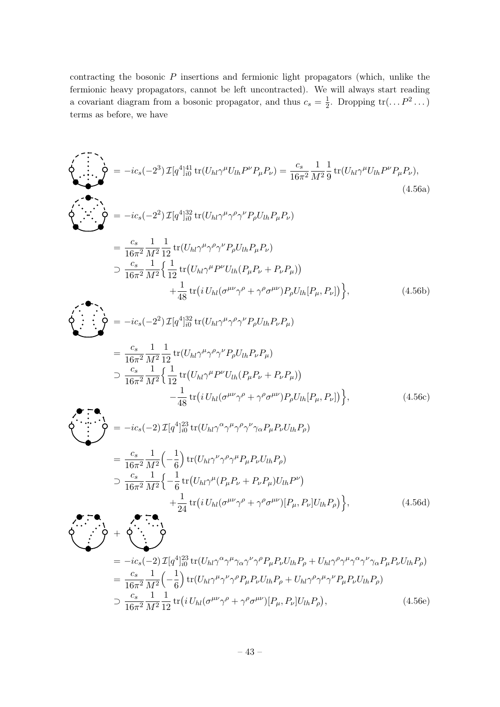contracting the bosonic  $P$  insertions and fermionic light propagators (which, unlike the fermionic heavy propagators, cannot be left uncontracted). We will always start reading a covariant diagram from a bosonic propagator, and thus  $c_s = \frac{1}{2}$  $\frac{1}{2}$ . Dropping  $\text{tr}(\ldots P^2 \ldots)$ terms as before, we have

<span id="page-43-0"></span>
$$
\sum_{i=1}^{n} \sum_{j=1}^{n} = -ic_s(-2^3) \mathcal{I}[q^4]_{i0}^{41} tr(U_{hl}\gamma^{\mu}U_{lh}P^{\nu}P_{\mu}P_{\nu}) = \frac{c_s}{16\pi^2} \frac{1}{M^2} \frac{1}{9} tr(U_{hl}\gamma^{\mu}U_{lh}P^{\nu}P_{\mu}P_{\nu}),
$$
\n(4.56a)

$$
\sum_{i=1}^{n} \sum_{j=1}^{n} \sigma_{i} = -ic_{s}(-2^{2}) \mathcal{I}[q^{4}]_{i0}^{32} tr(U_{hl}\gamma^{\mu}\gamma^{\rho}\gamma^{\nu}P_{\rho}U_{lh}P_{\mu}P_{\nu})
$$
\n
$$
= \frac{c_{s}}{16\pi^{2}} \frac{1}{M^{2}} \frac{1}{12} tr(U_{hl}\gamma^{\mu}\gamma^{\rho}\gamma^{\nu}P_{\rho}U_{lh}P_{\mu}P_{\nu})
$$
\n
$$
\supset \frac{c_{s}}{16\pi^{2}} \frac{1}{M^{2}} \Big\{ \frac{1}{12} tr(U_{hl}\gamma^{\mu}P^{\nu}U_{lh}(P_{\mu}P_{\nu}+P_{\nu}P_{\mu})) + \frac{1}{48} tr(i U_{hl}(\sigma^{\mu\nu}\gamma^{\rho}+\gamma^{\rho}\sigma^{\mu\nu})P_{\rho}U_{lh}[P_{\mu},P_{\nu}]) \Big\},
$$
\n(4.56b)

$$
\begin{split}\n\oint_{\bullet} \n\begin{aligned}\n\vdots & \quad \ddots \\
\downarrow \n\end{aligned}\n\end{split}\n\begin{aligned}\n&= -ic_s(-2^2) \mathcal{I}[q^4]_{i0}^{32} \text{tr}(U_{hl}\gamma^\mu \gamma^\rho \gamma^\nu P_\rho U_{lh} P_\nu P_\mu) \\
&= \frac{c_s}{16\pi^2} \frac{1}{M^2} \frac{1}{12} \text{tr}(U_{hl}\gamma^\mu \gamma^\rho \gamma^\nu P_\rho U_{lh} P_\nu P_\mu) \\
& \quad \searrow \frac{c_s}{16\pi^2} \frac{1}{M^2} \Big\{ \frac{1}{12} \text{tr}(U_{hl}\gamma^\mu P^\nu U_{lh} (P_\mu P_\nu + P_\nu P_\mu)) \\
& \quad -\frac{1}{48} \text{tr}(i U_{hl} (\sigma^{\mu\nu} \gamma^\rho + \gamma^\rho \sigma^{\mu\nu}) P_\rho U_{lh} [P_\mu, P_\nu] \Big) \Big\},\n\end{aligned}\n\tag{4.56c}
$$

$$
\sum_{i} \sum_{i} A_{i} \sum_{j} A_{j} = -ic_{s}(-2) \mathcal{I}[q^{4}]_{i0}^{23} tr(U_{hl}\gamma^{\alpha}\gamma^{\mu}\gamma^{\rho}\gamma^{\nu}\gamma_{\alpha}P_{\mu}P_{\nu}U_{lh}P_{\rho})
$$
\n
$$
= \frac{c_{s}}{16\pi^{2}} \frac{1}{M^{2}} \left( -\frac{1}{6} \right) tr(U_{hl}\gamma^{\nu}\gamma^{\rho}\gamma^{\mu}P_{\mu}P_{\nu}U_{lh}P_{\rho})
$$
\n
$$
\supset \frac{c_{s}}{16\pi^{2}} \frac{1}{M^{2}} \left\{ -\frac{1}{6} tr(U_{hl}\gamma^{\mu}(P_{\mu}P_{\nu} + P_{\nu}P_{\mu})U_{lh}P^{\nu}) + \frac{1}{24} tr(i U_{hl}(\sigma^{\mu\nu}\gamma^{\rho} + \gamma^{\rho}\sigma^{\mu\nu})[P_{\mu}, P_{\nu}]U_{lh}P_{\rho}) \right\},
$$
\n(4.56d)

+ 4 23 α µ ν <sup>ρ</sup>PµPνUlhP<sup>ρ</sup> + Uhlγ ρ µ α ν = −ics(−2) I[q ] tr(Uhlγ γ γαγ γ γ γ γ γαPµPνUlhPρ) i0 cs 1 1 µ ν <sup>ρ</sup>PµPνUlhP<sup>ρ</sup> + Uhlγ ρ µ <sup>ν</sup>PµPνUlhPρ) = − tr(Uhlγ γ γ γ γ 2 M<sup>2</sup> 16π 6 cs 1 1 µνγ <sup>ρ</sup> + γ ρσ µν)[Pµ, Pν]UlhP<sup>ρ</sup> ⊃ tr i Uhl(σ , (4.56e) 2 M<sup>2</sup> 16π 12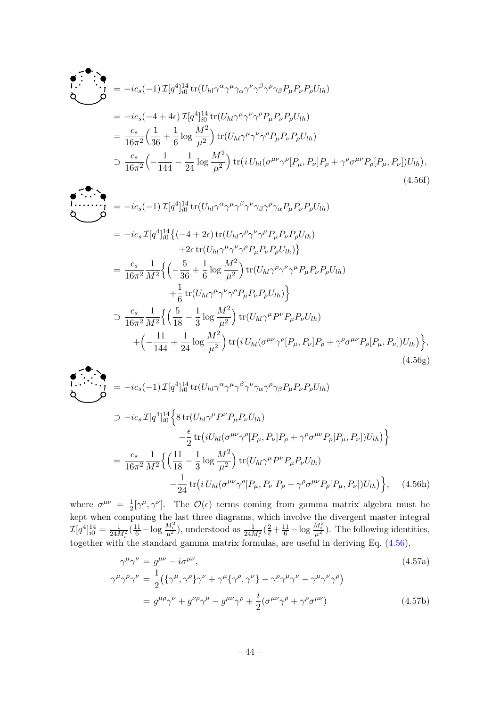$$
\begin{split}\n\bullet \quad \bullet \quad \bullet \quad \bullet \\
\bullet \quad \bullet \quad \bullet \quad \bullet \\
\bullet \quad \bullet \quad \bullet \quad \bullet \\
\bullet \quad \bullet \quad \bullet \quad \bullet \\
\bullet \quad \bullet \quad \bullet \quad \bullet \\
\bullet \quad \bullet \quad \bullet \quad \bullet \\
\bullet \quad \bullet \quad \bullet \quad \bullet \\
\bullet \quad \bullet \quad \bullet \quad \bullet \\
\bullet \quad \bullet \quad \bullet \quad \bullet \\
\bullet \quad \bullet \quad \bullet \quad \bullet \\
\bullet \quad \bullet \quad \bullet \quad \bullet \\
\bullet \quad \bullet \quad \bullet \quad \bullet \\
\bullet \quad \bullet \quad \bullet \quad \bullet \\
\bullet \quad \bullet \quad \bullet \quad \bullet \\
\bullet \quad \bullet \quad \bullet \quad \bullet \\
\bullet \quad \bullet \quad \bullet \quad \bullet \\
\bullet \quad \bullet \quad \bullet \quad \bullet \\
\bullet \quad \bullet \quad \bullet \quad \bullet \\
\bullet \quad \bullet \quad \bullet \quad \bullet \\
\bullet \quad \bullet \quad \bullet \quad \bullet \\
\bullet \quad \bullet \quad \bullet \quad \bullet \\
\bullet \quad \bullet \quad \bullet \quad \bullet \\
\bullet \quad \bullet \quad \bullet \quad \bullet \\
\bullet \quad \bullet \quad \bullet \quad \bullet \\
\bullet \quad \bullet \quad \bullet \quad \bullet \\
\bullet \quad \bullet \quad \bullet \quad \bullet \\
\bullet \quad \bullet \quad \bullet \quad \bullet \\
\bullet \quad \bullet \quad \bullet \quad \bullet \\
\bullet \quad \bullet \quad \bullet \quad \bullet \\
\bullet \quad \bullet \quad \bullet \quad \bullet \\
\bullet \quad \bullet \quad \bullet \quad \bullet \\
\bullet \quad \bullet \quad \bullet \quad \bullet \\
\bullet \quad \bullet \quad \bullet \quad \bullet \\
\bullet \quad \bullet \quad \bullet \quad \bullet \\
\bullet \quad \bullet \quad \bullet \quad \bullet \\
\bullet \quad \bullet \quad \bullet \quad \bullet \\
\bullet \quad \bullet \quad \bullet \quad \bullet \\
\bullet \quad \bullet \quad \bullet \quad \bullet \\
\bullet \quad \bullet \quad \bullet \quad \bullet \\
\bullet \quad \bullet \quad \bullet \quad \bullet \\
\bullet \quad \bullet \quad \bullet \quad \bullet \\
\bullet \quad \bullet \quad \bullet \quad \bullet \\
\bullet \quad \bullet \quad \bullet \quad \bullet \\
\bullet \quad \bullet \quad \bullet \quad \bullet \\
\bullet \quad \bullet \quad \bullet \\
\bullet \quad \bullet \quad \bullet \\
\bullet \quad \bullet \quad \bullet \\
\bullet \quad \bullet \quad \bullet \\
\bullet \quad \bullet \quad \bullet \\
\bullet \quad \bullet \quad \bullet \\
\bullet \quad \bullet \quad \bullet \\
\bullet \quad \bullet \quad \bullet \\
\bullet \quad \bullet
$$

$$
\begin{split}\n\mathbf{L} \mathbf{L} &= -ic_s(-1) \mathcal{I}[q^4]_{i0}^{14} \text{tr}(U_{hl}\gamma^\alpha \gamma^\mu \gamma^\beta \gamma^\nu \gamma_\beta \gamma^\rho \gamma_\alpha P_\mu P_\nu P_\rho U_{lh}) \\
&= -ic_s \mathcal{I}[q^4]_{i0}^{14} \{(-4+2\epsilon) \text{tr}(U_{hl}\gamma^\rho \gamma^\nu \gamma^\mu P_\mu P_\nu P_\rho U_{lh}) \\
&\quad + 2\epsilon \text{tr}(U_{hl}\gamma^\mu \gamma^\nu \gamma^\rho P_\mu P_\nu P_\rho U_{lh})\} \\
&= \frac{c_s}{16\pi^2} \frac{1}{M^2} \Big\{ \left( -\frac{5}{36} + \frac{1}{6} \log \frac{M^2}{\mu^2} \right) \text{tr}(U_{hl}\gamma^\rho \gamma^\nu \gamma^\mu P_\mu P_\nu P_\rho U_{lh}) \\
&\quad + \frac{1}{6} \text{tr}(U_{hl}\gamma^\mu \gamma^\nu \gamma^\rho P_\mu P_\nu P_\rho U_{lh}) \Big\} \\
&\supset \frac{c_s}{16\pi^2} \frac{1}{M^2} \Big\{ \left( \frac{5}{18} - \frac{1}{3} \log \frac{M^2}{\mu^2} \right) \text{tr}(U_{hl}\gamma^\mu P^\nu P_\mu P_\nu U_{lh}) \\
&\quad + \left( -\frac{11}{144} + \frac{1}{24} \log \frac{M^2}{\mu^2} \right) \text{tr}(i U_{hl} (\sigma^{\mu\nu} \gamma^\rho [P_\mu, P_\nu] P_\rho + \gamma^\rho \sigma^{\mu\nu} P_\rho [P_\mu, P_\nu]) U_{lh} \Big\},\n\end{split} \tag{4.56g}
$$

$$
\begin{split}\n\begin{aligned}\n\bullet \quad \bullet \quad \bullet \\
\bullet \quad \bullet \quad \bullet \\
\bullet \quad \bullet \quad \bullet \\
\bullet \quad \bullet \quad \bullet\n\end{aligned}\n\end{split}\n\begin{split}\n\bullet \quad \bullet \quad \bullet \\
\bullet \quad \bullet \quad \bullet \\
\bullet \quad \bullet \quad \bullet\n\end{split}\n\begin{split}\n\bullet \quad \bullet \quad \bullet \\
\bullet \quad \bullet \quad \bullet \\
\bullet \quad \bullet \quad \bullet\n\end{split}\n\begin{split}\n\bullet \quad \bullet \quad \bullet \\
\bullet \quad \bullet \quad \bullet \\
\bullet \quad \bullet \quad \bullet \\
\bullet \quad \bullet \quad \bullet \\
\bullet \quad \bullet \quad \bullet\n\end{split}\n\begin{split}\n\bullet \quad \bullet \quad \bullet \\
\bullet \quad \bullet \quad \bullet \\
\bullet \quad \bullet \quad \bullet \\
\bullet \quad \bullet \quad \bullet \\
\bullet \quad \bullet \quad \bullet \\
\bullet \quad \bullet \quad \bullet \\
\bullet \quad \bullet \quad \bullet \\
\bullet \quad \bullet \quad \bullet \\
\bullet \quad \bullet \quad \bullet \\
\bullet \quad \bullet \quad \bullet \\
\bullet \quad \bullet \quad \bullet \\
\bullet \quad \bullet \quad \bullet \\
\bullet \quad \bullet \quad \bullet \\
\bullet \quad \bullet \quad \bullet \\
\bullet \quad \bullet \quad \bullet \\
\bullet \quad \bullet \\
\bullet \quad \bullet \\
\bullet \quad \bullet \\
\bullet \quad \bullet \\
\bullet \quad \bullet \\
\bullet \quad \bullet \\
\bullet \quad \bullet \\
\bullet \quad \bullet \\
\bullet \quad \bullet \\
\bullet \quad \bullet \\
\bullet \quad \bullet \\
\bullet \quad \bullet \\
\bullet \quad \bullet \\
\bullet \quad \bullet \\
\bullet \quad \bullet \\
\bullet \quad \bullet \\
\bullet \quad \bullet \\
\bullet \quad \bullet \\
\bullet \quad \bullet \\
\bullet \quad \bullet \\
\bullet \quad \bullet \\
\bullet \quad \bullet \\
\bullet \quad \bullet \\
\bullet \quad \bullet \\
\bullet \quad \bullet \\
\bullet \quad \bullet \\
\bullet \quad \bullet \\
\bullet \quad \bullet \\
\bullet \quad \bullet \\
\bullet \quad \bullet \\
\bullet \quad \bullet \\
\bullet \quad \bullet \\
\bullet \quad \bullet \\
\bullet \quad \bullet \\
\bullet \quad \bullet \\
\bullet \quad \bullet \\
\bullet \quad \bullet \\
\bullet \quad \bullet \\
\bullet \quad \bullet \\
\bullet \quad \bullet \\
\bullet \quad \bullet \\
\bullet \quad \bullet \\
\bullet \quad \bullet \\
\bullet \quad \bullet \\
\bullet \quad \bullet \\
\bullet \quad \bullet \\
\bullet \quad \bullet \\
\bullet \quad \bullet \\
\bullet \quad \bullet \\
\bullet \quad \bullet \\
\bullet \quad \bullet \\
\bullet \quad \bullet \\
$$

where  $\sigma^{\mu\nu} = \frac{1}{2}$  $\frac{1}{2}[\gamma^{\mu}, \gamma^{\nu}]$ . The  $\mathcal{O}(\epsilon)$  terms coming from gamma matrix algebra must be kept when computing the last three diagrams, which involve the divergent master integral  $\mathcal{I}[q^4]_{i0}^{14} = \frac{1}{24M_i^2}(\frac{11}{6} - \log \frac{M_i^2}{\mu^2}),$  understood as  $\frac{1}{24M_i^2}(\frac{2}{\epsilon} + \frac{11}{6} - \log \frac{M_i^2}{\mu^2}).$  The following identities, together with the standard gamma matrix formulas, are useful in deriving Eq. [\(4.56\)](#page-43-0),

<span id="page-44-0"></span>
$$
\gamma^{\mu}\gamma^{\nu} = g^{\mu\nu} - i\sigma^{\mu\nu},
$$
\n
$$
\gamma^{\mu}\gamma^{\rho}\gamma^{\nu} = \frac{1}{2} \left( \{\gamma^{\mu}, \gamma^{\rho}\}\gamma^{\nu} + \gamma^{\mu}\{\gamma^{\rho}, \gamma^{\nu}\} - \gamma^{\rho}\gamma^{\mu}\gamma^{\nu} - \gamma^{\mu}\gamma^{\nu}\gamma^{\rho} \right)
$$
\n
$$
= g^{\mu\rho}\gamma^{\nu} + g^{\nu\rho}\gamma^{\mu} - g^{\mu\nu}\gamma^{\rho} + \frac{i}{2} (\sigma^{\mu\nu}\gamma^{\rho} + \gamma^{\rho}\sigma^{\mu\nu})
$$
\n(4.57b)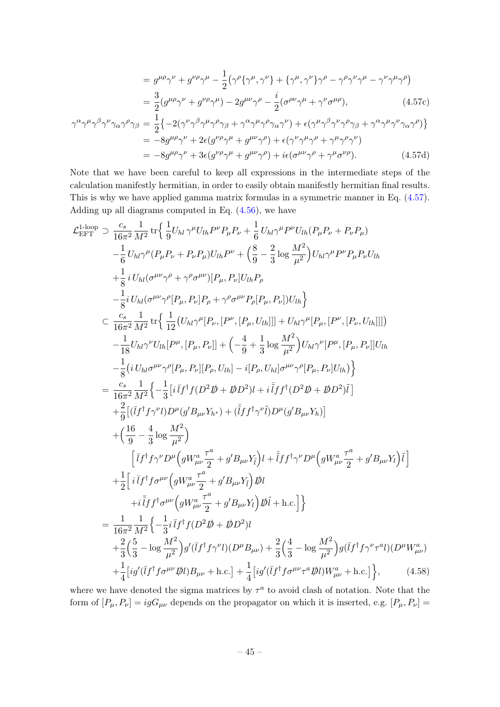$$
= g^{\mu\rho}\gamma^{\nu} + g^{\nu\rho}\gamma^{\mu} - \frac{1}{2}(\gamma^{\rho}\{\gamma^{\mu}, \gamma^{\nu}\} + \{\gamma^{\mu}, \gamma^{\nu}\}\gamma^{\rho} - \gamma^{\rho}\gamma^{\nu}\gamma^{\mu} - \gamma^{\nu}\gamma^{\mu}\gamma^{\rho})
$$
  

$$
= \frac{3}{2}(g^{\mu\rho}\gamma^{\nu} + g^{\nu\rho}\gamma^{\mu}) - 2g^{\mu\nu}\gamma^{\rho} - \frac{i}{2}(\sigma^{\rho\nu}\gamma^{\mu} + \gamma^{\nu}\sigma^{\mu\rho}), \qquad (4.57c)
$$

$$
\gamma^{\alpha}\gamma^{\mu}\gamma^{\beta}\gamma^{\nu}\gamma_{\alpha}\gamma^{\rho}\gamma_{\beta} = \frac{1}{2}\left\{-2(\gamma^{\nu}\gamma^{\beta}\gamma^{\mu}\gamma^{\rho}\gamma_{\beta} + \gamma^{\alpha}\gamma^{\mu}\gamma^{\rho}\gamma_{\alpha}\gamma^{\nu}) + \epsilon(\gamma^{\mu}\gamma^{\beta}\gamma^{\nu}\gamma^{\rho}\gamma_{\beta} + \gamma^{\alpha}\gamma^{\mu}\gamma^{\nu}\gamma_{\alpha}\gamma^{\rho})\right\}
$$
  
\n
$$
= -8g^{\mu\rho}\gamma^{\nu} + 2\epsilon(g^{\nu\rho}\gamma^{\mu} + g^{\mu\nu}\gamma^{\rho}) + \epsilon(\gamma^{\nu}\gamma^{\mu}\gamma^{\rho} + \gamma^{\mu}\gamma^{\rho}\gamma^{\nu})
$$
  
\n
$$
= -8g^{\mu\rho}\gamma^{\nu} + 3\epsilon(g^{\nu\rho}\gamma^{\mu} + g^{\mu\nu}\gamma^{\rho}) + i\epsilon(\sigma^{\mu\nu}\gamma^{\rho} + \gamma^{\mu}\sigma^{\nu\rho}). \tag{4.57d}
$$

Note that we have been careful to keep all expressions in the intermediate steps of the calculation manifestly hermitian, in order to easily obtain manifestly hermitian final results. This is why we have applied gamma matrix formulas in a symmetric manner in Eq. [\(4.57\)](#page-44-0). Adding up all diagrams computed in Eq.  $(4.56)$ , we have

<span id="page-45-0"></span>
$$
\mathcal{L}^{1\text{-loop}}_{\text{EFT}} \supset \frac{c_s}{16\pi^2} \frac{1}{M^2} \text{tr} \Big\{ \frac{1}{9} U_{hl} \gamma^{\mu} U_{lh} P^{\nu} P_{\mu} P_{\nu} + \frac{1}{6} U_{hl} \gamma^{\mu} P^{\nu} U_{lh} (P_{\mu} P_{\nu} + P_{\nu} P_{\mu}) - \frac{1}{6} U_{hl} \gamma^{\mu} (P_{\mu} P_{\nu} + P_{\nu} P_{\mu}) U_{lh} P^{\nu} + \Big( \frac{8}{9} - \frac{2}{3} \log \frac{M^2}{\mu^2} \Big) U_{hl} \gamma^{\mu} P^{\nu} P_{\mu} P_{\nu} U_{lh} + \frac{1}{8} i U_{hl} (\sigma^{\mu\nu} \gamma^{\rho} + \gamma^{\rho} \sigma^{\mu\nu}) [P_{\mu}, P_{\nu}] U_{lh} P_{\rho} - \frac{1}{8} i U_{hl} (\sigma^{\mu\nu} \gamma^{\rho} [P_{\mu}, P_{\nu}] P_{\rho} + \gamma^{\rho} \sigma^{\mu\nu} P_{\rho} [P_{\mu}, P_{\nu}] U_{lh} \Big\} - \frac{1}{16\pi^2} \frac{1}{M^2} \text{tr} \Big\{ \frac{1}{12} (U_{hl} \gamma^{\mu} [P_{\nu}, [P^{\nu}, [P_{\mu}, U_{lh}]]] + U_{hl} \gamma^{\mu} [P_{\mu}, [P^{\nu}, [P_{\mu}, U_{lh}]]] \Big) - \frac{1}{18} U_{hl} \gamma^{\nu} U_{lh} [P^{\mu}, [P_{\mu}, P_{\nu}]] + \Big( -\frac{4}{9} + \frac{1}{3} \log \frac{M^2}{\mu^2} \Big) U_{hl} \gamma^{\nu} [P^{\mu}, [P_{\mu}, P_{\nu}] [U_{lh} - \frac{1}{3} (i U_{hl} \sigma^{\mu\nu} \gamma^{\rho} [P_{\mu}, P_{\nu}] [P_{\rho}, U_{lh}] + i [P_{\rho}, U_{hl}] \frac{1}{2} - \frac{1}{16\pi^2} \frac{1}{M^2} \Big\{ -\frac{1}{3} [i \bar{I} f^\dagger f (D^2 \not{D} + \not{D} D^2) i + i \bar{I}
$$

where we have denoted the sigma matrices by  $\tau^a$  to avoid clash of notation. Note that the form of  $[P_\mu, P_\nu] = igG_{\mu\nu}$  depends on the propagator on which it is inserted, e.g.  $[P_\mu, P_\nu] =$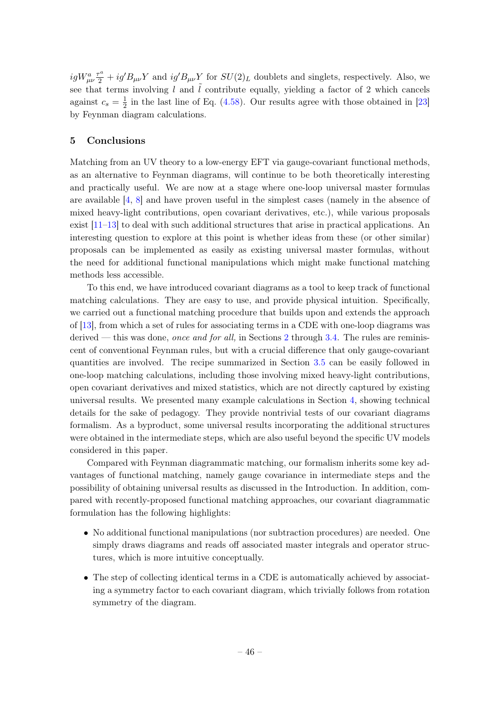$igW_{\mu\nu}^a \frac{\tau^a}{2} + ig'B_{\mu\nu}Y$  and  $ig'B_{\mu\nu}Y$  for  $SU(2)_L$  doublets and singlets, respectively. Also, we see that terms involving l and  $\tilde{l}$  contribute equally, yielding a factor of 2 which cancels against  $c_s = \frac{1}{2}$  $\frac{1}{2}$  in the last line of Eq. [\(4.58\)](#page-45-0). Our results agree with those obtained in [\[23\]](#page-52-15) by Feynman diagram calculations.

## <span id="page-46-0"></span>5 Conclusions

Matching from an UV theory to a low-energy EFT via gauge-covariant functional methods, as an alternative to Feynman diagrams, will continue to be both theoretically interesting and practically useful. We are now at a stage where one-loop universal master formulas are available [\[4,](#page-51-2) [8\]](#page-52-1) and have proven useful in the simplest cases (namely in the absence of mixed heavy-light contributions, open covariant derivatives, etc.), while various proposals exist [\[11](#page-52-4)[–13\]](#page-52-6) to deal with such additional structures that arise in practical applications. An interesting question to explore at this point is whether ideas from these (or other similar) proposals can be implemented as easily as existing universal master formulas, without the need for additional functional manipulations which might make functional matching methods less accessible.

To this end, we have introduced covariant diagrams as a tool to keep track of functional matching calculations. They are easy to use, and provide physical intuition. Specifically, we carried out a functional matching procedure that builds upon and extends the approach of [\[13\]](#page-52-6), from which a set of rules for associating terms in a CDE with one-loop diagrams was derived — this was done, once and for all, in Sections  $2$  through [3.4.](#page-16-0) The rules are reminiscent of conventional Feynman rules, but with a crucial difference that only gauge-covariant quantities are involved. The recipe summarized in Section [3.5](#page-18-0) can be easily followed in one-loop matching calculations, including those involving mixed heavy-light contributions, open covariant derivatives and mixed statistics, which are not directly captured by existing universal results. We presented many example calculations in Section [4,](#page-22-0) showing technical details for the sake of pedagogy. They provide nontrivial tests of our covariant diagrams formalism. As a byproduct, some universal results incorporating the additional structures were obtained in the intermediate steps, which are also useful beyond the specific UV models considered in this paper.

Compared with Feynman diagrammatic matching, our formalism inherits some key advantages of functional matching, namely gauge covariance in intermediate steps and the possibility of obtaining universal results as discussed in the Introduction. In addition, compared with recently-proposed functional matching approaches, our covariant diagrammatic formulation has the following highlights:

- No additional functional manipulations (nor subtraction procedures) are needed. One simply draws diagrams and reads off associated master integrals and operator structures, which is more intuitive conceptually.
- The step of collecting identical terms in a CDE is automatically achieved by associating a symmetry factor to each covariant diagram, which trivially follows from rotation symmetry of the diagram.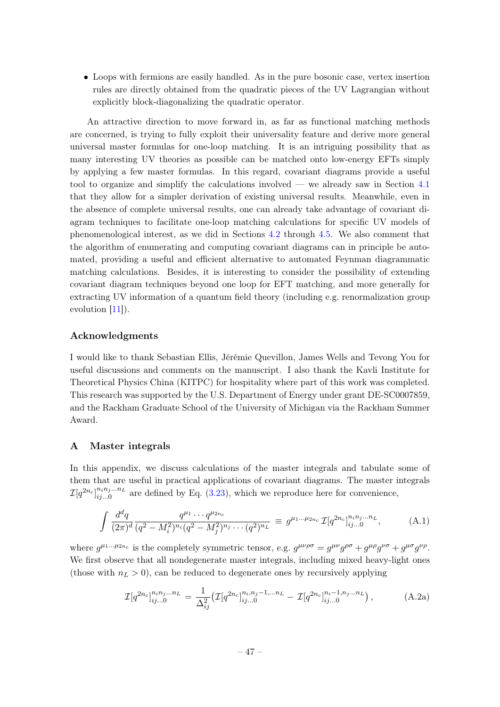• Loops with fermions are easily handled. As in the pure bosonic case, vertex insertion rules are directly obtained from the quadratic pieces of the UV Lagrangian without explicitly block-diagonalizing the quadratic operator.

An attractive direction to move forward in, as far as functional matching methods are concerned, is trying to fully exploit their universality feature and derive more general universal master formulas for one-loop matching. It is an intriguing possibility that as many interesting UV theories as possible can be matched onto low-energy EFTs simply by applying a few master formulas. In this regard, covariant diagrams provide a useful tool to organize and simplify the calculations involved — we already saw in Section [4.1](#page-22-1) that they allow for a simpler derivation of existing universal results. Meanwhile, even in the absence of complete universal results, one can already take advantage of covariant diagram techniques to facilitate one-loop matching calculations for specific UV models of phenomenological interest, as we did in Sections [4.2](#page-28-0) through [4.5.](#page-42-0) We also comment that the algorithm of enumerating and computing covariant diagrams can in principle be automated, providing a useful and efficient alternative to automated Feynman diagrammatic matching calculations. Besides, it is interesting to consider the possibility of extending covariant diagram techniques beyond one loop for EFT matching, and more generally for extracting UV information of a quantum field theory (including e.g. renormalization group evolution [\[11\]](#page-52-4)).

## Acknowledgments

I would like to thank Sebastian Ellis, Jérémie Quevillon, James Wells and Tevong You for useful discussions and comments on the manuscript. I also thank the Kavli Institute for Theoretical Physics China (KITPC) for hospitality where part of this work was completed. This research was supported by the U.S. Department of Energy under grant DE-SC0007859, and the Rackham Graduate School of the University of Michigan via the Rackham Summer Award.

## <span id="page-47-0"></span>A Master integrals

In this appendix, we discuss calculations of the master integrals and tabulate some of them that are useful in practical applications of covariant diagrams. The master integrals  $\mathcal{I}[q^{2n_c}]_{ii=0}^{n_i n_j...n_L}$  $\lim_{i,j=0}$  are defined by Eq. [\(3.23\)](#page-21-1), which we reproduce here for convenience,

$$
\int \frac{d^d q}{(2\pi)^d} \frac{q^{\mu_1} \cdots q^{\mu_{2n_c}}}{(q^2 - M_i^2)^{n_i} (q^2 - M_j^2)^{n_j} \cdots (q^2)^{n_L}} \equiv g^{\mu_1 \cdots \mu_{2n_c}} \mathcal{I}[q^{2n_c}]_{ij\ldots 0}^{n_i n_j \ldots n_L}, \tag{A.1}
$$

where  $g^{\mu_1...\mu_{2n_c}}$  is the completely symmetric tensor, e.g.  $g^{\mu\nu\rho\sigma} = g^{\mu\nu}g^{\rho\sigma} + g^{\mu\rho}g^{\nu\sigma} + g^{\mu\sigma}g^{\nu\rho}$ . We first observe that all nondegenerate master integrals, including mixed heavy-light ones (those with  $n_L > 0$ ), can be reduced to degenerate ones by recursively applying

<span id="page-47-1"></span>
$$
\mathcal{I}[q^{2n_c}]_{ij...0}^{n_i n_j...n_L} = \frac{1}{\Delta_{ij}^2} \left( \mathcal{I}[q^{2n_c}]_{ij...0}^{n_i n_j - 1,...n_L} - \mathcal{I}[q^{2n_c}]_{ij...0}^{n_i - 1, n_j...n_L} \right), \tag{A.2a}
$$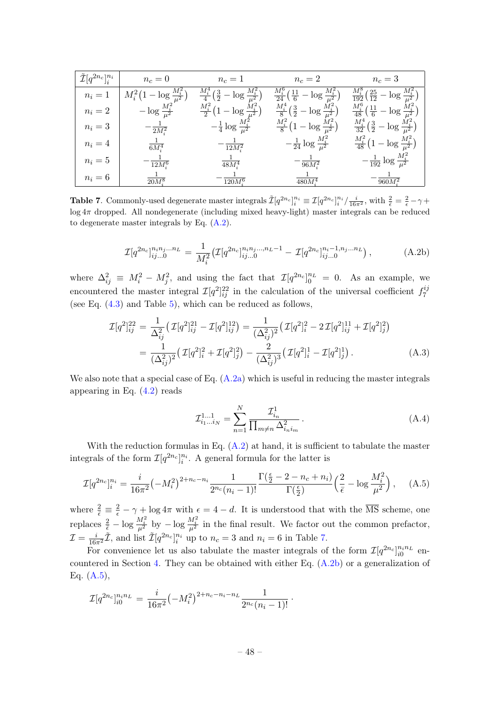| $\tilde{\mathcal{I}}[q^{2n_c}]_i^{n_i}$ | $n_c=0$                             | $n_c=1$                                                 | $n_c=2$                                                                   | $n_c=3$                                                                     |
|-----------------------------------------|-------------------------------------|---------------------------------------------------------|---------------------------------------------------------------------------|-----------------------------------------------------------------------------|
| $n_i=1$                                 | $M_i^2(1-\log \frac{M_i^2}{\mu^2})$ | $\frac{M_i^4}{4}(\frac{3}{2}-\log \frac{M_i^2}{\mu^2})$ | $\frac{M_i^6}{24} \left( \frac{11}{6} - \log \frac{M_i^2}{\mu^2} \right)$ | $\frac{M_i^8}{192} \left( \frac{25}{12} - \log \frac{M_i^2}{\mu^2} \right)$ |
| $n_i=2$                                 | $-\log \frac{M_i^2}{\mu^2}$         | $\frac{M_i^2}{2} (1 - \log \frac{M_i^2}{\mu^2})$        | $\frac{M_i^4}{8}(\frac{3}{2}-\log \frac{M_i^2}{\mu^2})$                   | $\frac{M_i^6}{48}(\frac{11}{6}-\log \frac{M_i^2}{\mu^2})$                   |
| $n_i=3$                                 | $-\frac{1}{2M_i^2}$                 | $-\frac{1}{4} \log \frac{M_i^2}{\mu^2}$                 | $\frac{M_i^2}{8} (1 - \log \frac{M_i^2}{\mu^2})$                          | $\frac{M_i^4}{32}(\frac{3}{2}-\log \frac{M_i^2}{\mu^2})$                    |
| $n_i=4$                                 | $\frac{1}{6M_i^4}$                  | $-\frac{1}{12M_i^2}$                                    | $-\frac{1}{24} \log \frac{M_i^2}{\mu^2}$                                  | $\frac{M_i^2}{48} (1 - \log \frac{M_i^2}{\mu^2})$                           |
| $n_i=5$                                 | $\frac{1}{12M_i^6}$                 | $\frac{1}{48M_{i}^{4}}$                                 | $-\frac{1}{96M_i^2}$                                                      | $-\frac{1}{192}\log \frac{M_i^2}{\mu^2}$                                    |
| $n_i=6$                                 | $20M^8$                             | $\overline{120M^6}$                                     | $\overline{480M_*^4}$                                                     | 960M <sup>2</sup>                                                           |

<span id="page-48-0"></span>**Table 7.** Commonly-used degenerate master integrals  $\tilde{\mathcal{I}}[q^{2n_c}]_i^{n_i} \equiv \mathcal{I}[q^{2n_c}]_i^{n_i} / \frac{i}{16\pi^2}$ , with  $\frac{2}{\epsilon} = \frac{2}{\epsilon} - \gamma + \frac{1}{2}$ log 4π dropped. All nondegenerate (including mixed heavy-light) master integrals can be reduced to degenerate master integrals by Eq. [\(A.2\)](#page-47-1).

$$
\mathcal{I}[q^{2n_c}]_{ij...0}^{n_i n_j...n_L} = \frac{1}{M_i^2} \left( \mathcal{I}[q^{2n_c}]_{ij...0}^{n_i n_j...n_L-1} - \mathcal{I}[q^{2n_c}]_{ij...0}^{n_i-1, n_j...n_L} \right), \tag{A.2b}
$$

where  $\Delta_{ij}^2 \equiv M_i^2 - M_j^2$ , and using the fact that  $\mathcal{I}[q^{2n_c}]_{0}^{n_L} = 0$ . As an example, we encountered the master integral  $\mathcal{I}[q^2]_{ij}^{22}$  in the calculation of the universal coefficient  $f_7^{ij}$ 7 (see Eq. [\(4.3\)](#page-24-0) and Table [5\)](#page-27-0), which can be reduced as follows,

$$
\mathcal{I}[q^{2}]_{ij}^{22} = \frac{1}{\Delta_{ij}^{2}} \left( \mathcal{I}[q^{2}]_{ij}^{21} - \mathcal{I}[q^{2}]_{ij}^{12} \right) = \frac{1}{(\Delta_{ij}^{2})^{2}} \left( \mathcal{I}[q^{2}]_{i}^{2} - 2\mathcal{I}[q^{2}]_{ij}^{11} + \mathcal{I}[q^{2}]_{j}^{2} \right)
$$
  

$$
= \frac{1}{(\Delta_{ij}^{2})^{2}} \left( \mathcal{I}[q^{2}]_{i}^{2} + \mathcal{I}[q^{2}]_{j}^{2} \right) - \frac{2}{(\Delta_{ij}^{2})^{3}} \left( \mathcal{I}[q^{2}]_{i}^{1} - \mathcal{I}[q^{2}]_{j}^{1} \right).
$$
 (A.3)

We also note that a special case of Eq.  $(A.2a)$  which is useful in reducing the master integrals appearing in Eq. [\(4.2\)](#page-23-1) reads

$$
\mathcal{I}_{i_1...i_N}^{1...1} = \sum_{n=1}^{N} \frac{\mathcal{I}_{i_n}^1}{\prod_{m \neq n} \Delta_{i_n i_m}^2}.
$$
 (A.4)

With the reduction formulas in Eq.  $(A.2)$  at hand, it is sufficient to tabulate the master integrals of the form  $\mathcal{I}[q^{2n_c}]_i^{n_i}$ . A general formula for the latter is

<span id="page-48-1"></span>
$$
\mathcal{I}[q^{2n_c}]_i^{n_i} = \frac{i}{16\pi^2} \left(-M_i^2\right)^{2+n_c-n_i} \frac{1}{2^{n_c}(n_i-1)!} \frac{\Gamma(\frac{\epsilon}{2} - 2 - n_c + n_i)}{\Gamma(\frac{\epsilon}{2})} \left(\frac{2}{\bar{\epsilon}} - \log \frac{M_i^2}{\mu^2}\right), \quad (A.5)
$$

where  $\frac{2}{\epsilon} \equiv \frac{2}{\epsilon} - \gamma + \log 4\pi$  with  $\epsilon = 4 - d$ . It is understood that with the  $\overline{\text{MS}}$  scheme, one replaces  $\frac{2}{\bar{\epsilon}} - \log \frac{M_i^2}{\mu^2}$  by  $-\log \frac{M_i^2}{\mu^2}$  in the final result. We factor out the common prefactor,  $\mathcal{I} = \frac{i}{16\pi^2} \tilde{\mathcal{I}}$ , and list  $\tilde{\mathcal{I}}[q^{2n_c}]_i^{n_i}$  up to  $n_c = 3$  and  $n_i = 6$  in Table [7.](#page-48-0)

For convenience let us also tabulate the master integrals of the form  $\mathcal{I}[q^{2n_c}]_{i0}^{n_i n_L}$  encountered in Section [4.](#page-22-0) They can be obtained with either Eq. [\(A.2b\)](#page-47-1) or a generalization of Eq. [\(A.5\)](#page-48-1),

$$
\mathcal{I}[q^{2n_c}]_{i0}^{n_i n_L} = \frac{i}{16\pi^2} (-M_i^2)^{2+n_c-n_i-n_L} \frac{1}{2^{n_c}(n_i-1)!}.
$$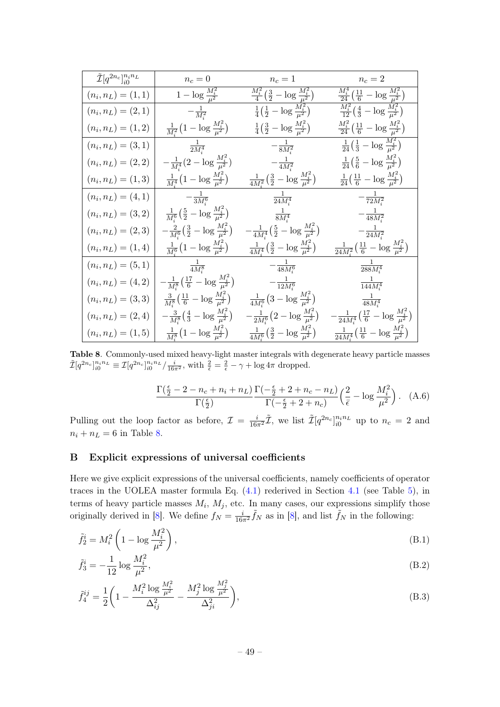| $\tilde{\mathcal{I}}[q^{2n_c}]_{i0}^{n_i n_L}$ | $n_c=0$                                                         | $n_c=1$                                                            | $n_c=2$                                                                        |
|------------------------------------------------|-----------------------------------------------------------------|--------------------------------------------------------------------|--------------------------------------------------------------------------------|
| $(n_i, n_L) = (1, 1)$                          | $1 - \log \frac{M_i^2}{\mu^2}$                                  | $\frac{M_i^2}{4}(\frac{3}{2}-\log \frac{M_i^2}{\mu^2})$            | $\frac{M_i^4}{24}(\frac{11}{6}-\log \frac{M_i^2}{\mu^2})$                      |
| $(n_i, n_L) = (2, 1)$                          | $-\frac{1}{M_i^2}$                                              | $\frac{1}{4}(\frac{1}{2}-\log \frac{M_i^2}{\mu^2})$                | $\frac{M_i^2}{12}(\frac{4}{3}-\log \frac{M_i^2}{\mu^2})$                       |
| $(n_i, n_L) = (1, 2)$                          | $\frac{1}{M^2} (1 - \log \frac{M_i^2}{\mu^2})$                  | $\frac{1}{4}(\frac{3}{2}-\log \frac{M_i^2}{\mu^2})$                | $\frac{M_i^2}{24}(\frac{11}{6}-\log \frac{M_i^2}{\mu^2})$                      |
| $(n_i, n_L) = (3, 1)$                          | $\frac{1}{2M_i^4}$                                              | $-\frac{1}{8M_{i}^{2}}$                                            | $\frac{1}{24}(\frac{1}{3}-\log \frac{M_i^2}{\mu^2})$                           |
| $(n_i, n_L) = (2, 2)$                          | $-\frac{1}{M^4}(2-\log \frac{M_i^2}{\mu^2})$                    | $-\frac{1}{4M_{s}^{2}}$                                            | $\frac{1}{24}(\frac{5}{6}-\log \frac{M_i^2}{\mu^2})$                           |
| $(n_i, n_L) = (1, 3)$                          | $\frac{1}{M^4} (1 - \log \frac{M_i^2}{\mu^2})$                  | $\frac{1}{4M^2}(\frac{3}{2}-\log \frac{M_i^2}{\mu^2})$             | $\frac{1}{24}(\frac{11}{6}-\log \frac{M_i^2}{\mu^2})$                          |
| $(n_i, n_L) = (4, 1)$                          | $-\frac{1}{3M_{i}^{6}}$                                         | $\frac{1}{24M_i^4}$                                                | $-\frac{1}{72M_{i}^{2}}$                                                       |
| $(n_i, n_L) = (3, 2)$                          | $\frac{1}{M^6}(\frac{5}{2}-\log \frac{M_i^2}{\mu^2})$           | $\frac{1}{8M_i^4}$                                                 | $-\frac{1}{48M_{i}^{2}}$                                                       |
| $(n_i, n_L) = (2, 3)$                          | $-\frac{2}{M_i^6}\big(\frac{3}{2}-\log\frac{M_i^2}{\mu^2}\big)$ | $-\frac{1}{4M^4}(\frac{5}{2}-\log \frac{M_i^2}{\mu^2})$            | $-\frac{1}{24M_{s}^{2}}$                                                       |
| $(n_i, n_L) = (1, 4)$                          | $\frac{1}{M^6} \left( 1 - \log \frac{M_i^2}{\mu^2} \right)$     | $\frac{1}{4M_i^4}(\frac{3}{2}-\log \frac{M_i^2}{\mu^2})$           | $\frac{1}{24M^2}\left(\frac{11}{6}-\log\frac{M_i^2}{\mu^2}\right)$             |
| $(n_i, n_L) = (5, 1)$                          | $\frac{1}{4M_{i}^{8}}$                                          | $-\frac{1}{48M_{i}^{6}}$                                           | $\frac{1}{288M_i^4}$                                                           |
| $(n_i, n_L) = (4, 2)$                          | $-\frac{1}{M^8}\big(\frac{17}{6}-\log\frac{M_i^2}{\mu^2}\big)$  | $-\frac{1}{12M_{i}^{6}}$                                           | $\frac{1}{144M_{i}^{4}}$                                                       |
| $(n_i, n_L) = (3, 3)$                          | $\frac{3}{M^8}(\frac{11}{6}-\log \frac{M_i^2}{\mu^2})$          | $\frac{1}{4M_{\odot}^6} \left(3 - \log \frac{M_i^2}{\mu^2}\right)$ | $\frac{1}{48M_{i}^{4}}$                                                        |
| $(n_i, n_L) = (2, 4)$                          | $-\frac{3}{M^8}(\frac{4}{3}-\log \frac{M_i^2}{\mu^2})$          | $-\frac{1}{2M_{i}^{6}}\big(2-\log\frac{M_{i}^{2}}{\mu^{2}}\big)$   | $-\frac{1}{24M_{\pm}^{4}}\big(\frac{17}{6}-\log\frac{M_{i}^{2}}{\mu^{2}}\big)$ |
| $(n_i, n_L) = (1, 5)$                          | $\frac{1}{M_{i}^{8}}(1-\log \frac{M_{i}^{2}}{\mu^{2}})$         | $\frac{1}{4M_i^6}(\frac{3}{2}-\log \frac{M_i^2}{\mu^2})$           | $\frac{1}{24M_i^4} \left( \frac{11}{6} - \log \frac{M_i^2}{\mu^2} \right)$     |

<span id="page-49-1"></span>Table 8. Commonly-used mixed heavy-light master integrals with degenerate heavy particle masses  $\tilde{\mathcal{I}}[q^{2n_c}]_{i0}^{n_i n_L} \equiv \mathcal{I}[q^{2n_c}]_{i0}^{n_i n_L}/\frac{i}{16\pi^2}$ , with  $\frac{2}{\bar{\epsilon}} = \frac{2}{\epsilon} - \gamma + \log 4\pi$  dropped.

$$
\frac{\Gamma(\frac{\epsilon}{2}-2-n_c+n_i+n_L)}{\Gamma(\frac{\epsilon}{2})}\frac{\Gamma(-\frac{\epsilon}{2}+2+n_c-n_L)}{\Gamma(-\frac{\epsilon}{2}+2+n_c)}\left(\frac{2}{\bar{\epsilon}}-\log\frac{M_i^2}{\mu^2}\right). \quad (A.6)
$$

Pulling out the loop factor as before,  $\mathcal{I} = \frac{i}{16\pi^2}\tilde{\mathcal{I}}$ , we list  $\tilde{\mathcal{I}}[q^{2n_c}]_{i0}^{n_i n_L}$  up to  $n_c = 2$  and  $n_i + n_L = 6$  in Table [8.](#page-49-1)

## <span id="page-49-0"></span>B Explicit expressions of universal coefficients

Here we give explicit expressions of the universal coefficients, namely coefficients of operator traces in the UOLEA master formula Eq.  $(4.1)$  rederived in Section [4.1](#page-22-1) (see Table [5\)](#page-27-0), in terms of heavy particle masses  $M_i$ ,  $M_j$ , etc. In many cases, our expressions simplify those originally derived in [\[8\]](#page-52-1). We define  $f_N = \frac{i}{16\pi^2} \tilde{f}_N$  as in [8], and list  $\tilde{f}_N$  in the following:

$$
\tilde{f}_2^i = M_i^2 \left( 1 - \log \frac{M_i^2}{\mu^2} \right),\tag{B.1}
$$

$$
\tilde{f}_3^i = -\frac{1}{12} \log \frac{M_i^2}{\mu^2},\tag{B.2}
$$

$$
\tilde{f}_4^{ij} = \frac{1}{2} \left( 1 - \frac{M_i^2 \log \frac{M_i^2}{\mu^2}}{\Delta_{ij}^2} - \frac{M_j^2 \log \frac{M_j^2}{\mu^2}}{\Delta_{ji}^2} \right),\tag{B.3}
$$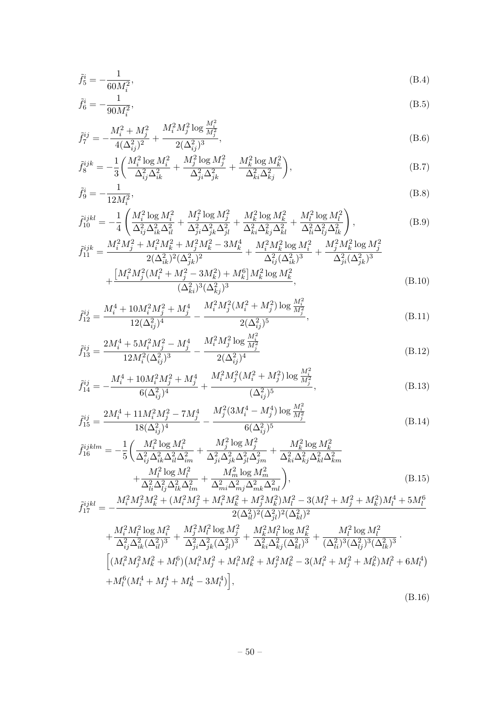$$
\tilde{f}_5^i = -\frac{1}{60M_i^2},\tag{B.4}
$$

$$
\tilde{f}_6^i = -\frac{1}{90M_i^2},\tag{B.5}
$$

$$
\tilde{f}_7^{ij} = -\frac{M_i^2 + M_j^2}{4(\Delta_{ij}^2)^2} + \frac{M_i^2 M_j^2 \log \frac{M_i^2}{M_j^2}}{2(\Delta_{ij}^2)^3},
$$
\n(B.6)

$$
\tilde{f}_8^{ijk} = -\frac{1}{3} \left( \frac{M_i^2 \log M_i^2}{\Delta_{ij}^2 \Delta_{ik}^2} + \frac{M_j^2 \log M_j^2}{\Delta_{ji}^2 \Delta_{jk}^2} + \frac{M_k^2 \log M_k^2}{\Delta_{ki}^2 \Delta_{kj}^2} \right),\tag{B.7}
$$

$$
\tilde{f}_9^i = -\frac{1}{12M_i^2},\tag{B.8}
$$

$$
\tilde{f}_{10}^{ijkl} = -\frac{1}{4} \left( \frac{M_i^2 \log M_i^2}{\Delta_{ij}^2 \Delta_{ik}^2 \Delta_{il}^2} + \frac{M_j^2 \log M_j^2}{\Delta_{ji}^2 \Delta_{jk}^2 \Delta_{jl}^2} + \frac{M_k^2 \log M_k^2}{\Delta_{ki}^2 \Delta_{kj}^2 \Delta_{kl}^2} + \frac{M_l^2 \log M_l^2}{\Delta_{li}^2 \Delta_{lj}^2 \Delta_{lk}^2} \right),
$$
\n(B.9)

$$
\tilde{f}_{11}^{ijk} = \frac{M_i^2 M_j^2 + M_i^2 M_k^2 + M_j^2 M_k^2 - 3M_k^4}{2(\Delta_{ik}^2)^2 (\Delta_{jk}^2)^2} + \frac{M_i^2 M_k^2 \log M_i^2}{\Delta_{ij}^2 (\Delta_{ik}^2)^3} + \frac{M_j^2 M_k^2 \log M_j^2}{\Delta_{ji}^2 (\Delta_{jk}^2)^3} + \frac{[M_i^2 M_j^2 (M_i^2 + M_j^2 - 3M_k^2) + M_k^6] M_k^2 \log M_k^2}{(\Delta_{ki}^2)^3 (\Delta_{kj}^2)^3},
$$
\n(B.10)

$$
\tilde{f}_{12}^{ij} = \frac{M_i^4 + 10M_i^2M_j^2 + M_j^4}{12(\Delta_{ij}^2)^4} - \frac{M_i^2M_j^2(M_i^2 + M_j^2)\log\frac{M_i^2}{M_j^2}}{2(\Delta_{ij}^2)^5},
$$
\n(B.11)

$$
\tilde{f}_{13}^{ij} = \frac{2M_i^4 + 5M_i^2M_j^2 - M_j^4}{12M_i^2(\Delta_{ij}^2)^3} - \frac{M_i^2M_j^2\log\frac{M_i^2}{M_j^2}}{2(\Delta_{ij}^2)^4}
$$
\n(B.12)

$$
\tilde{f}_{14}^{ij} = -\frac{M_i^4 + 10M_i^2M_j^2 + M_j^4}{6(\Delta_{ij}^2)^4} + \frac{M_i^2M_j^2(M_i^2 + M_j^2)\log\frac{M_i^2}{M_j^2}}{(\Delta_{ij}^2)^5},
$$
\n(B.13)

$$
\tilde{f}_{15}^{ij} = \frac{2M_i^4 + 11M_i^2M_j^2 - 7M_j^4}{18(\Delta_{ij}^2)^4} - \frac{M_j^2(3M_i^4 - M_j^4)\log\frac{M_i^2}{M_j^2}}{6(\Delta_{ij}^2)^5}
$$
(B.14)

$$
\tilde{f}_{16}^{ijklm} = -\frac{1}{5} \left( \frac{M_i^2 \log M_i^2}{\Delta_{ij}^2 \Delta_{ik}^2 \Delta_{il}^2 \Delta_{im}^2} + \frac{M_j^2 \log M_j^2}{\Delta_{ji}^2 \Delta_{jk}^2 \Delta_{jl}^2 \Delta_{jm}^2} + \frac{M_k^2 \log M_k^2}{\Delta_{ki}^2 \Delta_{kj}^2 \Delta_{kl}^2 \Delta_{km}^2} + \frac{M_l^2 \log M_l^2}{\Delta_{li}^2 \Delta_{lj}^2 \Delta_{lk}^2 \Delta_{lm}^2} + \frac{M_m^2 \log M_m^2}{\Delta_{mi}^2 \Delta_{mj}^2 \Delta_{mk}^2 \Delta_{ml}^2} \right),
$$
\n(B.15)

$$
\begin{aligned} \tilde{f}^{ijkl}_{17}=&-\frac{M_i^2M_j^2M_k^2+(M_i^2M_j^2+M_i^2M_k^2+M_j^2M_k^2)M_l^2-3(M_i^2+M_j^2+M_k^2)M_l^4+5M_l^6}{2(\Delta_{il}^2)^2(\Delta_{jl}^2)^2(\Delta_{kl}^2)^2} \\&+\frac{M_i^2M_l^2\log M_i^2}{\Delta_{ij}^2\Delta_{ik}^2(\Delta_{il}^2)^3}+\frac{M_j^2M_l^2\log M_j^2}{\Delta_{ji}^2\Delta_{jk}^2(\Delta_{jl}^2)^3}+\frac{M_k^2M_l^2\log M_k^2}{\Delta_{ki}^2\Delta_{kj}^2(\Delta_{kl}^2)^3}+\frac{M_l^2\log M_l^2}{(\Delta_{li}^2)^3(\Delta_{lj}^2)^3(\Delta_{lk}^2)^3} \,. \end{aligned}
$$

$$
\begin{aligned} & \left[ (M_i^2 M_j^2 M_k^2 + M_l^6) \left( M_i^2 M_j^2 + M_i^2 M_k^2 + M_j^2 M_k^2 - 3(M_i^2 + M_j^2 + M_k^2) M_l^2 + 6M_l^4 \right) \right. \\ & \left. + M_l^6 (M_i^4 + M_j^4 + M_k^4 - 3M_l^4) \right], \end{aligned}
$$

$$
(B.16)
$$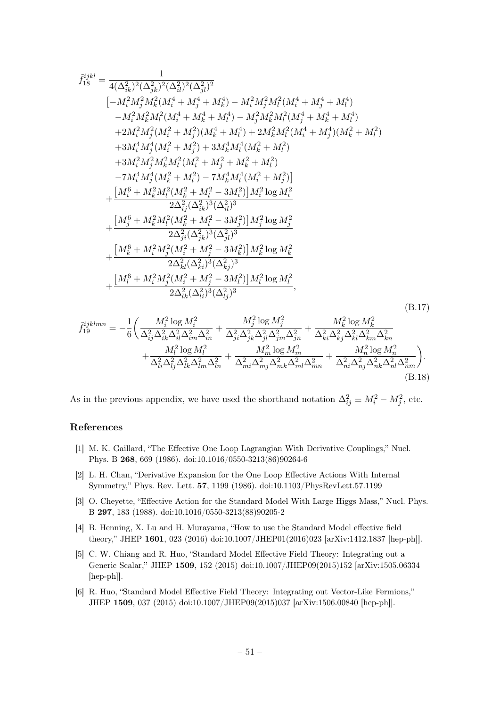$$
\begin{split} \tilde{f}_{18}^{ijkl} &= \frac{1}{4(\Delta_{ik}^2)^2(\Delta_{jk}^2)^2(\Delta_{il}^2)^2(\Delta_{jl}^2)^2} \\ &\left[-M_i^2M_j^2M_k^2(M_i^4+M_i^4+M_k^4)-M_i^2M_j^2M_l^2(M_i^4+M_i^4+M_l^4) \right. \\ &\left. -M_i^2M_k^2M_l^2(M_i^4+M_i^4+M_l^4)-M_j^2M_k^2M_l^2(M_j^4+M_k^4+M_l^4) \right. \\ &\left. +2M_i^2M_j^2(M_i^2+M_j^2)(M_k^4+M_l^4)+2M_k^2M_l^2(M_i^4+M_j^4)(M_k^2+M_l^2) \right. \\ &\left. +3M_i^4M_j^4(M_i^2+M_j^2)+3M_k^4M_l^4(M_k^2+M_l^2) \right. \\ &\left. +3M_i^2M_j^2M_k^2M_l^2(M_i^2+M_j^2+M_k^2+M_l^2) \right. \\ &\left. -7M_i^4M_j^4(M_k^2+M_l^2)-7M_k^4M_l^4(M_i^2+M_j^2) \right] \\ &\left. + \frac{\left[M_i^6+M_k^2M_l^2(M_k^2+M_l^2-3M_i^2)\right]M_i^2\log M_i^2}{2\Delta_{ij}^2(\Delta_{ik}^2)^3(\Delta_{il}^2)^3} \right. \\ &\left. + \frac{\left[M_j^6+M_k^2M_l^2(M_k^2+M_l^2-3M_j^2)\right]M_j^2\log M_j^2}{2\Delta_{jl}^2(\Delta_{jk}^2)^3(\Delta_{jl}^2)^3} \right. \\ &\left. + \frac{\left[M_i^6+M_i^2M_j^2(M_i^2+M_j^2-3M_k^2)\right]M_k^2\log M_k^2}{2\Delta_{kl}^2(\Delta_{ki}^2)^3(\Delta_{kj}^2)^3} \right. \\ &\left. + \frac{\left[M_i^6+M_i^2M_j^2(M_i^2+M_j^2-3M_l^2)\right]M_l^2\log M_l^2}{2\Delta_{lk}^2(\Delta_{lj}^2)^3} \right. \end{split} \tag{B.17}
$$

$$
\tilde{f}_{19}^{ijklmn} = -\frac{1}{6} \bigg( \frac{M_i^2 \log M_i^2}{\Delta_{ij}^2 \Delta_{ik}^2 \Delta_{il}^2 \Delta_{im}^2 \Delta_{in}^2} + \frac{M_j^2 \log M_j^2}{\Delta_{ji}^2 \Delta_{jk}^2 \Delta_{jl}^2 \Delta_{jm}^2 \Delta_{jn}^2} + \frac{M_k^2 \log M_k^2}{\Delta_{ki}^2 \Delta_{kj}^2 \Delta_{kl}^2 \Delta_{km}^2 \Delta_{kn}^2} + \frac{M_l^2 \log M_l^2}{\Delta_{li}^2 \Delta_{lj}^2 \Delta_{lk}^2 \Delta_{lm}^2 \Delta_{in}^2} + \frac{M_m^2 \log M_m^2}{\Delta_{mi}^2 \Delta_{mj}^2 \Delta_{mk}^2 \Delta_{ml}^2 \Delta_{kn}^2} + \frac{M_n^2 \log M_n^2}{\Delta_{ni}^2 \Delta_{nj}^2 \Delta_{nk}^2 \Delta_{nl}^2 \Delta_{nm}^2} \bigg). \tag{B.18}
$$

As in the previous appendix, we have used the shorthand notation  $\Delta_{ij}^2 \equiv M_i^2 - M_j^2$ , etc.

## References

- <span id="page-51-0"></span>[1] M. K. Gaillard, "The Effective One Loop Lagrangian With Derivative Couplings," Nucl. Phys. B 268, 669 (1986). doi:10.1016/0550-3213(86)90264-6
- [2] L. H. Chan, "Derivative Expansion for the One Loop Effective Actions With Internal Symmetry," Phys. Rev. Lett. 57, 1199 (1986). doi:10.1103/PhysRevLett.57.1199
- <span id="page-51-1"></span>[3] O. Cheyette, "Effective Action for the Standard Model With Large Higgs Mass," Nucl. Phys. B 297, 183 (1988). doi:10.1016/0550-3213(88)90205-2
- <span id="page-51-2"></span>[4] B. Henning, X. Lu and H. Murayama, "How to use the Standard Model effective field theory," JHEP 1601, 023 (2016) doi:10.1007/JHEP01(2016)023 [arXiv:1412.1837 [hep-ph]].
- <span id="page-51-3"></span>[5] C. W. Chiang and R. Huo, "Standard Model Effective Field Theory: Integrating out a Generic Scalar," JHEP 1509, 152 (2015) doi:10.1007/JHEP09(2015)152 [arXiv:1505.06334 [hep-ph]].
- [6] R. Huo, "Standard Model Effective Field Theory: Integrating out Vector-Like Fermions," JHEP 1509, 037 (2015) doi:10.1007/JHEP09(2015)037 [arXiv:1506.00840 [hep-ph]].